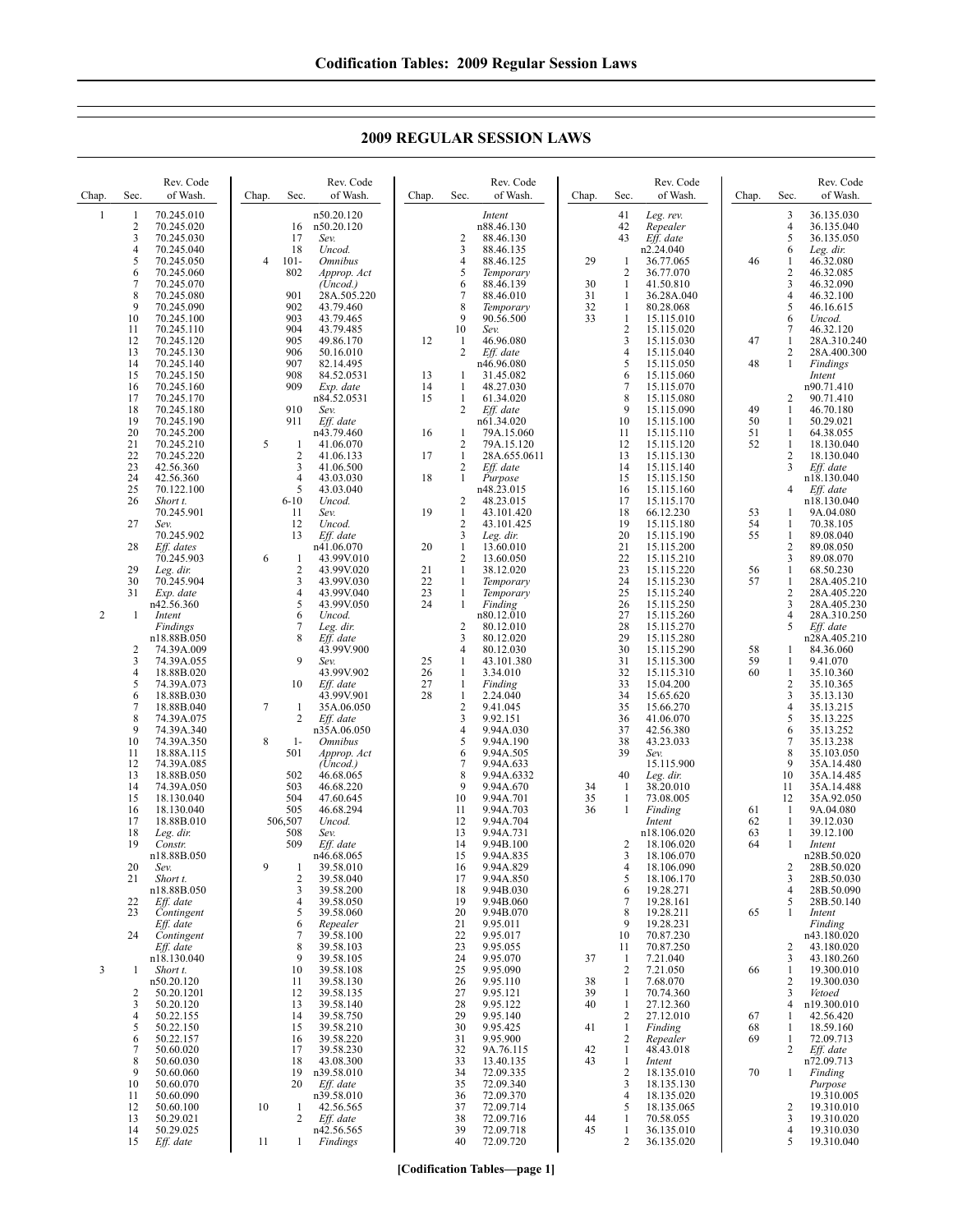# **2009 REGULAR SESSION LAWS**

| Chap.          | Rev. Code<br>of Wash.<br>Sec.                                                                                                                                                        | Rev. Code<br>of Wash.<br>Sec.<br>Chap.                                                                                                                                                         | Rev. Code<br>of Wash.<br>Chap.<br>Sec.                                                                                                                                                                                          | Rev. Code<br>of Wash.<br>Chap.<br>Sec.                                                                                                                                                                                                    | Sec.<br>Chap.                                                                      | Rev. Code<br>of Wash.                                                                                                |
|----------------|--------------------------------------------------------------------------------------------------------------------------------------------------------------------------------------|------------------------------------------------------------------------------------------------------------------------------------------------------------------------------------------------|---------------------------------------------------------------------------------------------------------------------------------------------------------------------------------------------------------------------------------|-------------------------------------------------------------------------------------------------------------------------------------------------------------------------------------------------------------------------------------------|------------------------------------------------------------------------------------|----------------------------------------------------------------------------------------------------------------------|
| 1              | 1<br>70.245.010<br>2<br>70.245.020<br>3<br>70.245.030<br>$\overline{4}$<br>70.245.040<br>5<br>70.245.050<br>6<br>70.245.060<br>7<br>70.245.070<br>8<br>70.245.080<br>9<br>70.245.090 | n50.20.120<br>16<br>n50.20.120<br>17<br>Sev.<br>18<br>Uncod.<br>$101 -$<br>$\overline{4}$<br><i><b>Omnibus</b></i><br>802<br>Approp. Act<br>(Uncod.)<br>901<br>28A.505.220<br>902<br>43.79.460 | Intent<br>n88.46.130<br>2<br>88.46.130<br>3<br>88.46.135<br>88.46.125<br>4<br>5<br>Temporary<br>88.46.139<br>6<br>7<br>88.46.010<br>8<br>Temporary                                                                              | 41<br>Leg. rev.<br>42<br>Repealer<br>43<br>Eff. date<br>n2.24.040<br>29<br>1<br>36.77.065<br>$\overline{2}$<br>36.77.070<br>30<br>$\mathbf{1}$<br>41.50.810<br>31<br>1<br>36.28A.040<br>32<br>1<br>80.28.068                              | 3<br>4<br>5<br>6<br>46<br>1<br>2<br>3<br>4<br>5                                    | 36.135.030<br>36.135.040<br>36.135.050<br>Leg. dir.<br>46.32.080<br>46.32.085<br>46.32.090<br>46.32.100<br>46.16.615 |
|                | 10<br>70.245.100<br>11<br>70.245.110<br>12<br>70.245.120<br>13<br>70.245.130<br>14<br>70.245.140<br>15<br>70.245.150<br>16<br>70.245.160                                             | 903<br>43.79.465<br>904<br>43.79.485<br>905<br>49.86.170<br>906<br>50.16.010<br>907<br>82.14.495<br>908<br>84.52.0531<br>909<br>Exp. date                                                      | 9<br>90.56.500<br>10<br>Sev.<br>46.96.080<br>12<br>-1<br>$\overline{2}$<br>Eff. date<br>n46.96.080<br>13<br>31.45.082<br>1<br>14<br>48.27.030<br>1                                                                              | 33<br>1<br>15.115.010<br>$\sqrt{2}$<br>15.115.020<br>3<br>15.115.030<br>$\overline{4}$<br>15.115.040<br>5<br>15.115.050<br>6<br>15.115.060<br>$\overline{7}$<br>15.115.070                                                                | 6<br>7<br>47<br>1<br>2<br>48<br>1                                                  | Uncod.<br>46.32.120<br>28A.310.240<br>28A.400.300<br>Findings<br>Intent<br>n90.71.410                                |
|                | 17<br>70.245.170<br>18<br>70.245.180<br>19<br>70.245.190<br>20<br>70.245.200<br>21<br>70.245.210<br>22<br>70.245.220<br>23<br>42.56.360<br>24<br>42.56.360                           | n84.52.0531<br>910<br>Sev.<br>911<br>Eff. date<br>n43.79.460<br>5<br>41.06.070<br>-1<br>$\overline{2}$<br>41.06.133<br>3<br>41.06.500<br>4<br>43.03.030                                        | 15<br>61.34.020<br>1<br>2<br>Eff. date<br>n61.34.020<br>16<br>79A.15.060<br>-1<br>$\overline{2}$<br>79A.15.120<br>17<br>$\mathbf{1}$<br>28A.655.0611<br>2<br>Eff. date<br>18<br>1<br>Purpose                                    | 8<br>15.115.080<br>9<br>15.115.090<br>10<br>15.115.100<br>11<br>15.115.110<br>12<br>15.115.120<br>13<br>15.115.130<br>14<br>15.115.140<br>15.115.150<br>15                                                                                | 2<br>49<br>1<br>50<br>$\mathbf{1}$<br>51<br>1<br>52<br>1<br>$\overline{2}$<br>3    | 90.71.410<br>46.70.180<br>50.29.021<br>64.38.055<br>18.130.040<br>18.130.040<br>Eff. date<br>n18.130.040             |
|                | 25<br>70.122.100<br>26<br>Short t.<br>70.245.901<br>27<br>Sev.<br>70.245.902<br>28<br>Eff. dates<br>70.245.903                                                                       | 5<br>43.03.040<br>$6 - 10$<br>Uncod.<br>11<br>Sev.<br>12<br>Uncod.<br>13<br>Eff. date<br>n41.06.070<br>6<br>43.99V.010<br>1                                                                    | n48.23.015<br>2<br>48.23.015<br>$\mathbf{1}$<br>19<br>43.101.420<br>$\overline{2}$<br>43.101.425<br>3<br>Leg. dir.<br>$\mathbf{1}$<br>20<br>13.60.010<br>$\overline{2}$<br>13.60.050                                            | 16<br>15.115.160<br>17<br>15.115.170<br>18<br>66.12.230<br>19<br>15.115.180<br>20<br>15.115.190<br>21<br>15.115.200<br>22<br>15.115.210                                                                                                   | 4<br>53<br>1<br>54<br>1<br>55<br>1<br>2<br>3                                       | Eff. date<br>n18.130.040<br>9A.04.080<br>70.38.105<br>89.08.040<br>89.08.050<br>89.08.070                            |
| 2              | 29<br>Leg. dir.<br>30<br>70.245.904<br>31<br>Exp. date<br>n42.56.360<br>Intent<br>1<br>Findings<br>n18.88B.050<br>2<br>74.39A.009                                                    | $\overline{2}$<br>43.99V.020<br>3<br>43.99V.030<br>$\overline{4}$<br>43.99V.040<br>5<br>43.99V.050<br>6<br>Uncod.<br>7<br>Leg. dir.<br>8<br>Eff. date<br>43.99V.900                            | 21<br>1<br>38.12.020<br>22<br>$\mathbf{1}$<br>Temporary<br>23<br>1<br>Temporary<br>24<br>$\mathbf{1}$<br>Finding<br>n80.12.010<br>$\overline{2}$<br>80.12.010<br>3<br>80.12.020<br>4<br>80.12.030                               | 23<br>15.115.220<br>24<br>15.115.230<br>25<br>15.115.240<br>26<br>15.115.250<br>27<br>15.115.260<br>28<br>15.115.270<br>29<br>15.115.280<br>30<br>15.115.290                                                                              | 56<br>$\mathbf{1}$<br>57<br>1<br>2<br>3<br>4<br>5<br>58<br>1                       | 68.50.230<br>28A.405.210<br>28A.405.220<br>28A.405.230<br>28A.310.250<br>Eff. date<br>n28A.405.210<br>84.36.060      |
|                | 3<br>74.39A.055<br>4<br>18.88B.020<br>5<br>74.39A.073<br>6<br>18.88B.030<br>7<br>18.88B.040<br>8<br>74.39A.075<br>9<br>74.39A.340<br>10<br>74.39A.350<br>11<br>18.88A.115            | 9<br>Sev.<br>43.99V.902<br>10<br>Eff. date<br>43.99V.901<br>7<br>35A.06.050<br>1<br>2<br>Eff. date<br>n35A.06.050<br>8<br>$1-$<br><i><b>Omnibus</b></i><br>501<br>Approp. Act                  | 25<br>1<br>43.101.380<br>26<br>$\mathbf{1}$<br>3.34.010<br>27<br>$\mathbf{1}$<br>Finding<br>28<br>$\mathbf{1}$<br>2.24.040<br>$\overline{2}$<br>9.41.045<br>3<br>9.92.151<br>4<br>9.94A.030<br>5<br>9.94A.190<br>9.94A.505<br>6 | 31<br>15.115.300<br>32<br>15.115.310<br>15.04.200<br>33<br>34<br>15.65.620<br>35<br>15.66.270<br>36<br>41.06.070<br>37<br>42.56.380<br>38<br>43.23.033<br>39<br>Sev.                                                                      | 59<br>1<br>60<br>1<br>$\overline{2}$<br>3<br>4<br>5<br>6<br>7<br>8                 | 9.41.070<br>35.10.360<br>35.10.365<br>35.13.130<br>35.13.215<br>35.13.225<br>35.13.252<br>35.13.238<br>35.103.050    |
|                | 12<br>74.39A.085<br>13<br>18.88B.050<br>14<br>74.39A.050<br>15<br>18.130.040<br>16<br>18.130.040<br>17<br>18.88B.010<br>18<br>Leg. dir.<br>19<br>Constr.<br>n18.88B.050              | (Uncod.)<br>502<br>46.68.065<br>503<br>46.68.220<br>504<br>47.60.645<br>505<br>46.68.294<br>506,507<br>Uncod.<br>508<br>Sev.<br>509<br>Eff. date<br>n46.68.065                                 | 7<br>9.94A.633<br>8<br>9.94A.6332<br>9<br>9.94A.670<br>10<br>9.94A.701<br>9.94A.703<br>11<br>12<br>9.94A.704<br>13<br>9.94A.731<br>14<br>9.94B.100<br>15<br>9.94A.835                                                           | 15.115.900<br>40<br>Leg. dir.<br>34<br>1<br>38.20.010<br>35<br>$\mathbf{1}$<br>73.08.005<br>36<br>Finding<br>1<br>Intent<br>n18.106.020<br>$\overline{2}$<br>18.106.020<br>3<br>18.106.070                                                | 9<br>10<br>11<br>12<br>61<br>1<br>1<br>62<br>63<br>1<br>64<br>1                    | 35A.14.480<br>35A.14.485<br>35A.14.488<br>35A.92.050<br>9A.04.080<br>39.12.030<br>39.12.100<br>Intent<br>n28B.50.020 |
|                | 20<br>Sev.<br>21<br>Short t.<br>n18.88B.050<br>22<br>Eff. date<br>23<br>Contingent<br>Eff. date<br>24<br>Contingent<br>Eff. date                                                     | 9<br>39.58.010<br>1<br>$\overline{\mathbf{c}}$<br>39.58.040<br>39.58.200<br>3<br>4<br>39.58.050<br>5<br>39.58.060<br>6<br>Repealer<br>7<br>39.58.100<br>8<br>39.58.103                         | 9.94A.829<br>16<br>17<br>9.94A.850<br>18<br>9.94B.030<br>19<br>9.94B.060<br>20<br>9.94B.070<br>21<br>9.95.011<br>22<br>9.95.017<br>23<br>9.95.055                                                                               | $\overline{4}$<br>18.106.090<br>5<br>18.106.170<br>19.28.271<br>6<br>$\overline{7}$<br>19.28.161<br>8<br>19.28.211<br>9<br>19.28.231<br>10<br>70.87.230<br>70.87.250<br>11                                                                | 2<br>3<br>$\overline{4}$<br>5<br>65<br>$\mathbf{1}$<br>2                           | 28B.50.020<br>28B.50.030<br>28B.50.090<br>28B.50.140<br>Intent<br>Finding<br>n43.180.020<br>43.180.020               |
| $\mathfrak{Z}$ | n18.130.040<br>Short t.<br>1<br>n50.20.120<br>50.20.1201<br>2<br>3<br>50.20.120<br>50.22.155<br>4<br>5<br>50.22.150<br>50.22.157<br>6                                                | 9<br>39.58.105<br>10<br>39.58.108<br>39.58.130<br>11<br>39.58.135<br>12<br>13<br>39.58.140<br>14<br>39.58.750<br>15<br>39.58.210<br>39.58.220<br>16                                            | 9.95.070<br>24<br>9.95.090<br>25<br>26<br>9.95.110<br>27<br>9.95.121<br>28<br>9.95.122<br>9.95.140<br>29<br>30<br>9.95.425<br>9.95.900<br>31                                                                                    | 7.21.040<br>37<br>1<br>$\overline{c}$<br>7.21.050<br>38<br>7.68.070<br>$\mathbf{1}$<br>39<br>70.74.360<br>1<br>40<br>27.12.360<br>1<br>27.12.010<br>2<br>$\mathbf{1}$<br>41<br>Finding<br>$\overline{2}$<br>Repealer                      | 3<br>66<br>$\mathbf{1}$<br>2<br>3<br>4<br>67<br>1<br>68<br>$\mathbf{1}$<br>69<br>1 | 43.180.260<br>19.300.010<br>19.300.030<br>Vetoed<br>n19.300.010<br>42.56.420<br>18.59.160<br>72.09.713               |
|                | 7<br>50.60.020<br>8<br>50.60.030<br>9<br>50.60.060<br>10<br>50.60.070<br>11<br>50.60.090<br>12<br>50.60.100<br>50.29.021<br>13<br>14<br>50.29.025<br>15<br>Eff. date                 | 39.58.230<br>17<br>18<br>43.08.300<br>19<br>n39.58.010<br>20<br>Eff. date<br>n39.58.010<br>10<br>42.56.565<br>1<br>2<br>Eff. date<br>n42.56.565<br>11<br>1<br>Findings                         | 32<br>9A.76.115<br>33<br>13.40.135<br>72.09.335<br>34<br>72.09.340<br>35<br>72.09.370<br>36<br>37<br>72.09.714<br>72.09.716<br>38<br>72.09.718<br>39<br>72.09.720<br>40                                                         | 42<br>$\mathbf{1}$<br>48.43.018<br>43<br>1<br>Intent<br>$\overline{c}$<br>18.135.010<br>3<br>18.135.130<br>$\overline{4}$<br>18.135.020<br>5<br>18.135.065<br>70.58.055<br>44<br>1<br>45<br>$\mathbf{1}$<br>36.135.010<br>2<br>36.135.020 | 2<br>70<br>$\mathbf{1}$<br>2<br>3<br>4<br>5                                        | Eff. date<br>n72.09.713<br>Finding<br>Purpose<br>19.310.005<br>19.310.010<br>19.310.020<br>19.310.030<br>19.310.040  |

**[Codification Tables—page 1]**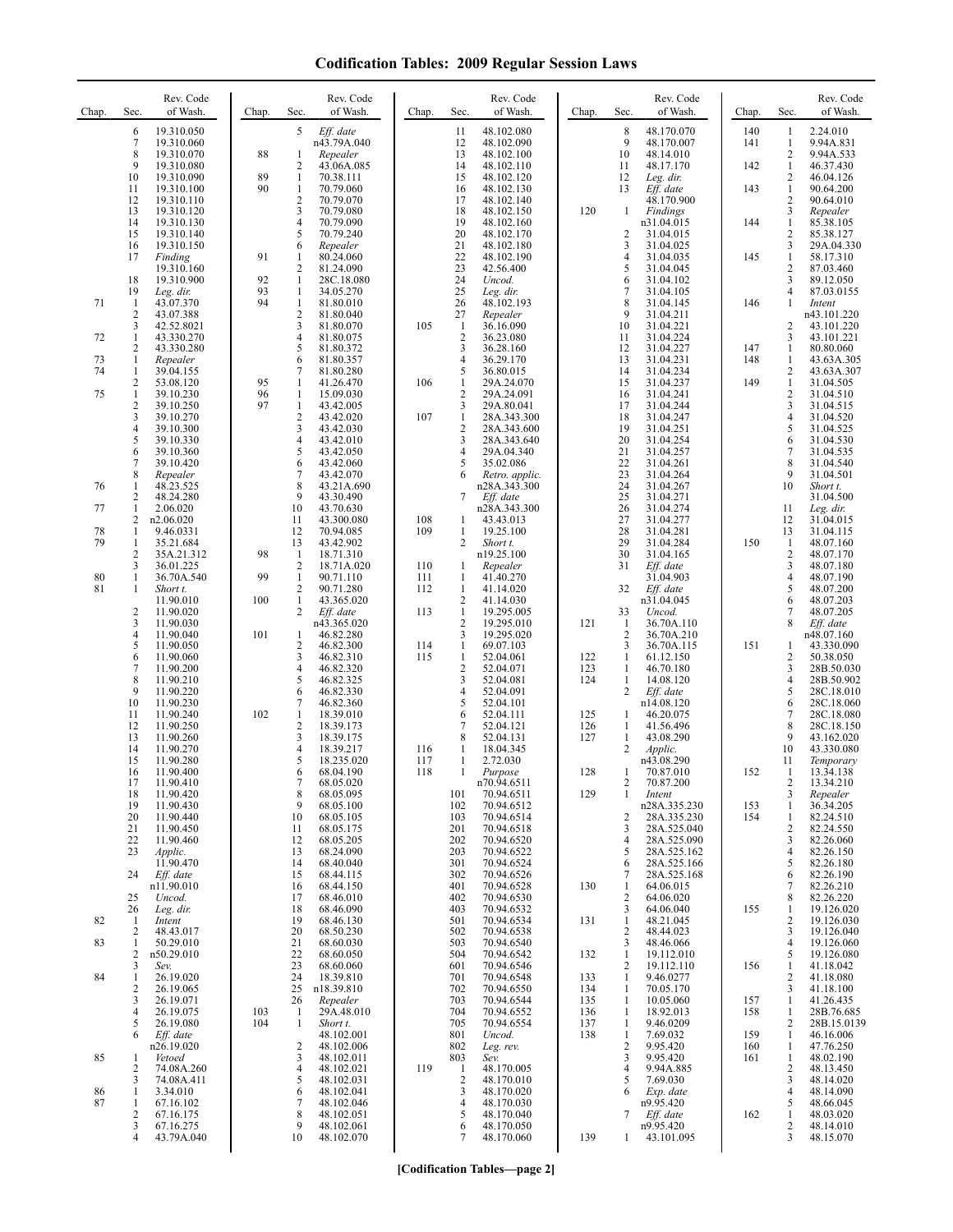| 5<br>19.310.050<br>Eff. date<br>48.102.080<br>8<br>48.170.070<br>140<br>2.24.010<br>6<br>11<br>1<br>$\tau$<br>9<br>n43.79A.040<br>12<br>48.102.090<br>48.170.007<br>141<br>$\mathbf{1}$<br>19.310.060<br>8<br>88<br>13<br>10<br>2<br>19.310.070<br>Repealer<br>48.102.100<br>48.14.010<br>1<br>9<br>$\overline{2}$<br>142<br>19.310.080<br>43.06A.085<br>14<br>48.102.110<br>11<br>48.17.170<br>1<br>46.37.430<br>89<br>10<br>$\mathbf{1}$<br>15<br>12<br>2<br>19.310.090<br>70.38.111<br>48.102.120<br>46.04.126<br>Leg. dir.<br>90<br>70.79.060<br>48.102.130<br>13<br>Eff. date<br>143<br>$\mathbf{1}$<br>90.64.200<br>11<br>19.310.100<br>1<br>16<br>2<br>17<br>48.102.140<br>48.170.900<br>2<br>12<br>19.310.110<br>70.79.070<br>90.64.010<br>3<br>13<br>70.79.080<br>48.102.150<br>120<br>3<br>19.310.120<br>18<br>Findings<br>Repealer<br>-1<br>4<br>19<br>$\mathbf{1}$<br>14<br>19.310.130<br>70.79.090<br>48.102.160<br>n31.04.015<br>144<br>85.38.105<br>5<br>20<br>$\overline{c}$<br>15<br>19.310.140<br>70.79.240<br>48.102.170<br>2<br>31.04.015<br>85.38.127<br>3<br>21<br>3<br>48.102.180<br>16<br>19.310.150<br>6<br>Repealer<br>31.04.025<br>22<br>91<br>$\overline{4}$<br>145<br>$\mathbf{1}$<br>17<br>80.24.060<br>48.102.190<br>31.04.035<br>Finding<br>1<br>58.17.310<br>$\sqrt{2}$<br>$\overline{2}$<br>23<br>42.56.400<br>5<br>19.310.160<br>81.24.090<br>31.04.045<br>87.03.460<br>92<br>24<br>6<br>3<br>18<br>19.310.900<br>$\mathbf{1}$<br>28C.18.080<br>Uncod.<br>31.04.102<br>89.12.050<br>19<br>93<br>25<br>7<br>4<br>$\mathbf{1}$<br>34.05.270<br>Leg. dir.<br>31.04.105<br>Leg. dir.<br>94<br>8<br>71<br>$\mathbf{1}$<br>$\mathbf{1}$<br>26<br>48.102.193<br>146<br>43.07.370<br>81.80.010<br>31.04.145<br>1<br>Intent<br>$\overline{2}$<br>2<br>27<br>9<br>43.07.388<br>81.80.040<br>Repealer<br>31.04.211<br>n43.101.220<br>3<br>3<br>105<br>$\mathbf{1}$<br>36.16.090<br>10<br>31.04.221<br>42.52.8021<br>81.80.070<br>2<br>$\overline{4}$<br>$\overline{2}$<br>3<br>72<br>1<br>43.330.270<br>81.80.075<br>36.23.080<br>11<br>31.04.224<br>$\overline{2}$<br>5<br>3<br>36.28.160<br>12<br>43.330.280<br>81.80.372<br>31.04.227<br>147<br>1<br>80.80.060<br>13<br>73<br>1<br>Repealer<br>6<br>81.80.357<br>4<br>36.29.170<br>31.04.231<br>148<br>1<br>$\sqrt{2}$<br>74<br>36.80.015<br>1<br>39.04.155<br>7<br>81.80.280<br>5<br>14<br>31.04.234<br>$\sqrt{2}$<br>95<br>$\mathbf{1}$<br>15<br>149<br>$\mathbf{1}$<br>53.08.120<br>1<br>41.26.470<br>106<br>29A.24.070<br>31.04.237<br>31.04.505<br>75<br>$\mathbf{1}$<br>96<br>$\overline{c}$<br>29A.24.091<br>2<br>39.10.230<br>$\mathbf{1}$<br>15.09.030<br>16<br>31.04.241<br>31.04.510<br>$\overline{2}$<br>97<br>3<br>$\mathbf{1}$<br>3<br>17<br>39.10.250<br>43.42.005<br>29A.80.041<br>31.04.244<br>31.04.515<br>3<br>2<br>43.42.020<br>107<br>$\mathbf{1}$<br>18<br>4<br>39.10.270<br>28A.343.300<br>31.04.247<br>31.04.520<br>3<br>$\overline{4}$<br>$\overline{c}$<br>19<br>5<br>39.10.300<br>43.42.030<br>28A.343.600<br>31.04.251<br>31.04.525<br>5<br>4<br>3<br>28A.343.640<br>20<br>39.10.330<br>43.42.010<br>31.04.254<br>6<br>31.04.530<br>6<br>5<br>21<br>29A.04.340<br>7<br>39.10.360<br>43.42.050<br>4<br>31.04.257<br>31.04.535<br>$\tau$<br>22<br>6<br>8<br>39.10.420<br>43.42.060<br>35.02.086<br>31.04.261<br>31.04.540<br>5<br>8<br>7<br>23<br>9<br>31.04.501<br>Repealer<br>43.42.070<br>Retro. applic.<br>31.04.264<br>6<br>8<br>24<br>10<br>76<br>48.23.525<br>n28A.343.300<br>31.04.267<br>Short t.<br>1<br>43.21A.690<br>$\sqrt{2}$<br>25<br>48.24.280<br>9<br>43.30.490<br>7<br>Eff. date<br>31.04.500<br>31.04.271<br>77<br>$\mathbf{1}$<br>10<br>26<br>43.70.630<br>n28A.343.300<br>31.04.274<br>11<br>Leg. dir.<br>2.06.020<br>2<br>43.43.013<br>27<br>12<br>31.04.015<br>n2.06.020<br>11<br>43.300.080<br>108<br>31.04.277<br>1<br>12<br>109<br>$\mathbf{1}$<br>19.25.100<br>28<br>13<br>78<br>1<br>9.46.0331<br>70.94.085<br>31.04.281<br>31.04.115<br>79<br>2<br>29<br>150<br>1<br>35.21.684<br>13<br>43.42.902<br>Short t.<br>31.04.284<br>1<br>48.07.160<br>$\overline{2}$<br>$\sqrt{2}$<br>98<br>n19.25.100<br>30<br>31.04.165<br>35A.21.312<br>1<br>18.71.310<br>48.07.170<br>3<br>$\overline{c}$<br>3<br>36.01.225<br>18.71A.020<br>110<br>Repealer<br>31<br>Eff. date<br>48.07.180<br>1<br>$\overline{\mathbf{4}}$<br>36.70A.540<br>99<br>$\mathbf{1}$<br>80<br>1<br>90.71.110<br>111<br>1<br>41.40.270<br>31.04.903<br>48.07.190<br>$\mathbf{2}$<br>5<br>81<br>1<br>Short t.<br>90.71.280<br>112<br>1<br>41.14.020<br>32<br>Eff. date<br>48.07.200<br>$\mathbf{1}$<br>$\sqrt{2}$<br>100<br>43.365.020<br>41.14.030<br>11.90.010<br>n31.04.045<br>6<br>48.07.203<br>$\overline{2}$<br>$\overline{c}$<br>113<br>7<br>Eff. date<br>1<br>19.295.005<br>33<br>Uncod.<br>48.07.205<br>11.90.020<br>3<br>$\overline{2}$<br>19.295.010<br>121<br>8<br>n43.365.020<br>1<br>36.70A.110<br>Eff. date<br>11.90.030<br>$\overline{4}$<br>101<br>3<br>19.295.020<br>$\overline{2}$<br>11.90.040<br>46.82.280<br>36.70A.210<br>n48.07.160<br>1<br>5<br>2<br>46.82.300<br>69.07.103<br>36.70A.115<br>151<br>11.90.050<br>114<br>1<br>3<br>1<br>6<br>3<br>115<br>$\mathbf{1}$<br>$\mathbf{1}$<br>2<br>11.90.060<br>46.82.310<br>52.04.061<br>122<br>61.12.150<br>50.38.050<br>$\tau$<br>4<br>$\overline{c}$<br>52.04.071<br>3<br>11.90.200<br>46.82.320<br>123<br>1<br>46.70.180<br>28B.50.030<br>8<br>5<br>3<br>124<br>14.08.120<br>4<br>11.90.210<br>46.82.325<br>52.04.081<br>1<br>$\overline{2}$<br>5<br>9<br>6<br>11.90.220<br>46.82.330<br>4<br>52.04.091<br>Eff. date<br>28C.18.010<br>10<br>7<br>52.04.101<br>6<br>11.90.230<br>46.82.360<br>5<br>n14.08.120<br>102<br>$\tau$<br>11<br>1<br>18.39.010<br>52.04.111<br>125<br>11.90.240<br>6<br>-1<br>46.20.075<br>$\mathbf{2}$<br>8<br>52.04.121<br>126<br>12<br>11.90.250<br>18.39.173<br>7<br>1<br>41.56.496 | 9.94A.831<br>9.94A.533<br>29A.04.330<br>87.03.0155<br>43.101.220<br>43.101.221<br>43.63A.305<br>43.63A.307 |
|----------------------------------------------------------------------------------------------------------------------------------------------------------------------------------------------------------------------------------------------------------------------------------------------------------------------------------------------------------------------------------------------------------------------------------------------------------------------------------------------------------------------------------------------------------------------------------------------------------------------------------------------------------------------------------------------------------------------------------------------------------------------------------------------------------------------------------------------------------------------------------------------------------------------------------------------------------------------------------------------------------------------------------------------------------------------------------------------------------------------------------------------------------------------------------------------------------------------------------------------------------------------------------------------------------------------------------------------------------------------------------------------------------------------------------------------------------------------------------------------------------------------------------------------------------------------------------------------------------------------------------------------------------------------------------------------------------------------------------------------------------------------------------------------------------------------------------------------------------------------------------------------------------------------------------------------------------------------------------------------------------------------------------------------------------------------------------------------------------------------------------------------------------------------------------------------------------------------------------------------------------------------------------------------------------------------------------------------------------------------------------------------------------------------------------------------------------------------------------------------------------------------------------------------------------------------------------------------------------------------------------------------------------------------------------------------------------------------------------------------------------------------------------------------------------------------------------------------------------------------------------------------------------------------------------------------------------------------------------------------------------------------------------------------------------------------------------------------------------------------------------------------------------------------------------------------------------------------------------------------------------------------------------------------------------------------------------------------------------------------------------------------------------------------------------------------------------------------------------------------------------------------------------------------------------------------------------------------------------------------------------------------------------------------------------------------------------------------------------------------------------------------------------------------------------------------------------------------------------------------------------------------------------------------------------------------------------------------------------------------------------------------------------------------------------------------------------------------------------------------------------------------------------------------------------------------------------------------------------------------------------------------------------------------------------------------------------------------------------------------------------------------------------------------------------------------------------------------------------------------------------------------------------------------------------------------------------------------------------------------------------------------------------------------------------------------------------------------------------------------------------------------------------------------------------------------------------------------------------------------------------------------------------------------------------------------------------------------------------------------------------------------------------------------------------------------------------------------------------------------------------------------------------------------------------------------------------------------------------------------------------------------------------------------------------------------------------------------------------------------------------------------------------------------------------------------------------------------------------------------------------------------------------------------------------------------------------------------------------------------------------------------------------------------------------------------------------------------------------------------------------------------------------------------------------------------------------------------------------------------------------|------------------------------------------------------------------------------------------------------------|
|                                                                                                                                                                                                                                                                                                                                                                                                                                                                                                                                                                                                                                                                                                                                                                                                                                                                                                                                                                                                                                                                                                                                                                                                                                                                                                                                                                                                                                                                                                                                                                                                                                                                                                                                                                                                                                                                                                                                                                                                                                                                                                                                                                                                                                                                                                                                                                                                                                                                                                                                                                                                                                                                                                                                                                                                                                                                                                                                                                                                                                                                                                                                                                                                                                                                                                                                                                                                                                                                                                                                                                                                                                                                                                                                                                                                                                                                                                                                                                                                                                                                                                                                                                                                                                                                                                                                                                                                                                                                                                                                                                                                                                                                                                                                                                                                                                                                                                                                                                                                                                                                                                                                                                                                                                                                                                                                                                                                                                                                                                                                                                                                                                                                                                                                                                                                                                                                                  |                                                                                                            |
|                                                                                                                                                                                                                                                                                                                                                                                                                                                                                                                                                                                                                                                                                                                                                                                                                                                                                                                                                                                                                                                                                                                                                                                                                                                                                                                                                                                                                                                                                                                                                                                                                                                                                                                                                                                                                                                                                                                                                                                                                                                                                                                                                                                                                                                                                                                                                                                                                                                                                                                                                                                                                                                                                                                                                                                                                                                                                                                                                                                                                                                                                                                                                                                                                                                                                                                                                                                                                                                                                                                                                                                                                                                                                                                                                                                                                                                                                                                                                                                                                                                                                                                                                                                                                                                                                                                                                                                                                                                                                                                                                                                                                                                                                                                                                                                                                                                                                                                                                                                                                                                                                                                                                                                                                                                                                                                                                                                                                                                                                                                                                                                                                                                                                                                                                                                                                                                                                  |                                                                                                            |
|                                                                                                                                                                                                                                                                                                                                                                                                                                                                                                                                                                                                                                                                                                                                                                                                                                                                                                                                                                                                                                                                                                                                                                                                                                                                                                                                                                                                                                                                                                                                                                                                                                                                                                                                                                                                                                                                                                                                                                                                                                                                                                                                                                                                                                                                                                                                                                                                                                                                                                                                                                                                                                                                                                                                                                                                                                                                                                                                                                                                                                                                                                                                                                                                                                                                                                                                                                                                                                                                                                                                                                                                                                                                                                                                                                                                                                                                                                                                                                                                                                                                                                                                                                                                                                                                                                                                                                                                                                                                                                                                                                                                                                                                                                                                                                                                                                                                                                                                                                                                                                                                                                                                                                                                                                                                                                                                                                                                                                                                                                                                                                                                                                                                                                                                                                                                                                                                                  |                                                                                                            |
|                                                                                                                                                                                                                                                                                                                                                                                                                                                                                                                                                                                                                                                                                                                                                                                                                                                                                                                                                                                                                                                                                                                                                                                                                                                                                                                                                                                                                                                                                                                                                                                                                                                                                                                                                                                                                                                                                                                                                                                                                                                                                                                                                                                                                                                                                                                                                                                                                                                                                                                                                                                                                                                                                                                                                                                                                                                                                                                                                                                                                                                                                                                                                                                                                                                                                                                                                                                                                                                                                                                                                                                                                                                                                                                                                                                                                                                                                                                                                                                                                                                                                                                                                                                                                                                                                                                                                                                                                                                                                                                                                                                                                                                                                                                                                                                                                                                                                                                                                                                                                                                                                                                                                                                                                                                                                                                                                                                                                                                                                                                                                                                                                                                                                                                                                                                                                                                                                  |                                                                                                            |
|                                                                                                                                                                                                                                                                                                                                                                                                                                                                                                                                                                                                                                                                                                                                                                                                                                                                                                                                                                                                                                                                                                                                                                                                                                                                                                                                                                                                                                                                                                                                                                                                                                                                                                                                                                                                                                                                                                                                                                                                                                                                                                                                                                                                                                                                                                                                                                                                                                                                                                                                                                                                                                                                                                                                                                                                                                                                                                                                                                                                                                                                                                                                                                                                                                                                                                                                                                                                                                                                                                                                                                                                                                                                                                                                                                                                                                                                                                                                                                                                                                                                                                                                                                                                                                                                                                                                                                                                                                                                                                                                                                                                                                                                                                                                                                                                                                                                                                                                                                                                                                                                                                                                                                                                                                                                                                                                                                                                                                                                                                                                                                                                                                                                                                                                                                                                                                                                                  |                                                                                                            |
|                                                                                                                                                                                                                                                                                                                                                                                                                                                                                                                                                                                                                                                                                                                                                                                                                                                                                                                                                                                                                                                                                                                                                                                                                                                                                                                                                                                                                                                                                                                                                                                                                                                                                                                                                                                                                                                                                                                                                                                                                                                                                                                                                                                                                                                                                                                                                                                                                                                                                                                                                                                                                                                                                                                                                                                                                                                                                                                                                                                                                                                                                                                                                                                                                                                                                                                                                                                                                                                                                                                                                                                                                                                                                                                                                                                                                                                                                                                                                                                                                                                                                                                                                                                                                                                                                                                                                                                                                                                                                                                                                                                                                                                                                                                                                                                                                                                                                                                                                                                                                                                                                                                                                                                                                                                                                                                                                                                                                                                                                                                                                                                                                                                                                                                                                                                                                                                                                  |                                                                                                            |
|                                                                                                                                                                                                                                                                                                                                                                                                                                                                                                                                                                                                                                                                                                                                                                                                                                                                                                                                                                                                                                                                                                                                                                                                                                                                                                                                                                                                                                                                                                                                                                                                                                                                                                                                                                                                                                                                                                                                                                                                                                                                                                                                                                                                                                                                                                                                                                                                                                                                                                                                                                                                                                                                                                                                                                                                                                                                                                                                                                                                                                                                                                                                                                                                                                                                                                                                                                                                                                                                                                                                                                                                                                                                                                                                                                                                                                                                                                                                                                                                                                                                                                                                                                                                                                                                                                                                                                                                                                                                                                                                                                                                                                                                                                                                                                                                                                                                                                                                                                                                                                                                                                                                                                                                                                                                                                                                                                                                                                                                                                                                                                                                                                                                                                                                                                                                                                                                                  |                                                                                                            |
|                                                                                                                                                                                                                                                                                                                                                                                                                                                                                                                                                                                                                                                                                                                                                                                                                                                                                                                                                                                                                                                                                                                                                                                                                                                                                                                                                                                                                                                                                                                                                                                                                                                                                                                                                                                                                                                                                                                                                                                                                                                                                                                                                                                                                                                                                                                                                                                                                                                                                                                                                                                                                                                                                                                                                                                                                                                                                                                                                                                                                                                                                                                                                                                                                                                                                                                                                                                                                                                                                                                                                                                                                                                                                                                                                                                                                                                                                                                                                                                                                                                                                                                                                                                                                                                                                                                                                                                                                                                                                                                                                                                                                                                                                                                                                                                                                                                                                                                                                                                                                                                                                                                                                                                                                                                                                                                                                                                                                                                                                                                                                                                                                                                                                                                                                                                                                                                                                  |                                                                                                            |
|                                                                                                                                                                                                                                                                                                                                                                                                                                                                                                                                                                                                                                                                                                                                                                                                                                                                                                                                                                                                                                                                                                                                                                                                                                                                                                                                                                                                                                                                                                                                                                                                                                                                                                                                                                                                                                                                                                                                                                                                                                                                                                                                                                                                                                                                                                                                                                                                                                                                                                                                                                                                                                                                                                                                                                                                                                                                                                                                                                                                                                                                                                                                                                                                                                                                                                                                                                                                                                                                                                                                                                                                                                                                                                                                                                                                                                                                                                                                                                                                                                                                                                                                                                                                                                                                                                                                                                                                                                                                                                                                                                                                                                                                                                                                                                                                                                                                                                                                                                                                                                                                                                                                                                                                                                                                                                                                                                                                                                                                                                                                                                                                                                                                                                                                                                                                                                                                                  |                                                                                                            |
|                                                                                                                                                                                                                                                                                                                                                                                                                                                                                                                                                                                                                                                                                                                                                                                                                                                                                                                                                                                                                                                                                                                                                                                                                                                                                                                                                                                                                                                                                                                                                                                                                                                                                                                                                                                                                                                                                                                                                                                                                                                                                                                                                                                                                                                                                                                                                                                                                                                                                                                                                                                                                                                                                                                                                                                                                                                                                                                                                                                                                                                                                                                                                                                                                                                                                                                                                                                                                                                                                                                                                                                                                                                                                                                                                                                                                                                                                                                                                                                                                                                                                                                                                                                                                                                                                                                                                                                                                                                                                                                                                                                                                                                                                                                                                                                                                                                                                                                                                                                                                                                                                                                                                                                                                                                                                                                                                                                                                                                                                                                                                                                                                                                                                                                                                                                                                                                                                  |                                                                                                            |
|                                                                                                                                                                                                                                                                                                                                                                                                                                                                                                                                                                                                                                                                                                                                                                                                                                                                                                                                                                                                                                                                                                                                                                                                                                                                                                                                                                                                                                                                                                                                                                                                                                                                                                                                                                                                                                                                                                                                                                                                                                                                                                                                                                                                                                                                                                                                                                                                                                                                                                                                                                                                                                                                                                                                                                                                                                                                                                                                                                                                                                                                                                                                                                                                                                                                                                                                                                                                                                                                                                                                                                                                                                                                                                                                                                                                                                                                                                                                                                                                                                                                                                                                                                                                                                                                                                                                                                                                                                                                                                                                                                                                                                                                                                                                                                                                                                                                                                                                                                                                                                                                                                                                                                                                                                                                                                                                                                                                                                                                                                                                                                                                                                                                                                                                                                                                                                                                                  |                                                                                                            |
|                                                                                                                                                                                                                                                                                                                                                                                                                                                                                                                                                                                                                                                                                                                                                                                                                                                                                                                                                                                                                                                                                                                                                                                                                                                                                                                                                                                                                                                                                                                                                                                                                                                                                                                                                                                                                                                                                                                                                                                                                                                                                                                                                                                                                                                                                                                                                                                                                                                                                                                                                                                                                                                                                                                                                                                                                                                                                                                                                                                                                                                                                                                                                                                                                                                                                                                                                                                                                                                                                                                                                                                                                                                                                                                                                                                                                                                                                                                                                                                                                                                                                                                                                                                                                                                                                                                                                                                                                                                                                                                                                                                                                                                                                                                                                                                                                                                                                                                                                                                                                                                                                                                                                                                                                                                                                                                                                                                                                                                                                                                                                                                                                                                                                                                                                                                                                                                                                  |                                                                                                            |
|                                                                                                                                                                                                                                                                                                                                                                                                                                                                                                                                                                                                                                                                                                                                                                                                                                                                                                                                                                                                                                                                                                                                                                                                                                                                                                                                                                                                                                                                                                                                                                                                                                                                                                                                                                                                                                                                                                                                                                                                                                                                                                                                                                                                                                                                                                                                                                                                                                                                                                                                                                                                                                                                                                                                                                                                                                                                                                                                                                                                                                                                                                                                                                                                                                                                                                                                                                                                                                                                                                                                                                                                                                                                                                                                                                                                                                                                                                                                                                                                                                                                                                                                                                                                                                                                                                                                                                                                                                                                                                                                                                                                                                                                                                                                                                                                                                                                                                                                                                                                                                                                                                                                                                                                                                                                                                                                                                                                                                                                                                                                                                                                                                                                                                                                                                                                                                                                                  |                                                                                                            |
|                                                                                                                                                                                                                                                                                                                                                                                                                                                                                                                                                                                                                                                                                                                                                                                                                                                                                                                                                                                                                                                                                                                                                                                                                                                                                                                                                                                                                                                                                                                                                                                                                                                                                                                                                                                                                                                                                                                                                                                                                                                                                                                                                                                                                                                                                                                                                                                                                                                                                                                                                                                                                                                                                                                                                                                                                                                                                                                                                                                                                                                                                                                                                                                                                                                                                                                                                                                                                                                                                                                                                                                                                                                                                                                                                                                                                                                                                                                                                                                                                                                                                                                                                                                                                                                                                                                                                                                                                                                                                                                                                                                                                                                                                                                                                                                                                                                                                                                                                                                                                                                                                                                                                                                                                                                                                                                                                                                                                                                                                                                                                                                                                                                                                                                                                                                                                                                                                  |                                                                                                            |
|                                                                                                                                                                                                                                                                                                                                                                                                                                                                                                                                                                                                                                                                                                                                                                                                                                                                                                                                                                                                                                                                                                                                                                                                                                                                                                                                                                                                                                                                                                                                                                                                                                                                                                                                                                                                                                                                                                                                                                                                                                                                                                                                                                                                                                                                                                                                                                                                                                                                                                                                                                                                                                                                                                                                                                                                                                                                                                                                                                                                                                                                                                                                                                                                                                                                                                                                                                                                                                                                                                                                                                                                                                                                                                                                                                                                                                                                                                                                                                                                                                                                                                                                                                                                                                                                                                                                                                                                                                                                                                                                                                                                                                                                                                                                                                                                                                                                                                                                                                                                                                                                                                                                                                                                                                                                                                                                                                                                                                                                                                                                                                                                                                                                                                                                                                                                                                                                                  |                                                                                                            |
|                                                                                                                                                                                                                                                                                                                                                                                                                                                                                                                                                                                                                                                                                                                                                                                                                                                                                                                                                                                                                                                                                                                                                                                                                                                                                                                                                                                                                                                                                                                                                                                                                                                                                                                                                                                                                                                                                                                                                                                                                                                                                                                                                                                                                                                                                                                                                                                                                                                                                                                                                                                                                                                                                                                                                                                                                                                                                                                                                                                                                                                                                                                                                                                                                                                                                                                                                                                                                                                                                                                                                                                                                                                                                                                                                                                                                                                                                                                                                                                                                                                                                                                                                                                                                                                                                                                                                                                                                                                                                                                                                                                                                                                                                                                                                                                                                                                                                                                                                                                                                                                                                                                                                                                                                                                                                                                                                                                                                                                                                                                                                                                                                                                                                                                                                                                                                                                                                  |                                                                                                            |
|                                                                                                                                                                                                                                                                                                                                                                                                                                                                                                                                                                                                                                                                                                                                                                                                                                                                                                                                                                                                                                                                                                                                                                                                                                                                                                                                                                                                                                                                                                                                                                                                                                                                                                                                                                                                                                                                                                                                                                                                                                                                                                                                                                                                                                                                                                                                                                                                                                                                                                                                                                                                                                                                                                                                                                                                                                                                                                                                                                                                                                                                                                                                                                                                                                                                                                                                                                                                                                                                                                                                                                                                                                                                                                                                                                                                                                                                                                                                                                                                                                                                                                                                                                                                                                                                                                                                                                                                                                                                                                                                                                                                                                                                                                                                                                                                                                                                                                                                                                                                                                                                                                                                                                                                                                                                                                                                                                                                                                                                                                                                                                                                                                                                                                                                                                                                                                                                                  |                                                                                                            |
|                                                                                                                                                                                                                                                                                                                                                                                                                                                                                                                                                                                                                                                                                                                                                                                                                                                                                                                                                                                                                                                                                                                                                                                                                                                                                                                                                                                                                                                                                                                                                                                                                                                                                                                                                                                                                                                                                                                                                                                                                                                                                                                                                                                                                                                                                                                                                                                                                                                                                                                                                                                                                                                                                                                                                                                                                                                                                                                                                                                                                                                                                                                                                                                                                                                                                                                                                                                                                                                                                                                                                                                                                                                                                                                                                                                                                                                                                                                                                                                                                                                                                                                                                                                                                                                                                                                                                                                                                                                                                                                                                                                                                                                                                                                                                                                                                                                                                                                                                                                                                                                                                                                                                                                                                                                                                                                                                                                                                                                                                                                                                                                                                                                                                                                                                                                                                                                                                  |                                                                                                            |
|                                                                                                                                                                                                                                                                                                                                                                                                                                                                                                                                                                                                                                                                                                                                                                                                                                                                                                                                                                                                                                                                                                                                                                                                                                                                                                                                                                                                                                                                                                                                                                                                                                                                                                                                                                                                                                                                                                                                                                                                                                                                                                                                                                                                                                                                                                                                                                                                                                                                                                                                                                                                                                                                                                                                                                                                                                                                                                                                                                                                                                                                                                                                                                                                                                                                                                                                                                                                                                                                                                                                                                                                                                                                                                                                                                                                                                                                                                                                                                                                                                                                                                                                                                                                                                                                                                                                                                                                                                                                                                                                                                                                                                                                                                                                                                                                                                                                                                                                                                                                                                                                                                                                                                                                                                                                                                                                                                                                                                                                                                                                                                                                                                                                                                                                                                                                                                                                                  |                                                                                                            |
|                                                                                                                                                                                                                                                                                                                                                                                                                                                                                                                                                                                                                                                                                                                                                                                                                                                                                                                                                                                                                                                                                                                                                                                                                                                                                                                                                                                                                                                                                                                                                                                                                                                                                                                                                                                                                                                                                                                                                                                                                                                                                                                                                                                                                                                                                                                                                                                                                                                                                                                                                                                                                                                                                                                                                                                                                                                                                                                                                                                                                                                                                                                                                                                                                                                                                                                                                                                                                                                                                                                                                                                                                                                                                                                                                                                                                                                                                                                                                                                                                                                                                                                                                                                                                                                                                                                                                                                                                                                                                                                                                                                                                                                                                                                                                                                                                                                                                                                                                                                                                                                                                                                                                                                                                                                                                                                                                                                                                                                                                                                                                                                                                                                                                                                                                                                                                                                                                  |                                                                                                            |
|                                                                                                                                                                                                                                                                                                                                                                                                                                                                                                                                                                                                                                                                                                                                                                                                                                                                                                                                                                                                                                                                                                                                                                                                                                                                                                                                                                                                                                                                                                                                                                                                                                                                                                                                                                                                                                                                                                                                                                                                                                                                                                                                                                                                                                                                                                                                                                                                                                                                                                                                                                                                                                                                                                                                                                                                                                                                                                                                                                                                                                                                                                                                                                                                                                                                                                                                                                                                                                                                                                                                                                                                                                                                                                                                                                                                                                                                                                                                                                                                                                                                                                                                                                                                                                                                                                                                                                                                                                                                                                                                                                                                                                                                                                                                                                                                                                                                                                                                                                                                                                                                                                                                                                                                                                                                                                                                                                                                                                                                                                                                                                                                                                                                                                                                                                                                                                                                                  |                                                                                                            |
|                                                                                                                                                                                                                                                                                                                                                                                                                                                                                                                                                                                                                                                                                                                                                                                                                                                                                                                                                                                                                                                                                                                                                                                                                                                                                                                                                                                                                                                                                                                                                                                                                                                                                                                                                                                                                                                                                                                                                                                                                                                                                                                                                                                                                                                                                                                                                                                                                                                                                                                                                                                                                                                                                                                                                                                                                                                                                                                                                                                                                                                                                                                                                                                                                                                                                                                                                                                                                                                                                                                                                                                                                                                                                                                                                                                                                                                                                                                                                                                                                                                                                                                                                                                                                                                                                                                                                                                                                                                                                                                                                                                                                                                                                                                                                                                                                                                                                                                                                                                                                                                                                                                                                                                                                                                                                                                                                                                                                                                                                                                                                                                                                                                                                                                                                                                                                                                                                  |                                                                                                            |
|                                                                                                                                                                                                                                                                                                                                                                                                                                                                                                                                                                                                                                                                                                                                                                                                                                                                                                                                                                                                                                                                                                                                                                                                                                                                                                                                                                                                                                                                                                                                                                                                                                                                                                                                                                                                                                                                                                                                                                                                                                                                                                                                                                                                                                                                                                                                                                                                                                                                                                                                                                                                                                                                                                                                                                                                                                                                                                                                                                                                                                                                                                                                                                                                                                                                                                                                                                                                                                                                                                                                                                                                                                                                                                                                                                                                                                                                                                                                                                                                                                                                                                                                                                                                                                                                                                                                                                                                                                                                                                                                                                                                                                                                                                                                                                                                                                                                                                                                                                                                                                                                                                                                                                                                                                                                                                                                                                                                                                                                                                                                                                                                                                                                                                                                                                                                                                                                                  |                                                                                                            |
|                                                                                                                                                                                                                                                                                                                                                                                                                                                                                                                                                                                                                                                                                                                                                                                                                                                                                                                                                                                                                                                                                                                                                                                                                                                                                                                                                                                                                                                                                                                                                                                                                                                                                                                                                                                                                                                                                                                                                                                                                                                                                                                                                                                                                                                                                                                                                                                                                                                                                                                                                                                                                                                                                                                                                                                                                                                                                                                                                                                                                                                                                                                                                                                                                                                                                                                                                                                                                                                                                                                                                                                                                                                                                                                                                                                                                                                                                                                                                                                                                                                                                                                                                                                                                                                                                                                                                                                                                                                                                                                                                                                                                                                                                                                                                                                                                                                                                                                                                                                                                                                                                                                                                                                                                                                                                                                                                                                                                                                                                                                                                                                                                                                                                                                                                                                                                                                                                  |                                                                                                            |
|                                                                                                                                                                                                                                                                                                                                                                                                                                                                                                                                                                                                                                                                                                                                                                                                                                                                                                                                                                                                                                                                                                                                                                                                                                                                                                                                                                                                                                                                                                                                                                                                                                                                                                                                                                                                                                                                                                                                                                                                                                                                                                                                                                                                                                                                                                                                                                                                                                                                                                                                                                                                                                                                                                                                                                                                                                                                                                                                                                                                                                                                                                                                                                                                                                                                                                                                                                                                                                                                                                                                                                                                                                                                                                                                                                                                                                                                                                                                                                                                                                                                                                                                                                                                                                                                                                                                                                                                                                                                                                                                                                                                                                                                                                                                                                                                                                                                                                                                                                                                                                                                                                                                                                                                                                                                                                                                                                                                                                                                                                                                                                                                                                                                                                                                                                                                                                                                                  |                                                                                                            |
|                                                                                                                                                                                                                                                                                                                                                                                                                                                                                                                                                                                                                                                                                                                                                                                                                                                                                                                                                                                                                                                                                                                                                                                                                                                                                                                                                                                                                                                                                                                                                                                                                                                                                                                                                                                                                                                                                                                                                                                                                                                                                                                                                                                                                                                                                                                                                                                                                                                                                                                                                                                                                                                                                                                                                                                                                                                                                                                                                                                                                                                                                                                                                                                                                                                                                                                                                                                                                                                                                                                                                                                                                                                                                                                                                                                                                                                                                                                                                                                                                                                                                                                                                                                                                                                                                                                                                                                                                                                                                                                                                                                                                                                                                                                                                                                                                                                                                                                                                                                                                                                                                                                                                                                                                                                                                                                                                                                                                                                                                                                                                                                                                                                                                                                                                                                                                                                                                  |                                                                                                            |
|                                                                                                                                                                                                                                                                                                                                                                                                                                                                                                                                                                                                                                                                                                                                                                                                                                                                                                                                                                                                                                                                                                                                                                                                                                                                                                                                                                                                                                                                                                                                                                                                                                                                                                                                                                                                                                                                                                                                                                                                                                                                                                                                                                                                                                                                                                                                                                                                                                                                                                                                                                                                                                                                                                                                                                                                                                                                                                                                                                                                                                                                                                                                                                                                                                                                                                                                                                                                                                                                                                                                                                                                                                                                                                                                                                                                                                                                                                                                                                                                                                                                                                                                                                                                                                                                                                                                                                                                                                                                                                                                                                                                                                                                                                                                                                                                                                                                                                                                                                                                                                                                                                                                                                                                                                                                                                                                                                                                                                                                                                                                                                                                                                                                                                                                                                                                                                                                                  | 43.330.090                                                                                                 |
|                                                                                                                                                                                                                                                                                                                                                                                                                                                                                                                                                                                                                                                                                                                                                                                                                                                                                                                                                                                                                                                                                                                                                                                                                                                                                                                                                                                                                                                                                                                                                                                                                                                                                                                                                                                                                                                                                                                                                                                                                                                                                                                                                                                                                                                                                                                                                                                                                                                                                                                                                                                                                                                                                                                                                                                                                                                                                                                                                                                                                                                                                                                                                                                                                                                                                                                                                                                                                                                                                                                                                                                                                                                                                                                                                                                                                                                                                                                                                                                                                                                                                                                                                                                                                                                                                                                                                                                                                                                                                                                                                                                                                                                                                                                                                                                                                                                                                                                                                                                                                                                                                                                                                                                                                                                                                                                                                                                                                                                                                                                                                                                                                                                                                                                                                                                                                                                                                  |                                                                                                            |
|                                                                                                                                                                                                                                                                                                                                                                                                                                                                                                                                                                                                                                                                                                                                                                                                                                                                                                                                                                                                                                                                                                                                                                                                                                                                                                                                                                                                                                                                                                                                                                                                                                                                                                                                                                                                                                                                                                                                                                                                                                                                                                                                                                                                                                                                                                                                                                                                                                                                                                                                                                                                                                                                                                                                                                                                                                                                                                                                                                                                                                                                                                                                                                                                                                                                                                                                                                                                                                                                                                                                                                                                                                                                                                                                                                                                                                                                                                                                                                                                                                                                                                                                                                                                                                                                                                                                                                                                                                                                                                                                                                                                                                                                                                                                                                                                                                                                                                                                                                                                                                                                                                                                                                                                                                                                                                                                                                                                                                                                                                                                                                                                                                                                                                                                                                                                                                                                                  | 28B.50.902                                                                                                 |
|                                                                                                                                                                                                                                                                                                                                                                                                                                                                                                                                                                                                                                                                                                                                                                                                                                                                                                                                                                                                                                                                                                                                                                                                                                                                                                                                                                                                                                                                                                                                                                                                                                                                                                                                                                                                                                                                                                                                                                                                                                                                                                                                                                                                                                                                                                                                                                                                                                                                                                                                                                                                                                                                                                                                                                                                                                                                                                                                                                                                                                                                                                                                                                                                                                                                                                                                                                                                                                                                                                                                                                                                                                                                                                                                                                                                                                                                                                                                                                                                                                                                                                                                                                                                                                                                                                                                                                                                                                                                                                                                                                                                                                                                                                                                                                                                                                                                                                                                                                                                                                                                                                                                                                                                                                                                                                                                                                                                                                                                                                                                                                                                                                                                                                                                                                                                                                                                                  | 28C.18.060                                                                                                 |
|                                                                                                                                                                                                                                                                                                                                                                                                                                                                                                                                                                                                                                                                                                                                                                                                                                                                                                                                                                                                                                                                                                                                                                                                                                                                                                                                                                                                                                                                                                                                                                                                                                                                                                                                                                                                                                                                                                                                                                                                                                                                                                                                                                                                                                                                                                                                                                                                                                                                                                                                                                                                                                                                                                                                                                                                                                                                                                                                                                                                                                                                                                                                                                                                                                                                                                                                                                                                                                                                                                                                                                                                                                                                                                                                                                                                                                                                                                                                                                                                                                                                                                                                                                                                                                                                                                                                                                                                                                                                                                                                                                                                                                                                                                                                                                                                                                                                                                                                                                                                                                                                                                                                                                                                                                                                                                                                                                                                                                                                                                                                                                                                                                                                                                                                                                                                                                                                                  | 28C.18.080<br>28C.18.150                                                                                   |
| 3<br>13<br>8<br>52.04.131<br>43.08.290<br>9<br>11.90.260<br>18.39.175<br>127<br>1<br>14<br>$\overline{4}$<br>18.04.345<br>$\overline{2}$<br>10<br>11.90.270<br>18.39.217<br>116<br>Applic.<br>1                                                                                                                                                                                                                                                                                                                                                                                                                                                                                                                                                                                                                                                                                                                                                                                                                                                                                                                                                                                                                                                                                                                                                                                                                                                                                                                                                                                                                                                                                                                                                                                                                                                                                                                                                                                                                                                                                                                                                                                                                                                                                                                                                                                                                                                                                                                                                                                                                                                                                                                                                                                                                                                                                                                                                                                                                                                                                                                                                                                                                                                                                                                                                                                                                                                                                                                                                                                                                                                                                                                                                                                                                                                                                                                                                                                                                                                                                                                                                                                                                                                                                                                                                                                                                                                                                                                                                                                                                                                                                                                                                                                                                                                                                                                                                                                                                                                                                                                                                                                                                                                                                                                                                                                                                                                                                                                                                                                                                                                                                                                                                                                                                                                                                  | 43.162.020<br>43.330.080                                                                                   |
| 15<br>5<br>2.72.030<br>n43.08.290<br>11.90.280<br>117<br>1<br>11<br>18.235.020                                                                                                                                                                                                                                                                                                                                                                                                                                                                                                                                                                                                                                                                                                                                                                                                                                                                                                                                                                                                                                                                                                                                                                                                                                                                                                                                                                                                                                                                                                                                                                                                                                                                                                                                                                                                                                                                                                                                                                                                                                                                                                                                                                                                                                                                                                                                                                                                                                                                                                                                                                                                                                                                                                                                                                                                                                                                                                                                                                                                                                                                                                                                                                                                                                                                                                                                                                                                                                                                                                                                                                                                                                                                                                                                                                                                                                                                                                                                                                                                                                                                                                                                                                                                                                                                                                                                                                                                                                                                                                                                                                                                                                                                                                                                                                                                                                                                                                                                                                                                                                                                                                                                                                                                                                                                                                                                                                                                                                                                                                                                                                                                                                                                                                                                                                                                   | Temporary                                                                                                  |
| 128<br>152<br>16<br>11.90.400<br>6<br>68.04.190<br>118<br>1<br>70.87.010<br>1<br>Purpose<br>1<br>17<br>70.87.200<br>11.90.410<br>68.05.020<br>2<br>2<br>n/0.94.6511<br>13.34.210                                                                                                                                                                                                                                                                                                                                                                                                                                                                                                                                                                                                                                                                                                                                                                                                                                                                                                                                                                                                                                                                                                                                                                                                                                                                                                                                                                                                                                                                                                                                                                                                                                                                                                                                                                                                                                                                                                                                                                                                                                                                                                                                                                                                                                                                                                                                                                                                                                                                                                                                                                                                                                                                                                                                                                                                                                                                                                                                                                                                                                                                                                                                                                                                                                                                                                                                                                                                                                                                                                                                                                                                                                                                                                                                                                                                                                                                                                                                                                                                                                                                                                                                                                                                                                                                                                                                                                                                                                                                                                                                                                                                                                                                                                                                                                                                                                                                                                                                                                                                                                                                                                                                                                                                                                                                                                                                                                                                                                                                                                                                                                                                                                                                                                 | 13.34.138                                                                                                  |
| 8<br>129<br>3<br>18<br>11.90.420<br>68.05.095<br>101<br>70.94.6511<br>$\mathbf{1}$<br>Intent<br>Repealer<br>11.90.430<br>9<br>68.05.100<br>70.94.6512<br>19<br>102<br>n28A.335.230<br>153<br>1<br>36.34.205                                                                                                                                                                                                                                                                                                                                                                                                                                                                                                                                                                                                                                                                                                                                                                                                                                                                                                                                                                                                                                                                                                                                                                                                                                                                                                                                                                                                                                                                                                                                                                                                                                                                                                                                                                                                                                                                                                                                                                                                                                                                                                                                                                                                                                                                                                                                                                                                                                                                                                                                                                                                                                                                                                                                                                                                                                                                                                                                                                                                                                                                                                                                                                                                                                                                                                                                                                                                                                                                                                                                                                                                                                                                                                                                                                                                                                                                                                                                                                                                                                                                                                                                                                                                                                                                                                                                                                                                                                                                                                                                                                                                                                                                                                                                                                                                                                                                                                                                                                                                                                                                                                                                                                                                                                                                                                                                                                                                                                                                                                                                                                                                                                                                      |                                                                                                            |
| 11.90.440<br>20<br>10<br>68.05.105<br>70.94.6514<br>28A.335.230<br>154<br>82.24.510<br>103<br>2<br>1<br>$\sqrt{2}$<br>21<br>11.90.450<br>201<br>70.94.6518<br>28A.525.040<br>82.24.550<br>11<br>68.05.175<br>3                                                                                                                                                                                                                                                                                                                                                                                                                                                                                                                                                                                                                                                                                                                                                                                                                                                                                                                                                                                                                                                                                                                                                                                                                                                                                                                                                                                                                                                                                                                                                                                                                                                                                                                                                                                                                                                                                                                                                                                                                                                                                                                                                                                                                                                                                                                                                                                                                                                                                                                                                                                                                                                                                                                                                                                                                                                                                                                                                                                                                                                                                                                                                                                                                                                                                                                                                                                                                                                                                                                                                                                                                                                                                                                                                                                                                                                                                                                                                                                                                                                                                                                                                                                                                                                                                                                                                                                                                                                                                                                                                                                                                                                                                                                                                                                                                                                                                                                                                                                                                                                                                                                                                                                                                                                                                                                                                                                                                                                                                                                                                                                                                                                                   |                                                                                                            |
| 3<br>22<br>202<br>70.94.6520<br>11.90.460<br>12<br>68.05.205<br>$\overline{4}$<br>28A.525.090<br>82.26.060                                                                                                                                                                                                                                                                                                                                                                                                                                                                                                                                                                                                                                                                                                                                                                                                                                                                                                                                                                                                                                                                                                                                                                                                                                                                                                                                                                                                                                                                                                                                                                                                                                                                                                                                                                                                                                                                                                                                                                                                                                                                                                                                                                                                                                                                                                                                                                                                                                                                                                                                                                                                                                                                                                                                                                                                                                                                                                                                                                                                                                                                                                                                                                                                                                                                                                                                                                                                                                                                                                                                                                                                                                                                                                                                                                                                                                                                                                                                                                                                                                                                                                                                                                                                                                                                                                                                                                                                                                                                                                                                                                                                                                                                                                                                                                                                                                                                                                                                                                                                                                                                                                                                                                                                                                                                                                                                                                                                                                                                                                                                                                                                                                                                                                                                                                       |                                                                                                            |
| 23<br>68.24.090<br>203<br>70.94.6522<br>28A.525.162<br>$\overline{4}$<br>82.26.150<br>Applic.<br>13<br>5<br>11.90.470<br>14<br>68.40.040<br>301<br>70.94.6524<br>28A.525.166<br>5<br>6<br>82.26.180                                                                                                                                                                                                                                                                                                                                                                                                                                                                                                                                                                                                                                                                                                                                                                                                                                                                                                                                                                                                                                                                                                                                                                                                                                                                                                                                                                                                                                                                                                                                                                                                                                                                                                                                                                                                                                                                                                                                                                                                                                                                                                                                                                                                                                                                                                                                                                                                                                                                                                                                                                                                                                                                                                                                                                                                                                                                                                                                                                                                                                                                                                                                                                                                                                                                                                                                                                                                                                                                                                                                                                                                                                                                                                                                                                                                                                                                                                                                                                                                                                                                                                                                                                                                                                                                                                                                                                                                                                                                                                                                                                                                                                                                                                                                                                                                                                                                                                                                                                                                                                                                                                                                                                                                                                                                                                                                                                                                                                                                                                                                                                                                                                                                              |                                                                                                            |
| Eff. date<br>15<br>68.44.115<br>302<br>70.94.6526<br>28A.525.168<br>82.26.190<br>7<br>6<br>24<br>n11.90.010<br>401<br>70.94.6528<br>64.06.015<br>16<br>68.44.150<br>130<br>7<br>82.26.210<br>-1                                                                                                                                                                                                                                                                                                                                                                                                                                                                                                                                                                                                                                                                                                                                                                                                                                                                                                                                                                                                                                                                                                                                                                                                                                                                                                                                                                                                                                                                                                                                                                                                                                                                                                                                                                                                                                                                                                                                                                                                                                                                                                                                                                                                                                                                                                                                                                                                                                                                                                                                                                                                                                                                                                                                                                                                                                                                                                                                                                                                                                                                                                                                                                                                                                                                                                                                                                                                                                                                                                                                                                                                                                                                                                                                                                                                                                                                                                                                                                                                                                                                                                                                                                                                                                                                                                                                                                                                                                                                                                                                                                                                                                                                                                                                                                                                                                                                                                                                                                                                                                                                                                                                                                                                                                                                                                                                                                                                                                                                                                                                                                                                                                                                                  |                                                                                                            |
| 68.46.010<br>402<br>70.94.6530<br>64.06.020<br>8<br>82.26.220<br>25<br>Uncod.<br>17<br>2                                                                                                                                                                                                                                                                                                                                                                                                                                                                                                                                                                                                                                                                                                                                                                                                                                                                                                                                                                                                                                                                                                                                                                                                                                                                                                                                                                                                                                                                                                                                                                                                                                                                                                                                                                                                                                                                                                                                                                                                                                                                                                                                                                                                                                                                                                                                                                                                                                                                                                                                                                                                                                                                                                                                                                                                                                                                                                                                                                                                                                                                                                                                                                                                                                                                                                                                                                                                                                                                                                                                                                                                                                                                                                                                                                                                                                                                                                                                                                                                                                                                                                                                                                                                                                                                                                                                                                                                                                                                                                                                                                                                                                                                                                                                                                                                                                                                                                                                                                                                                                                                                                                                                                                                                                                                                                                                                                                                                                                                                                                                                                                                                                                                                                                                                                                         |                                                                                                            |
| 403<br>64.06.040<br>155<br>26<br>Leg. dir.<br>18<br>68.46.090<br>70.94.6532<br>3<br>1<br>19<br>48.21.045<br>2<br>82<br>$\mathbf{1}$<br>Intent<br>68.46.130<br>501<br>70.94.6534<br>131<br>1                                                                                                                                                                                                                                                                                                                                                                                                                                                                                                                                                                                                                                                                                                                                                                                                                                                                                                                                                                                                                                                                                                                                                                                                                                                                                                                                                                                                                                                                                                                                                                                                                                                                                                                                                                                                                                                                                                                                                                                                                                                                                                                                                                                                                                                                                                                                                                                                                                                                                                                                                                                                                                                                                                                                                                                                                                                                                                                                                                                                                                                                                                                                                                                                                                                                                                                                                                                                                                                                                                                                                                                                                                                                                                                                                                                                                                                                                                                                                                                                                                                                                                                                                                                                                                                                                                                                                                                                                                                                                                                                                                                                                                                                                                                                                                                                                                                                                                                                                                                                                                                                                                                                                                                                                                                                                                                                                                                                                                                                                                                                                                                                                                                                                      | 19.126.020<br>19.126.030                                                                                   |
| 3<br>2<br>20<br>502<br>70.94.6538<br>$\overline{2}$<br>48.44.023<br>48.43.017<br>68.50.230<br>83<br>50.29.010<br>21<br>70.94.6540<br>3<br>48.46.066<br>$\overline{4}$<br>68.60.030<br>503<br>1                                                                                                                                                                                                                                                                                                                                                                                                                                                                                                                                                                                                                                                                                                                                                                                                                                                                                                                                                                                                                                                                                                                                                                                                                                                                                                                                                                                                                                                                                                                                                                                                                                                                                                                                                                                                                                                                                                                                                                                                                                                                                                                                                                                                                                                                                                                                                                                                                                                                                                                                                                                                                                                                                                                                                                                                                                                                                                                                                                                                                                                                                                                                                                                                                                                                                                                                                                                                                                                                                                                                                                                                                                                                                                                                                                                                                                                                                                                                                                                                                                                                                                                                                                                                                                                                                                                                                                                                                                                                                                                                                                                                                                                                                                                                                                                                                                                                                                                                                                                                                                                                                                                                                                                                                                                                                                                                                                                                                                                                                                                                                                                                                                                                                   | 19.126.040<br>19.126.060                                                                                   |
| 2<br>n50.29.010<br>22<br>68.60.050<br>504<br>70.94.6542<br>19.112.010<br>5<br>132<br>$\mathbf{1}$<br>23<br>70.94.6546<br>3<br>68.60.060<br>601<br>2<br>19.112.110<br>156<br>1<br>41.18.042<br>Sev.                                                                                                                                                                                                                                                                                                                                                                                                                                                                                                                                                                                                                                                                                                                                                                                                                                                                                                                                                                                                                                                                                                                                                                                                                                                                                                                                                                                                                                                                                                                                                                                                                                                                                                                                                                                                                                                                                                                                                                                                                                                                                                                                                                                                                                                                                                                                                                                                                                                                                                                                                                                                                                                                                                                                                                                                                                                                                                                                                                                                                                                                                                                                                                                                                                                                                                                                                                                                                                                                                                                                                                                                                                                                                                                                                                                                                                                                                                                                                                                                                                                                                                                                                                                                                                                                                                                                                                                                                                                                                                                                                                                                                                                                                                                                                                                                                                                                                                                                                                                                                                                                                                                                                                                                                                                                                                                                                                                                                                                                                                                                                                                                                                                                               | 19.126.080                                                                                                 |
| 84<br>24<br>70.94.6548<br>9.46.0277<br>2<br>41.18.080<br>26.19.020<br>18.39.810<br>701<br>133<br>1<br>1                                                                                                                                                                                                                                                                                                                                                                                                                                                                                                                                                                                                                                                                                                                                                                                                                                                                                                                                                                                                                                                                                                                                                                                                                                                                                                                                                                                                                                                                                                                                                                                                                                                                                                                                                                                                                                                                                                                                                                                                                                                                                                                                                                                                                                                                                                                                                                                                                                                                                                                                                                                                                                                                                                                                                                                                                                                                                                                                                                                                                                                                                                                                                                                                                                                                                                                                                                                                                                                                                                                                                                                                                                                                                                                                                                                                                                                                                                                                                                                                                                                                                                                                                                                                                                                                                                                                                                                                                                                                                                                                                                                                                                                                                                                                                                                                                                                                                                                                                                                                                                                                                                                                                                                                                                                                                                                                                                                                                                                                                                                                                                                                                                                                                                                                                                          |                                                                                                            |
| 3<br>$\overline{2}$<br>26.19.065<br>25<br>n18.39.810<br>702<br>70.94.6550<br>70.05.170<br>134<br>$\mathbf{1}$<br>41.18.100<br>26.19.071<br>703<br>70.94.6544<br>10.05.060<br>41.26.435<br>3<br>26<br>Repealer<br>135<br>157<br>1<br>-1                                                                                                                                                                                                                                                                                                                                                                                                                                                                                                                                                                                                                                                                                                                                                                                                                                                                                                                                                                                                                                                                                                                                                                                                                                                                                                                                                                                                                                                                                                                                                                                                                                                                                                                                                                                                                                                                                                                                                                                                                                                                                                                                                                                                                                                                                                                                                                                                                                                                                                                                                                                                                                                                                                                                                                                                                                                                                                                                                                                                                                                                                                                                                                                                                                                                                                                                                                                                                                                                                                                                                                                                                                                                                                                                                                                                                                                                                                                                                                                                                                                                                                                                                                                                                                                                                                                                                                                                                                                                                                                                                                                                                                                                                                                                                                                                                                                                                                                                                                                                                                                                                                                                                                                                                                                                                                                                                                                                                                                                                                                                                                                                                                           |                                                                                                            |
| $\overline{4}$<br>26.19.075<br>103<br>29A.48.010<br>704<br>70.94.6552<br>18.92.013<br>158<br>-1<br>136<br>1<br>1<br>104<br>5<br>26.19.080<br>$\mathbf{1}$<br>705<br>70.94.6554<br>137<br>9.46.0209<br>2<br>Short t.<br>-1                                                                                                                                                                                                                                                                                                                                                                                                                                                                                                                                                                                                                                                                                                                                                                                                                                                                                                                                                                                                                                                                                                                                                                                                                                                                                                                                                                                                                                                                                                                                                                                                                                                                                                                                                                                                                                                                                                                                                                                                                                                                                                                                                                                                                                                                                                                                                                                                                                                                                                                                                                                                                                                                                                                                                                                                                                                                                                                                                                                                                                                                                                                                                                                                                                                                                                                                                                                                                                                                                                                                                                                                                                                                                                                                                                                                                                                                                                                                                                                                                                                                                                                                                                                                                                                                                                                                                                                                                                                                                                                                                                                                                                                                                                                                                                                                                                                                                                                                                                                                                                                                                                                                                                                                                                                                                                                                                                                                                                                                                                                                                                                                                                                        | 28B.76.685<br>28B.15.0139                                                                                  |
| 48.102.001<br>159<br>6<br>Eff. date<br>801<br>Uncod.<br>138<br>1<br>7.69.032<br>1<br>46.16.006<br>9.95.420                                                                                                                                                                                                                                                                                                                                                                                                                                                                                                                                                                                                                                                                                                                                                                                                                                                                                                                                                                                                                                                                                                                                                                                                                                                                                                                                                                                                                                                                                                                                                                                                                                                                                                                                                                                                                                                                                                                                                                                                                                                                                                                                                                                                                                                                                                                                                                                                                                                                                                                                                                                                                                                                                                                                                                                                                                                                                                                                                                                                                                                                                                                                                                                                                                                                                                                                                                                                                                                                                                                                                                                                                                                                                                                                                                                                                                                                                                                                                                                                                                                                                                                                                                                                                                                                                                                                                                                                                                                                                                                                                                                                                                                                                                                                                                                                                                                                                                                                                                                                                                                                                                                                                                                                                                                                                                                                                                                                                                                                                                                                                                                                                                                                                                                                                                       |                                                                                                            |
| n26.19.020<br>2<br>48.102.006<br>802<br>Leg. rev.<br>2<br>160<br>1<br>47.76.250<br>3<br>85<br>48.102.011<br>803<br>3<br>9.95.420<br>48.02.190<br>Vetoed<br>Sev.<br>161<br>1<br>1                                                                                                                                                                                                                                                                                                                                                                                                                                                                                                                                                                                                                                                                                                                                                                                                                                                                                                                                                                                                                                                                                                                                                                                                                                                                                                                                                                                                                                                                                                                                                                                                                                                                                                                                                                                                                                                                                                                                                                                                                                                                                                                                                                                                                                                                                                                                                                                                                                                                                                                                                                                                                                                                                                                                                                                                                                                                                                                                                                                                                                                                                                                                                                                                                                                                                                                                                                                                                                                                                                                                                                                                                                                                                                                                                                                                                                                                                                                                                                                                                                                                                                                                                                                                                                                                                                                                                                                                                                                                                                                                                                                                                                                                                                                                                                                                                                                                                                                                                                                                                                                                                                                                                                                                                                                                                                                                                                                                                                                                                                                                                                                                                                                                                                 |                                                                                                            |
| $\overline{2}$<br>4<br>119<br>48.170.005<br>$\overline{4}$<br>2<br>74.08A.260<br>48.102.021<br>$\mathbf{1}$<br>9.94A.885<br>48.13.450<br>5<br>$\overline{2}$<br>48.170.010<br>3<br>3<br>74.08A.411<br>48.102.031<br>5<br>7.69.030<br>48.14.020                                                                                                                                                                                                                                                                                                                                                                                                                                                                                                                                                                                                                                                                                                                                                                                                                                                                                                                                                                                                                                                                                                                                                                                                                                                                                                                                                                                                                                                                                                                                                                                                                                                                                                                                                                                                                                                                                                                                                                                                                                                                                                                                                                                                                                                                                                                                                                                                                                                                                                                                                                                                                                                                                                                                                                                                                                                                                                                                                                                                                                                                                                                                                                                                                                                                                                                                                                                                                                                                                                                                                                                                                                                                                                                                                                                                                                                                                                                                                                                                                                                                                                                                                                                                                                                                                                                                                                                                                                                                                                                                                                                                                                                                                                                                                                                                                                                                                                                                                                                                                                                                                                                                                                                                                                                                                                                                                                                                                                                                                                                                                                                                                                   |                                                                                                            |
| 6<br>$\overline{4}$<br>86<br>1<br>3.34.010<br>48.102.041<br>3<br>48.170.020<br>6<br>Exp. date<br>48.14.090<br>n9.95.420<br>87<br>67.16.102<br>7<br>48.102.046<br>48.170.030<br>5<br>48.66.045<br>-1<br>4                                                                                                                                                                                                                                                                                                                                                                                                                                                                                                                                                                                                                                                                                                                                                                                                                                                                                                                                                                                                                                                                                                                                                                                                                                                                                                                                                                                                                                                                                                                                                                                                                                                                                                                                                                                                                                                                                                                                                                                                                                                                                                                                                                                                                                                                                                                                                                                                                                                                                                                                                                                                                                                                                                                                                                                                                                                                                                                                                                                                                                                                                                                                                                                                                                                                                                                                                                                                                                                                                                                                                                                                                                                                                                                                                                                                                                                                                                                                                                                                                                                                                                                                                                                                                                                                                                                                                                                                                                                                                                                                                                                                                                                                                                                                                                                                                                                                                                                                                                                                                                                                                                                                                                                                                                                                                                                                                                                                                                                                                                                                                                                                                                                                         |                                                                                                            |
| $\overline{c}$<br>67.16.175<br>8<br>48.170.040<br>162<br>48.03.020<br>48.102.051<br>5<br>7<br>Eff. date<br>1<br>9                                                                                                                                                                                                                                                                                                                                                                                                                                                                                                                                                                                                                                                                                                                                                                                                                                                                                                                                                                                                                                                                                                                                                                                                                                                                                                                                                                                                                                                                                                                                                                                                                                                                                                                                                                                                                                                                                                                                                                                                                                                                                                                                                                                                                                                                                                                                                                                                                                                                                                                                                                                                                                                                                                                                                                                                                                                                                                                                                                                                                                                                                                                                                                                                                                                                                                                                                                                                                                                                                                                                                                                                                                                                                                                                                                                                                                                                                                                                                                                                                                                                                                                                                                                                                                                                                                                                                                                                                                                                                                                                                                                                                                                                                                                                                                                                                                                                                                                                                                                                                                                                                                                                                                                                                                                                                                                                                                                                                                                                                                                                                                                                                                                                                                                                                                |                                                                                                            |
| 3<br>67.16.275<br>48.102.061<br>48.170.050<br>n9.95.420<br>2<br>48.14.010<br>6<br>3<br>10<br>48.102.070<br>43.101.095<br>$\overline{4}$<br>43.79A.040<br>48.170.060<br>139<br>48.15.070<br>7<br>1                                                                                                                                                                                                                                                                                                                                                                                                                                                                                                                                                                                                                                                                                                                                                                                                                                                                                                                                                                                                                                                                                                                                                                                                                                                                                                                                                                                                                                                                                                                                                                                                                                                                                                                                                                                                                                                                                                                                                                                                                                                                                                                                                                                                                                                                                                                                                                                                                                                                                                                                                                                                                                                                                                                                                                                                                                                                                                                                                                                                                                                                                                                                                                                                                                                                                                                                                                                                                                                                                                                                                                                                                                                                                                                                                                                                                                                                                                                                                                                                                                                                                                                                                                                                                                                                                                                                                                                                                                                                                                                                                                                                                                                                                                                                                                                                                                                                                                                                                                                                                                                                                                                                                                                                                                                                                                                                                                                                                                                                                                                                                                                                                                                                                |                                                                                                            |

**[Codification Tables—page 2]**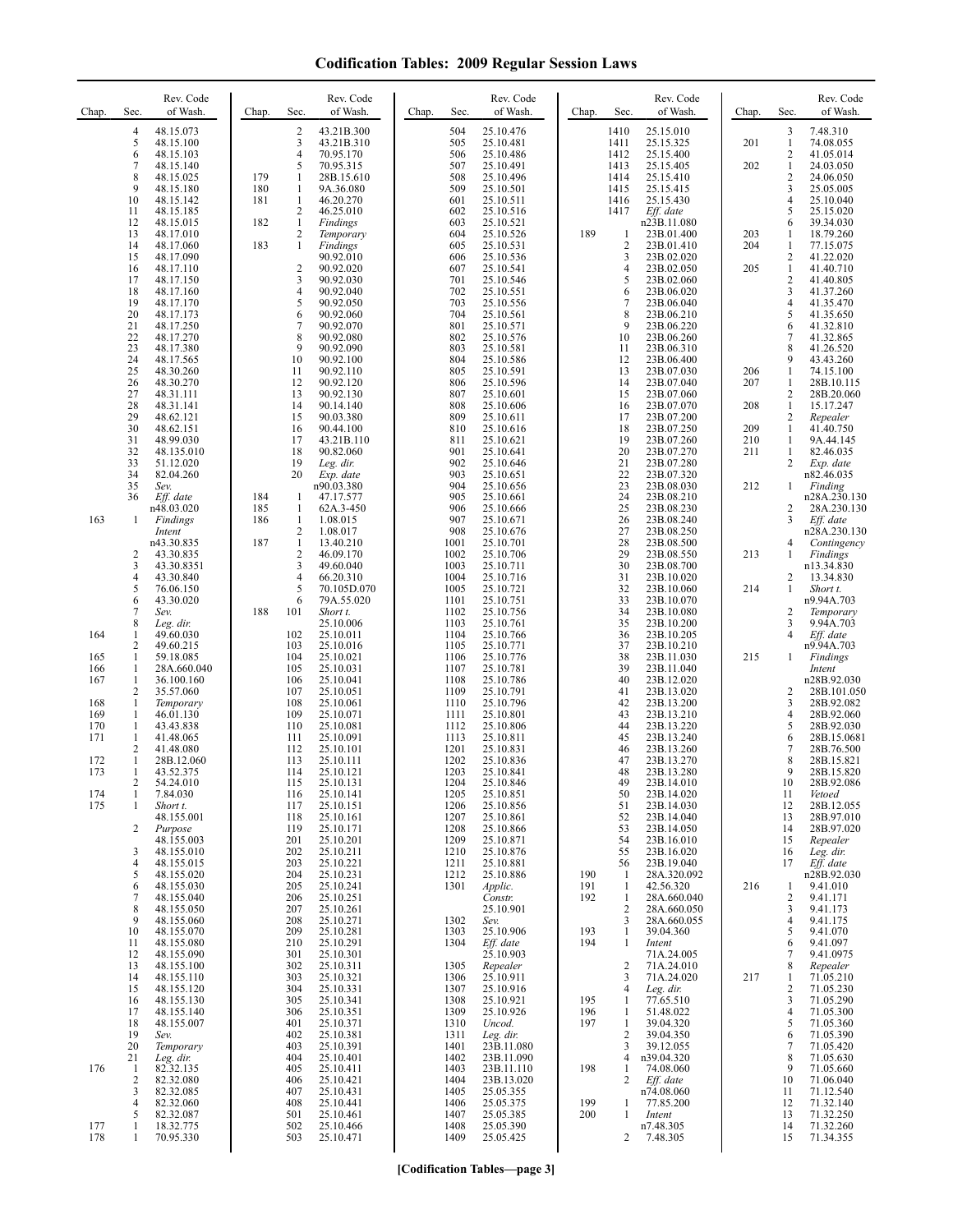| Chap.                                                              | Sec.                                                                                                                                                            | Rev. Code<br>of Wash.                                                                                                                                                                                                                      | Chap.                    | Sec.                                                                                                                       | Rev. Code<br>of Wash.                                                                                                                                                                                                                  | Chap. | Sec.                                                                                                                                         | Rev. Code<br>of Wash.                                                                                                                                                                                                                  | Chap.                                                | Sec.                                                                                                              | Rev. Code<br>of Wash.                                                                                                                                                                                                                                    | Chap.                           | Sec.                                                                                                     | Rev. Code<br>of Wash.                                                                                                                                                                                                                           |
|--------------------------------------------------------------------|-----------------------------------------------------------------------------------------------------------------------------------------------------------------|--------------------------------------------------------------------------------------------------------------------------------------------------------------------------------------------------------------------------------------------|--------------------------|----------------------------------------------------------------------------------------------------------------------------|----------------------------------------------------------------------------------------------------------------------------------------------------------------------------------------------------------------------------------------|-------|----------------------------------------------------------------------------------------------------------------------------------------------|----------------------------------------------------------------------------------------------------------------------------------------------------------------------------------------------------------------------------------------|------------------------------------------------------|-------------------------------------------------------------------------------------------------------------------|----------------------------------------------------------------------------------------------------------------------------------------------------------------------------------------------------------------------------------------------------------|---------------------------------|----------------------------------------------------------------------------------------------------------|-------------------------------------------------------------------------------------------------------------------------------------------------------------------------------------------------------------------------------------------------|
|                                                                    | 4<br>5<br>6<br>7<br>8                                                                                                                                           | 48.15.073<br>48.15.100<br>48.15.103<br>48.15.140<br>48.15.025                                                                                                                                                                              | 179                      | 2<br>3<br>4<br>5<br>1                                                                                                      | 43.21B.300<br>43.21B.310<br>70.95.170<br>70.95.315<br>28B.15.610                                                                                                                                                                       |       | 504<br>505<br>506<br>507<br>508                                                                                                              | 25.10.476<br>25.10.481<br>25.10.486<br>25.10.491<br>25.10.496                                                                                                                                                                          |                                                      | 1410<br>1411<br>1412<br>1413<br>1414                                                                              | 25.15.010<br>25.15.325<br>25.15.400<br>25.15.405<br>25.15.410                                                                                                                                                                                            | 201<br>202                      | 3<br>$\mathbf{1}$<br>$\sqrt{2}$<br>$\mathbf{1}$<br>$\overline{c}$                                        | 7.48.310<br>74.08.055<br>41.05.014<br>24.03.050<br>24.06.050                                                                                                                                                                                    |
|                                                                    | 9<br>10<br>11<br>12<br>13<br>14<br>15<br>16<br>17                                                                                                               | 48.15.180<br>48.15.142<br>48.15.185<br>48.15.015<br>48.17.010<br>48.17.060<br>48.17.090<br>48.17.110<br>48.17.150                                                                                                                          | 180<br>181<br>182<br>183 | $\mathbf{1}$<br>$\mathbf{1}$<br>2<br>$\,1$<br>2<br>$\mathbf{1}$<br>$\sqrt{2}$<br>3                                         | 9A.36.080<br>46.20.270<br>46.25.010<br>Findings<br>Temporary<br>Findings<br>90.92.010<br>90.92.020<br>90.92.030                                                                                                                        |       | 509<br>601<br>602<br>603<br>604<br>605<br>606<br>607<br>701                                                                                  | 25.10.501<br>25.10.511<br>25.10.516<br>25.10.521<br>25.10.526<br>25.10.531<br>25.10.536<br>25.10.541<br>25.10.546                                                                                                                      | 189                                                  | 1415<br>1416<br>1417<br>1<br>$\sqrt{2}$<br>3<br>$\overline{4}$<br>5                                               | 25.15.415<br>25.15.430<br>Eff. date<br>n23B.11.080<br>23B.01.400<br>23B.01.410<br>23B.02.020<br>23B.02.050<br>23B.02.060                                                                                                                                 | 203<br>204<br>205               | 3<br>4<br>5<br>6<br>1<br>1<br>2<br>$\mathbf{1}$<br>2                                                     | 25.05.005<br>25.10.040<br>25.15.020<br>39.34.030<br>18.79.260<br>77.15.075<br>41.22.020<br>41.40.710<br>41.40.805                                                                                                                               |
|                                                                    | 18<br>19<br>20<br>21<br>22<br>23<br>24<br>25<br>26<br>27<br>28<br>29<br>30<br>31                                                                                | 48.17.160<br>48.17.170<br>48.17.173<br>48.17.250<br>48.17.270<br>48.17.380<br>48.17.565<br>48.30.260<br>48.30.270<br>48.31.111<br>48.31.141<br>48.62.121<br>48.62.151<br>48.99.030                                                         |                          | 4<br>5<br>6<br>7<br>8<br>9<br>10<br>11<br>12<br>13<br>14<br>15<br>16<br>17                                                 | 90.92.040<br>90.92.050<br>90.92.060<br>90.92.070<br>90.92.080<br>90.92.090<br>90.92.100<br>90.92.110<br>90.92.120<br>90.92.130<br>90.14.140<br>90.03.380<br>90.44.100<br>43.21B.110                                                    |       | 702<br>703<br>704<br>801<br>802<br>803<br>804<br>805<br>806<br>807<br>808<br>809<br>810<br>811                                               | 25.10.551<br>25.10.556<br>25.10.561<br>25.10.571<br>25.10.576<br>25.10.581<br>25.10.586<br>25.10.591<br>25.10.596<br>25.10.601<br>25.10.606<br>25.10.611<br>25.10.616<br>25.10.621                                                     |                                                      | 6<br>$\overline{7}$<br>8<br>9<br>10<br>11<br>12<br>13<br>14<br>15<br>16<br>17<br>18<br>19                         | 23B.06.020<br>23B.06.040<br>23B.06.210<br>23B.06.220<br>23B.06.260<br>23B.06.310<br>23B.06.400<br>23B.07.030<br>23B.07.040<br>23B.07.060<br>23B.07.070<br>23B.07.200<br>23B.07.250<br>23B.07.260                                                         | 206<br>207<br>208<br>209<br>210 | 3<br>4<br>5<br>6<br>$\tau$<br>8<br>9<br>$\mathbf{1}$<br>1<br>2<br>$\mathbf{1}$<br>2<br>$\mathbf{1}$<br>1 | 41.37.260<br>41.35.470<br>41.35.650<br>41.32.810<br>41.32.865<br>41.26.520<br>43.43.260<br>74.15.100<br>28B.10.115<br>28B.20.060<br>15.17.247<br>Repealer<br>41.40.750<br>9A.44.145                                                             |
| 163                                                                | 32<br>33<br>34<br>35<br>36<br>1                                                                                                                                 | 48.135.010<br>51.12.020<br>82.04.260<br>Sev.<br>Eff. date<br>n48.03.020                                                                                                                                                                    | 184<br>185<br>186        | 18<br>19<br>20<br>$\mathbf{1}$<br>$\mathbf{1}$<br>$\mathbf{1}$                                                             | 90.82.060<br>Leg. dir.<br>Exp. date<br>n90.03.380<br>47.17.577<br>62A.3-450<br>1.08.015                                                                                                                                                |       | 901<br>902<br>903<br>904<br>905<br>906<br>907                                                                                                | 25.10.641<br>25.10.646<br>25.10.651<br>25.10.656<br>25.10.661<br>25.10.666<br>25.10.671                                                                                                                                                |                                                      | 20<br>21<br>22<br>23<br>24<br>25<br>26                                                                            | 23B.07.270<br>23B.07.280<br>23B.07.320<br>23B.08.030<br>23B.08.210<br>23B.08.230<br>23B.08.240                                                                                                                                                           | 211<br>212                      | $\mathbf{1}$<br>2<br>1<br>2<br>3                                                                         | 82.46.035<br>Exp. date<br>n82.46.035<br>Finding<br>n28A.230.130<br>28A.230.130<br>Eff. date                                                                                                                                                     |
|                                                                    | $\overline{c}$<br>3<br>4<br>5                                                                                                                                   | Findings<br>Intent<br>n43.30.835<br>43.30.835<br>43.30.8351<br>43.30.840<br>76.06.150                                                                                                                                                      | 187                      | 2<br>1<br>$\mathfrak{2}$<br>3<br>$\overline{4}$<br>5                                                                       | 1.08.017<br>13.40.210<br>46.09.170<br>49.60.040<br>66.20.310<br>70.105D.070                                                                                                                                                            |       | 908<br>1001<br>1002<br>1003<br>1004<br>1005                                                                                                  | 25.10.676<br>25.10.701<br>25.10.706<br>25.10.711<br>25.10.716<br>25.10.721                                                                                                                                                             |                                                      | 27<br>28<br>29<br>30<br>31<br>32                                                                                  | 23B.08.250<br>23B.08.500<br>23B.08.550<br>23B.08.700<br>23B.10.020<br>23B.10.060                                                                                                                                                                         | 213<br>214                      | 4<br>1<br>2<br>1                                                                                         | n28A.230.130<br>Contingency<br>Findings<br>n13.34.830<br>13.34.830<br>Short t.                                                                                                                                                                  |
| 164<br>165                                                         | 6<br>$\tau$<br>8<br>1<br>$\overline{c}$<br>$\mathbf{1}$                                                                                                         | 43.30.020<br>Sev.<br>Leg. dir.<br>49.60.030<br>49.60.215<br>59.18.085                                                                                                                                                                      | 188                      | 6<br>101<br>102<br>103<br>104                                                                                              | 79A.55.020<br>Short t.<br>25.10.006<br>25.10.011<br>25.10.016<br>25.10.021                                                                                                                                                             |       | 1101<br>1102<br>1103<br>1104<br>1105<br>1106                                                                                                 | 25.10.751<br>25.10.756<br>25.10.761<br>25.10.766<br>25.10.771<br>25.10.776                                                                                                                                                             |                                                      | 33<br>34<br>35<br>36<br>37<br>38                                                                                  | 23B.10.070<br>23B.10.080<br>23B.10.200<br>23B.10.205<br>23B.10.210<br>23B.11.030                                                                                                                                                                         | 215                             | 2<br>3<br>$\overline{4}$<br>$\mathbf{1}$                                                                 | n9.94A.703<br>Temporary<br>9.94A.703<br>Eff. date<br>n9.94A.703<br><b>Findings</b>                                                                                                                                                              |
| 166<br>167<br>168<br>169<br>170<br>171<br>172<br>173<br>174<br>175 | 1<br>1<br>$\overline{2}$<br>$\mathbf{1}$<br>1<br>1<br>1<br>$\overline{c}$<br>$\mathbf{1}$<br>1<br>2<br>$\mathbf{1}$<br>$\mathbf{1}$<br>2<br>3<br>$\overline{4}$ | 28A.660.040<br>36.100.160<br>35.57.060<br>Temporary<br>46.01.130<br>43.43.838<br>41.48.065<br>41.48.080<br>28B.12.060<br>43.52.375<br>54.24.010<br>7.84.030<br>Short t.<br>48.155.001<br>Purpose<br>48.155.003<br>48.155.010<br>48.155.015 |                          | 105<br>106<br>107<br>108<br>109<br>110<br>111<br>112<br>113<br>114<br>115<br>116<br>117<br>118<br>119<br>201<br>202<br>203 | 25.10.031<br>25.10.041<br>25.10.051<br>25.10.061<br>25.10.071<br>25.10.081<br>25.10.091<br>25.10.101<br>25.10.111<br>25.10.121<br>25.10.131<br>25.10.141<br>25.10.151<br>25.10.161<br>25.10.171<br>25.10.201<br>25.10.211<br>25.10.221 |       | 1107<br>1108<br>1109<br>1110<br>1111<br>1112<br>1113<br>1201<br>1202<br>1203<br>1204<br>1205<br>1206<br>1207<br>1208<br>1209<br>1210<br>1211 | 25.10.781<br>25.10.786<br>25.10.791<br>25.10.796<br>25.10.801<br>25.10.806<br>25.10.811<br>25.10.831<br>25.10.836<br>25.10.841<br>25.10.846<br>25.10.851<br>25.10.856<br>25.10.861<br>25.10.866<br>25.10.871<br>25.10.876<br>25.10.881 |                                                      | 39<br>40<br>41<br>42<br>43<br>44<br>45<br>46<br>47<br>48<br>49<br>50<br>51<br>52<br>53<br>54<br>55<br>56          | 23B.11.040<br>23B.12.020<br>23B.13.020<br>23B.13.200<br>23B.13.210<br>23B.13.220<br>23B.13.240<br>23B.13.260<br>23B.13.270<br>23B.13.280<br>23B.14.010<br>23B.14.020<br>23B.14.030<br>23B.14.040<br>23B.14.050<br>23B.16.010<br>23B.16.020<br>23B.19.040 |                                 | 2<br>3<br>4<br>5<br>6<br>7<br>8<br>9<br>10<br>11<br>12<br>13<br>14<br>15<br>16<br>17                     | Intent<br>n28B.92.030<br>28B.101.050<br>28B.92.082<br>28B.92.060<br>28B.92.030<br>28B.15.0681<br>28B.76.500<br>28B.15.821<br>28B.15.820<br>28B.92.086<br>Vetoed<br>28B.12.055<br>28B.97.010<br>28B.97.020<br>Repealer<br>Leg. dir.<br>Eff. date |
|                                                                    | 5<br>6<br>7<br>$\,$ 8 $\,$<br>9<br>10<br>11<br>12<br>13<br>14<br>15<br>16<br>17<br>18                                                                           | 48.155.020<br>48.155.030<br>48.155.040<br>48.155.050<br>48.155.060<br>48.155.070<br>48.155.080<br>48.155.090<br>48.155.100<br>48.155.110<br>48.155.120<br>48.155.130<br>48.155.140<br>48.155.007                                           |                          | 204<br>205<br>206<br>207<br>208<br>209<br>210<br>301<br>302<br>303<br>304<br>305<br>306<br>401                             | 25.10.231<br>25.10.241<br>25.10.251<br>25.10.261<br>25.10.271<br>25.10.281<br>25.10.291<br>25.10.301<br>25.10.311<br>25.10.321<br>25.10.331<br>25.10.341<br>25.10.351<br>25.10.371                                                     |       | 1212<br>1301<br>1302<br>1303<br>1304<br>1305<br>1306<br>1307<br>1308<br>1309<br>1310                                                         | 25.10.886<br>Applic.<br>Constr.<br>25.10.901<br>Sev.<br>25.10.906<br>Eff. date<br>25.10.903<br>Repealer<br>25.10.911<br>25.10.916<br>25.10.921<br>25.10.926<br>Uncod.                                                                  | 190<br>191<br>192<br>193<br>194<br>195<br>196<br>197 | -1<br>-1<br>1<br>$\overline{2}$<br>3<br>1<br>1<br>$\overline{2}$<br>3<br>$\overline{4}$<br>$\mathbf{1}$<br>1<br>1 | 28A.320.092<br>42.56.320<br>28A.660.040<br>28A.660.050<br>28A.660.055<br>39.04.360<br>Intent<br>71A.24.005<br>71A.24.010<br>71A.24.020<br>Leg. dir.<br>77.65.510<br>51.48.022<br>39.04.320                                                               | 216<br>217                      | 1<br>2<br>3<br>$\overline{4}$<br>5<br>6<br>7<br>8<br>1<br>2<br>3<br>4<br>5                               | n28B.92.030<br>9.41.010<br>9.41.171<br>9.41.173<br>9.41.175<br>9.41.070<br>9.41.097<br>9.41.0975<br>Repealer<br>71.05.210<br>71.05.230<br>71.05.290<br>71.05.300<br>71.05.360                                                                   |
| 176                                                                | 19<br>20<br>21<br>$\mathbf{1}$<br>$\overline{c}$<br>3<br>$\overline{4}$                                                                                         | Sev.<br>Temporary<br>Leg. dir.<br>82.32.135<br>82.32.080<br>82.32.085<br>82.32.060                                                                                                                                                         |                          | 402<br>403<br>404<br>405<br>406<br>407<br>408                                                                              | 25.10.381<br>25.10.391<br>25.10.401<br>25.10.411<br>25.10.421<br>25.10.431<br>25.10.441                                                                                                                                                |       | 1311<br>1401<br>1402<br>1403<br>1404<br>1405<br>1406                                                                                         | Leg. dir.<br>23B.11.080<br>23B.11.090<br>23B.11.110<br>23B.13.020<br>25.05.355<br>25.05.375                                                                                                                                            | 198<br>199                                           | $\overline{c}$<br>3<br>$\overline{4}$<br>1<br>2<br>1                                                              | 39.04.350<br>39.12.055<br>n39.04.320<br>74.08.060<br>Eff. date<br>n74.08.060<br>77.85.200                                                                                                                                                                |                                 | 6<br>$\tau$<br>8<br>9<br>10<br>11<br>12                                                                  | 71.05.390<br>71.05.420<br>71.05.630<br>71.05.660<br>71.06.040<br>71.12.540<br>71.32.140                                                                                                                                                         |
| 177<br>178                                                         | 5<br>1<br>1                                                                                                                                                     | 82.32.087<br>18.32.775<br>70.95.330                                                                                                                                                                                                        |                          | 501<br>502<br>503                                                                                                          | 25.10.461<br>25.10.466<br>25.10.471                                                                                                                                                                                                    |       | 1407<br>1408<br>1409                                                                                                                         | 25.05.385<br>25.05.390<br>25.05.425                                                                                                                                                                                                    | 200                                                  | 1<br>$\overline{2}$                                                                                               | Intent<br>n7.48.305<br>7.48.305                                                                                                                                                                                                                          |                                 | 13<br>14<br>15                                                                                           | 71.32.250<br>71.32.260<br>71.34.355                                                                                                                                                                                                             |

**[Codification Tables—page 3]**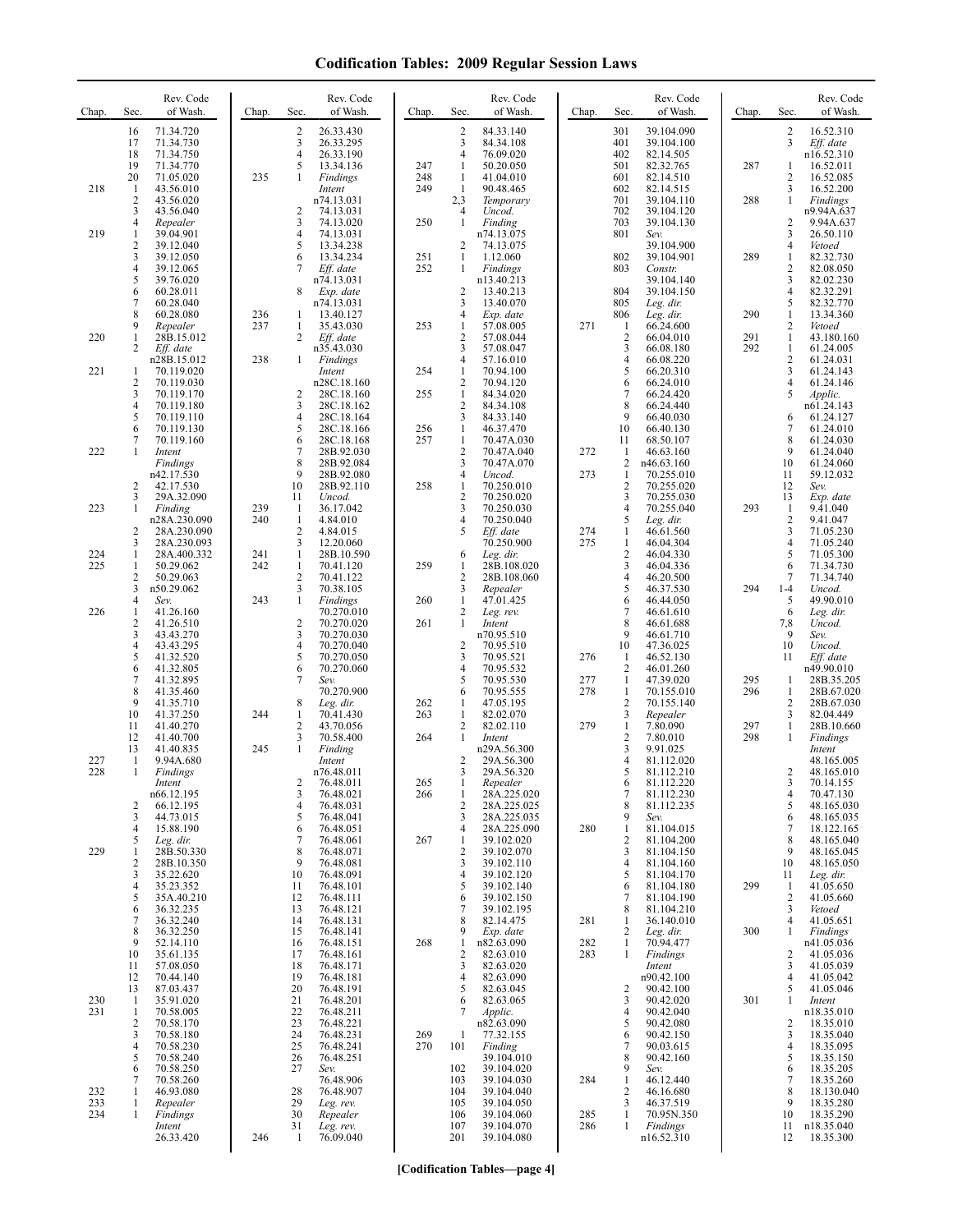| Chap.      | Sec.                    | Rev. Code<br>of Wash.               | Chap.      | Sec.                     | Rev. Code<br>of Wash.               | Chap.      | Sec.                                  | Rev. Code<br>of Wash.               | Chap.      | Sec.                           | Rev. Code<br>of Wash.                 | Chap. | Sec.                 | Rev. Code<br>of Wash.                |
|------------|-------------------------|-------------------------------------|------------|--------------------------|-------------------------------------|------------|---------------------------------------|-------------------------------------|------------|--------------------------------|---------------------------------------|-------|----------------------|--------------------------------------|
|            | 16<br>17<br>18          | 71.34.720<br>71.34.730<br>71.34.750 |            | 2<br>3<br>$\overline{4}$ | 26.33.430<br>26.33.295<br>26.33.190 |            | $\overline{2}$<br>3<br>$\overline{4}$ | 84.33.140<br>84.34.108<br>76.09.020 |            | 301<br>401<br>402              | 39.104.090<br>39.104.100<br>82.14.505 |       | 2<br>3               | 16.52.310<br>Eff. date<br>n16.52.310 |
|            | 19<br>20                | 71.34.770<br>71.05.020              | 235        | 5<br>1                   | 13.34.136<br>Findings               | 247<br>248 | $\mathbf{1}$<br>$\mathbf{1}$          | 50.20.050<br>41.04.010              |            | 501<br>601                     | 82.32.765<br>82.14.510                | 287   | 1<br>2               | 16.52.011<br>16.52.085               |
| 218        | $\mathbf{1}$            | 43.56.010                           |            |                          | Intent                              | 249        | $\mathbf{1}$                          | 90.48.465                           |            | 602                            | 82.14.515                             |       | 3                    | 16.52.200                            |
|            | 2<br>3                  | 43.56.020<br>43.56.040              |            | 2                        | n74.13.031<br>74.13.031             |            | 2,3<br>4                              | Temporary<br>Uncod.                 |            | 701<br>702                     | 39.104.110<br>39.104.120              | 288   | 1                    | Findings<br>n9.94A.637               |
| 219        | 4<br>1                  | Repealer<br>39.04.901               |            | 3<br>4                   | 74.13.020<br>74.13.031              | 250        | 1                                     | Finding<br>n74.13.075               |            | 703<br>801                     | 39.104.130<br>Sev.                    |       | 2<br>3               | 9.94A.637<br>26.50.110               |
|            | 2<br>3                  | 39.12.040<br>39.12.050              |            | 5<br>6                   | 13.34.238<br>13.34.234              | 251        | 2<br>1                                | 74.13.075<br>1.12.060               |            | 802                            | 39.104.900<br>39.104.901              | 289   | 4<br>1               | Vetoed<br>82.32.730                  |
|            | 4                       | 39.12.065                           |            |                          | Eff. date                           | 252        | 1                                     | Findings                            |            | 803                            | Constr.                               |       | $\overline{c}$       | 82.08.050                            |
|            | 5<br>6                  | 39.76.020<br>60.28.011              |            | 8                        | n74.13.031<br>Exp. date             |            | $\overline{2}$                        | n13.40.213<br>13.40.213             |            | 804                            | 39.104.140<br>39.104.150              |       | 3<br>4               | 82.02.230<br>82.32.291               |
|            | 7<br>8                  | 60.28.040<br>60.28.080              | 236        | 1                        | n74.13.031<br>13.40.127             |            | 3<br>4                                | 13.40.070<br>Exp. date              |            | 805<br>806                     | Leg. dir.<br>Leg. dir.                | 290   | 5<br>$\mathbf{1}$    | 82.32.770<br>13.34.360               |
| 220        | 9<br>1                  | Repealer<br>28B.15.012              | 237        | 1<br>2                   | 35.43.030<br>Eff. date              | 253        | 1<br>2                                | 57.08.005<br>57.08.044              | 271        | $\mathbf{1}$<br>$\overline{c}$ | 66.24.600<br>66.04.010                | 291   | 2<br>$\mathbf{1}$    | Vetoed<br>43.180.160                 |
|            | 2                       | Eff. date<br>n28B.15.012            | 238        | 1                        | n35.43.030<br>Findings              |            | 3<br>4                                | 57.08.047<br>57.16.010              |            | 3<br>$\overline{4}$            | 66.08.180<br>66.08.220                | 292   | 1<br>2               | 61.24.005<br>61.24.031               |
| 221        | $\mathbf{1}$            | 70.119.020                          |            |                          | Intent                              | 254        | $\mathbf{1}$                          | 70.94.100                           |            | 5                              | 66.20.310                             |       | 3                    | 61.24.143                            |
|            | $\overline{2}$<br>3     | 70.119.030<br>70.119.170            |            | 2                        | n28C.18.160<br>28C.18.160           | 255        | $\overline{2}$<br>$\mathbf{1}$        | 70.94.120<br>84.34.020              |            | 6<br>7                         | 66.24.010<br>66.24.420                |       | 4<br>5               | 61.24.146<br>Applic.                 |
|            | 4<br>5                  | 70.119.180<br>70.119.110            |            | 3<br>4                   | 28C.18.162<br>28C.18.164            |            | $\overline{2}$<br>3                   | 84.34.108<br>84.33.140              |            | 8<br>9                         | 66.24.440<br>66.40.030                |       | 6                    | n61.24.143<br>61.24.127              |
|            | 6<br>7                  | 70.119.130<br>70.119.160            |            | 5<br>6                   | 28C.18.166<br>28C.18.168            | 256<br>257 | $\mathbf{1}$<br>$\mathbf{1}$          | 46.37.470<br>70.47A.030             |            | 10<br>11                       | 66.40.130<br>68.50.107                |       | 7<br>8               | 61.24.010<br>61.24.030               |
| 222        |                         | Intent                              |            | 7<br>8                   | 28B.92.030                          |            | $\sqrt{2}$                            | 70.47A.040                          | 272        | 1<br>$\overline{\mathbf{c}}$   | 46.63.160                             |       | 9<br>10              | 61.24.040<br>61.24.060               |
|            |                         | Findings<br>n42.17.530              |            | 9                        | 28B.92.084<br>28B.92.080            |            | 3<br>4                                | 70.47A.070<br>Uncod.                | 273        | 1                              | n46.63.160<br>70.255.010              |       | 11                   | 59.12.032                            |
|            | $\overline{2}$<br>3     | 42.17.530<br>29A.32.090             |            | 10<br>11                 | 28B.92.110<br>Uncod.                | 258        | $\mathbf{1}$<br>$\overline{2}$        | 70.250.010<br>70.250.020            |            | $\overline{2}$<br>3            | 70.255.020<br>70.255.030              |       | 12<br>13             | Sev.<br>Exp. date                    |
| 223        | 1                       | Finding<br>n28A.230.090             | 239<br>240 | 1<br>1                   | 36.17.042<br>4.84.010               |            | 3<br>4                                | 70.250.030<br>70.250.040            |            | $\overline{4}$<br>5            | 70.255.040<br>Leg. dir.               | 293   | -1<br>2              | 9.41.040<br>9.41.047                 |
|            | $\overline{2}$<br>3     | 28A.230.090<br>28A.230.093          |            | 2<br>3                   | 4.84.015<br>12.20.060               |            | 5                                     | Eff. date<br>70.250.900             | 274<br>275 | 1<br>1                         | 46.61.560<br>46.04.304                |       | 3<br>4               | 71.05.230<br>71.05.240               |
| 224<br>225 | 1<br>1                  | 28A.400.332<br>50.29.062            | 241<br>242 | $\mathbf{1}$<br>1        | 28B.10.590<br>70.41.120             | 259        | 6<br>-1                               | Leg. dir.<br>28B.108.020            |            | $\overline{c}$<br>3            | 46.04.330<br>46.04.336                |       | 5<br>6               | 71.05.300<br>71.34.730               |
|            | $\overline{\mathbf{c}}$ | 50.29.063                           |            | $\mathbf{2}$             | 70.41.122                           |            | $\overline{2}$                        | 28B.108.060                         |            | $\overline{4}$                 | 46.20.500                             |       | 7                    | 71.34.740                            |
|            | 3<br>4                  | n50.29.062<br>Sev.                  | 243        | 3<br>$\mathbf{1}$        | 70.38.105<br>Findings               | 260        | 3<br>$\mathbf{1}$                     | Repealer<br>47.01.425               |            | 5<br>6                         | 46.37.530<br>46.44.050                | 294   | $1 - 4$<br>5         | Uncod.<br>49.90.010                  |
| 226        | -1<br>2                 | 41.26.160<br>41.26.510              |            | $\overline{2}$           | 70.270.010<br>70.270.020            | 261        | $\overline{2}$<br>1                   | Leg. rev.<br>Intent                 |            | $\overline{7}$<br>8            | 46.61.610<br>46.61.688                |       | 6<br>7,8             | Leg. dir.<br>Uncod.                  |
|            | 3<br>4                  | 43.43.270<br>43.43.295              |            | 3<br>4                   | 70.270.030<br>70.270.040            |            | $\overline{\mathbf{c}}$               | n70.95.510<br>70.95.510             |            | 9<br>10                        | 46.61.710<br>47.36.025                |       | 9<br>10              | Sev.<br>Uncod.                       |
|            | 5                       | 41.32.520                           |            | 5<br>6                   | 70.270.050                          |            | 3<br>4                                | 70.95.521                           | 276        | 1<br>$\overline{2}$            | 46.52.130                             |       | 11                   | Eff. date                            |
|            | 6<br>7                  | 41.32.805<br>41.32.895              |            | 7                        | 70.270.060<br>Sev.                  |            | 5                                     | 70.95.532<br>70.95.530              | 277        | 1                              | 46.01.260<br>47.39.020                | 295   | 1                    | n49.90.010<br>28B.35.205             |
|            | 8<br>9                  | 41.35.460<br>41.35.710              |            | 8                        | 70.270.900<br>Leg. dir.             | 262        | 6<br>1                                | 70.95.555<br>47.05.195              | 278        | 1<br>$\overline{2}$            | 70.155.010<br>70.155.140              | 296   | 1<br>2               | 28B.67.020<br>28B.67.030             |
|            | 10<br>11                | 41.37.250<br>41.40.270              | 244        | 1<br>$\overline{c}$      | 70.41.430<br>43.70.056              | 263        | 1<br>2                                | 82.02.070<br>82.02.110              | 279        | 3<br>1                         | Repealer<br>7.80.090                  | 297   | 3<br>$\mathbf{1}$    | 82.04.449<br>28B.10.660              |
|            | 12<br>13                | 41.40.700<br>41.40.835              | 245        | 3<br>$\mathbf{1}$        | 70.58.400<br>Finding                | 264        | 1                                     | Intent<br>n29A.56.300               |            | $\overline{c}$<br>3            | 7.80.010<br>9.91.025                  | 298   | 1                    | Findings<br>Intent                   |
| 227<br>228 | -1<br>-1                | 9.94A.680<br>Findings               |            |                          | Intent<br>n76.48.011                |            | $\overline{2}$<br>3                   | 29A.56.300<br>29A.56.320            |            | $\overline{4}$<br>5            | 81.112.020<br>81.112.210              |       | 2                    | 48.165.005<br>48.165.010             |
|            |                         | Intent                              |            | 2                        | 76.48.011                           | 265        | -1                                    | Repealer                            |            | 6<br>$\sqrt{ }$                | 81.112.220                            |       | $\mathfrak{z}$       | 70.14.155                            |
|            | 2                       | n66.12.195<br>66.12.195             |            | 3<br>4                   | 76.48.021<br>76.48.031              | 266        | $\mathbf{1}$<br>$\overline{2}$        | 28A.225.020<br>28A.225.025          |            | 8                              | 81.112.230<br>81.112.235              |       | 4<br>5               | 70.47.130<br>48.165.030              |
|            | 3<br>4                  | 44.73.015<br>15.88.190              |            | 5<br>6                   | 76.48.041<br>76.48.051              |            | 3<br>4                                | 28A.225.035<br>28A.225.090          | 280        | 9<br>$\mathbf{1}$              | Sev.<br>81.104.015                    |       | 6<br>7               | 48.165.035<br>18.122.165             |
| 229        | 5<br>1                  | Leg. dir.<br>28B.50.330             |            | $\overline{7}$<br>8      | 76.48.061<br>76.48.071              | 267        | $\mathbf{1}$<br>$\overline{c}$        | 39.102.020<br>39.102.070            |            | $\overline{2}$<br>3            | 81.104.200<br>81.104.150              |       | 8<br>9               | 48.165.040<br>48.165.045             |
|            | 2<br>3                  | 28B.10.350<br>35.22.620             |            | 9<br>10                  | 76.48.081<br>76.48.091              |            | 3<br>$\overline{4}$                   | 39.102.110<br>39.102.120            |            | $\overline{4}$<br>5            | 81.104.160<br>81.104.170              |       | 10<br>11             | 48.165.050<br>Leg. dir.              |
|            | 4<br>5                  | 35.23.352<br>35A.40.210             |            | 11<br>12                 | 76.48.101<br>76.48.111              |            | 5                                     | 39.102.140<br>39.102.150            |            | 6<br>7                         | 81.104.180<br>81.104.190              | 299   | -1<br>$\overline{2}$ | 41.05.650<br>41.05.660               |
|            | 6                       | 36.32.235                           |            | 13                       | 76.48.121                           |            | 6<br>7                                | 39.102.195                          |            | 8                              | 81.104.210                            |       | 3                    | Vetoed                               |
|            | 7<br>8                  | 36.32.240<br>36.32.250              |            | 14<br>15                 | 76.48.131<br>76.48.141              |            | 8<br>9                                | 82.14.475<br>Exp. date              | 281        | 1<br>$\overline{c}$            | 36.140.010<br>Leg. dir.               | 300   | 4<br>1               | 41.05.651<br>Findings                |
|            | 9<br>10                 | 52.14.110<br>35.61.135              |            | 16<br>17                 | 76.48.151<br>76.48.161              | 268        | $\mathbf{1}$<br>2                     | n82.63.090<br>82.63.010             | 282<br>283 | 1<br>$\mathbf{1}$              | 70.94.477<br>Findings                 |       | 2                    | n41.05.036<br>41.05.036              |
|            | 11<br>12                | 57.08.050<br>70.44.140              |            | 18<br>19                 | 76.48.171<br>76.48.181              |            | 3<br>4                                | 82.63.020<br>82.63.090              |            |                                | Intent<br>n90.42.100                  |       | 3<br>4               | 41.05.039<br>41.05.042               |
| 230        | 13<br>-1                | 87.03.437<br>35.91.020              |            | 20<br>21                 | 76.48.191<br>76.48.201              |            | 5<br>6                                | 82.63.045<br>82.63.065              |            | $\overline{c}$<br>3            | 90.42.100<br>90.42.020                | 301   | 5<br>1               | 41.05.046<br>Intent                  |
| 231        | $\mathbf{1}$            | 70.58.005                           |            | 22                       | 76.48.211                           |            | 7                                     | Applic.                             |            | $\overline{4}$                 | 90.42.040                             |       |                      | n18.35.010                           |
|            | 2<br>3                  | 70.58.170<br>70.58.180              |            | 23<br>24                 | 76.48.221<br>76.48.231              | 269        | $\mathbf{1}$                          | n82.63.090<br>77.32.155             |            | 5<br>6                         | 90.42.080<br>90.42.150                |       | 2<br>3               | 18.35.010<br>18.35.040               |
|            | 4<br>5                  | 70.58.230<br>70.58.240              |            | 25<br>26                 | 76.48.241<br>76.48.251              | 270        | 101                                   | Finding<br>39.104.010               |            | 7<br>8                         | 90.03.615<br>90.42.160                |       | $\overline{4}$<br>5  | 18.35.095<br>18.35.150               |
|            | 6<br>7                  | 70.58.250<br>70.58.260              |            | 27                       | Sev.<br>76.48.906                   |            | 102<br>103                            | 39.104.020<br>39.104.030            | 284        | 9<br>1                         | Sev.<br>46.12.440                     |       | 6<br>7               | 18.35.205<br>18.35.260               |
| 232<br>233 | 1<br>1                  | 46.93.080<br>Repealer               |            | 28<br>29                 | 76.48.907<br>Leg. rev.              |            | 104<br>105                            | 39.104.040<br>39.104.050            |            | $\overline{2}$<br>3            | 46.16.680<br>46.37.519                |       | 8<br>9               | 18.130.040<br>18.35.280              |
| 234        | 1                       | Findings                            |            | 30<br>31                 | Repealer                            |            | 106<br>107                            | 39.104.060<br>39.104.070            | 285        | 1<br>$\mathbf{1}$              | 70.95N.350<br>Findings                |       | 10                   | 18.35.290<br>n18.35.040              |
|            |                         | Intent<br>26.33.420                 | 246        | 1                        | Leg. rev.<br>76.09.040              |            | 201                                   | 39.104.080                          | 286        |                                | n16.52.310                            |       | 11<br>12             | 18.35.300                            |

**[Codification Tables—page 4]**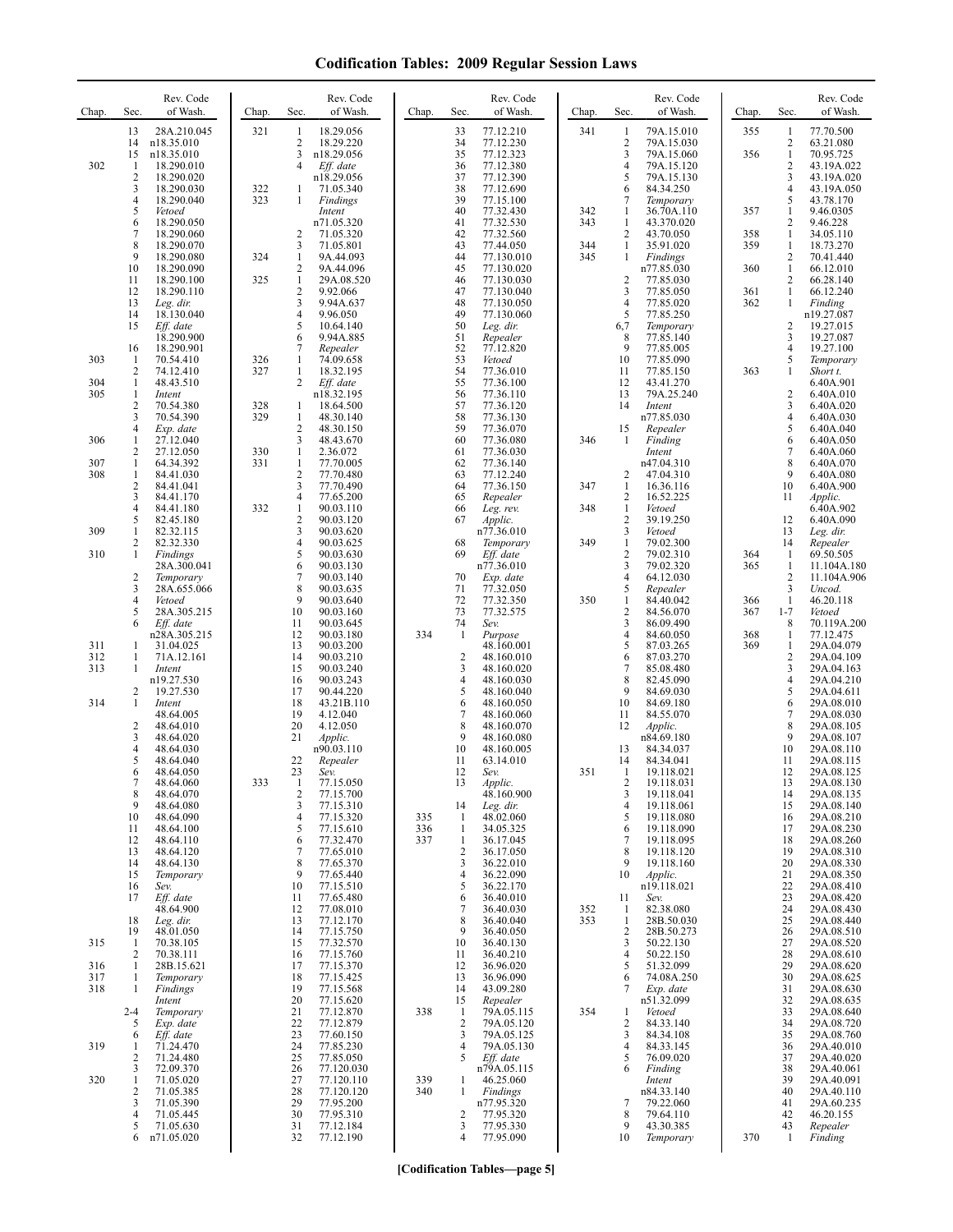| Chap.                    | Sec.                                | Rev. Code<br>of Wash.                                           | Chap.      | Rev. Code<br>Sec.<br>of Wash.                                                                                                 | Chap.      | Sec.                                          | Rev. Code<br>of Wash.                                           | Chap.      | Sec.                                                         | Rev. Code<br>of Wash.                                            | Chap.             | Sec.                                   | Rev. Code<br>of Wash.                                              |
|--------------------------|-------------------------------------|-----------------------------------------------------------------|------------|-------------------------------------------------------------------------------------------------------------------------------|------------|-----------------------------------------------|-----------------------------------------------------------------|------------|--------------------------------------------------------------|------------------------------------------------------------------|-------------------|----------------------------------------|--------------------------------------------------------------------|
| 302                      | 13<br>14<br>15<br>1                 | 28A.210.045<br>n18.35.010<br>n18.35.010<br>18.290.010           | 321        | 18.29.056<br>-1<br>$\overline{2}$<br>18.29.220<br>3<br>n18.29.056<br>Eff. date<br>4                                           |            | 33<br>34<br>35<br>36                          | 77.12.210<br>77.12.230<br>77.12.323<br>77.12.380                | 341        | -1<br>$\overline{c}$<br>3<br>4                               | 79A.15.010<br>79A.15.030<br>79A.15.060<br>79A.15.120             | 355<br>356        | 1<br>2<br>$\mathbf{1}$<br>2            | 77.70.500<br>63.21.080<br>70.95.725<br>43.19A.022                  |
|                          | $\overline{c}$<br>3<br>4<br>5<br>6  | 18.290.020<br>18.290.030<br>18.290.040<br>Vetoed<br>18.290.050  | 322<br>323 | n18.29.056<br>71.05.340<br>1<br>1<br>Findings<br>Intent<br>n71.05.320                                                         |            | 37<br>38<br>39<br>40<br>41                    | 77.12.390<br>77.12.690<br>77.15.100<br>77.32.430<br>77.32.530   | 342<br>343 | 5<br>6<br>7<br>-1<br>1                                       | 79A.15.130<br>84.34.250<br>Temporary<br>36.70A.110<br>43.370.020 | 357               | 3<br>4<br>5<br>1<br>$\overline{c}$     | 43.19A.020<br>43.19A.050<br>43.78.170<br>9.46.0305<br>9.46.228     |
|                          | $\overline{7}$<br>8<br>9<br>10      | 18.290.060<br>18.290.070<br>18.290.080<br>18.290.090            | 324        | 2<br>71.05.320<br>3<br>71.05.801<br>$\mathbf{1}$<br>9A.44.093<br>$\overline{c}$<br>9A.44.096                                  |            | 42<br>43<br>44<br>45                          | 77.32.560<br>77.44.050<br>77.130.010<br>77.130.020              | 344<br>345 | 2<br>1<br>1                                                  | 43.70.050<br>35.91.020<br>Findings<br>n77.85.030                 | 358<br>359<br>360 | $\mathbf{1}$<br>1<br>2<br>$\mathbf{1}$ | 34.05.110<br>18.73.270<br>70.41.440<br>66.12.010                   |
|                          | 11<br>12<br>13<br>14                | 18.290.100<br>18.290.110<br>Leg. dir.<br>18.130.040             | 325        | $\mathbf{1}$<br>29A.08.520<br>$\overline{2}$<br>9.92.066<br>3<br>9.94A.637<br>4<br>9.96.050                                   |            | 46<br>47<br>48<br>49                          | 77.130.030<br>77.130.040<br>77.130.050<br>77.130.060            |            | $\overline{\mathbf{c}}$<br>3<br>$\overline{4}$<br>5          | 77.85.030<br>77.85.050<br>77.85.020<br>77.85.250                 | 361<br>362        | 2<br>$\mathbf{1}$<br>$\mathbf{1}$      | 66.28.140<br>66.12.240<br>Finding<br>n19.27.087                    |
| 303                      | 15<br>16<br>1<br>2                  | Eff. date<br>18.290.900<br>18.290.901<br>70.54.410<br>74.12.410 | 326<br>327 | 5<br>10.64.140<br>6<br>9.94A.885<br>7<br>Repealer<br>1<br>74.09.658<br>18.32.195<br>1                                         |            | 50<br>51<br>52<br>53<br>54                    | Leg. dir.<br>Repealer<br>77.12.820<br>Vetoed<br>77.36.010       |            | 6,7<br>8<br>9<br>10<br>11                                    | Temporary<br>77.85.140<br>77.85.005<br>77.85.090<br>77.85.150    | 363               | 2<br>3<br>4<br>5<br>1                  | 19.27.015<br>19.27.087<br>19.27.100<br>Temporary<br>Short t.       |
| 304<br>305               | 1<br>1<br>$\overline{c}$<br>3       | 48.43.510<br>Intent<br>70.54.380<br>70.54.390                   | 328<br>329 | $\overline{c}$<br>Eff. date<br>n18.32.195<br>18.64.500<br>1<br>1<br>48.30.140                                                 |            | 55<br>56<br>57<br>58                          | 77.36.100<br>77.36.110<br>77.36.120<br>77.36.130                |            | 12<br>13<br>14                                               | 43.41.270<br>79A.25.240<br>Intent<br>n77.85.030                  |                   | 2<br>3<br>4                            | 6.40A.901<br>6.40A.010<br>6.40A.020<br>6.40A.030                   |
| 306<br>307               | 4<br>1<br>$\overline{c}$<br>1       | Exp. date<br>27.12.040<br>27.12.050<br>64.34.392                | 330<br>331 | $\sqrt{2}$<br>48.30.150<br>3<br>48.43.670<br>$\mathbf{1}$<br>2.36.072<br>$\mathbf{1}$<br>77.70.005                            |            | 59<br>60<br>61<br>62                          | 77.36.070<br>77.36.080<br>77.36.030<br>77.36.140                | 346        | 15<br>1                                                      | Repealer<br>Finding<br>Intent<br>n47.04.310                      |                   | 5<br>6<br>7<br>8                       | 6.40A.040<br>6.40A.050<br>6.40A.060<br>6.40A.070                   |
| 308                      | 1<br>$\overline{c}$<br>3<br>4<br>5  | 84.41.030<br>84.41.041<br>84.41.170<br>84.41.180<br>82.45.180   | 332        | $\overline{2}$<br>77.70.480<br>3<br>77.70.490<br>$\overline{4}$<br>77.65.200<br>1<br>90.03.110<br>$\overline{2}$<br>90.03.120 |            | 63<br>64<br>65<br>66<br>67                    | 77.12.240<br>77.36.150<br>Repealer<br>Leg. rev.<br>Applic.      | 347<br>348 | $\overline{c}$<br>1<br>$\overline{c}$<br>1<br>$\overline{c}$ | 47.04.310<br>16.36.116<br>16.52.225<br>Vetoed<br>39.19.250       |                   | 9<br>10<br>11<br>12                    | 6.40A.080<br>6.40A.900<br>Applic.<br>6.40A.902<br>6.40A.090        |
| 309<br>310               | 1<br>2<br>1<br>$\overline{c}$       | 82.32.115<br>82.32.330<br>Findings<br>28A.300.041               |            | 3<br>90.03.620<br>4<br>90.03.625<br>5<br>90.03.630<br>6<br>90.03.130<br>$\overline{7}$                                        |            | 68<br>69<br>70                                | n77.36.010<br>Temporary<br>Eff. date<br>n77.36.010              | 349        | 3<br>$\mathbf{1}$<br>$\overline{\mathbf{c}}$<br>3            | Vetoed<br>79.02.300<br>79.02.310<br>79.02.320                    | 364<br>365        | 13<br>14<br>1<br>1<br>$\overline{c}$   | Leg. dir.<br>Repealer<br>69.50.505<br>11.104A.180                  |
|                          | 3<br>4<br>5<br>6                    | Temporary<br>28A.655.066<br>Vetoed<br>28A.305.215<br>Eff. date  |            | 90.03.140<br>8<br>90.03.635<br>9<br>90.03.640<br>10<br>90.03.160<br>11<br>90.03.645                                           |            | 71<br>72<br>73<br>74                          | Exp. date<br>77.32.050<br>77.32.350<br>77.32.575<br>Sev.        | 350        | 4<br>5<br>$\mathbf{1}$<br>$\overline{\mathbf{c}}$<br>3       | 64.12.030<br>Repealer<br>84.40.042<br>84.56.070<br>86.09.490     | 366<br>367        | 3<br>$\mathbf{1}$<br>$1 - 7$<br>8      | 11.104A.906<br>Uncod.<br>46.20.118<br>Vetoed<br>70.119A.200        |
| 311<br>312<br>313        | 1<br>1<br>1                         | n28A.305.215<br>31.04.025<br>71A.12.161<br>Intent<br>n19.27.530 |            | 12<br>90.03.180<br>13<br>90.03.200<br>14<br>90.03.210<br>15<br>90.03.240<br>16<br>90.03.243                                   | 334        | $\mathbf{1}$<br>$\sqrt{2}$<br>3<br>4          | Purpose<br>48.160.001<br>48.160.010<br>48.160.020<br>48.160.030 |            | $\overline{4}$<br>5<br>6<br>7<br>8                           | 84.60.050<br>87.03.265<br>87.03.270<br>85.08.480<br>82.45.090    | 368<br>369        | 1<br>1<br>$\overline{c}$<br>3<br>4     | 77.12.475<br>29A.04.079<br>29A.04.109<br>29A.04.163<br>29A.04.210  |
| 314                      | 2<br>1<br>$\overline{c}$            | 19.27.530<br>Intent<br>48.64.005<br>48.64.010                   |            | 17<br>90.44.220<br>18<br>43.21B.110<br>19<br>4.12.040<br>20<br>4.12.050                                                       |            | 5<br>6<br>7<br>8                              | 48.160.040<br>48.160.050<br>48.160.060<br>48.160.070            |            | 9<br>10<br>11<br>12                                          | 84.69.030<br>84.69.180<br>84.55.070<br><i>Applic.</i>            |                   | 5<br>6<br>7<br>8                       | 29A.04.611<br>29A.08.010<br>29A.08.030<br>29A.08.105               |
|                          | 3<br>4<br>5<br>6                    | 48.64.020<br>48.64.030<br>48.64.040<br>48.64.050<br>48.64.060   | 333        | 21<br>Applic.<br>n90.03.110<br>22<br>Repealer<br>23<br>Sev.<br>77.15.050                                                      |            | 9<br>10<br>11<br>12<br>13                     | 48.160.080<br>48.160.005<br>63.14.010<br>Sev.<br>Applic.        | 351        | 13<br>14<br>1<br>2                                           | n84.69.180<br>84.34.037<br>84.34.041<br>19.118.021<br>19.118.031 |                   | 9<br>10<br>11<br>12<br>13              | 29A.08.107<br>29A.08.110<br>29A.08.115<br>29A.08.125<br>29A.08.130 |
|                          | 8<br>9<br>10<br>11                  | 48.64.070<br>48.64.080<br>48.64.090<br>48.64.100                |            | $\overline{c}$<br>77.15.700<br>3<br>77.15.310<br>$\overline{4}$<br>77.15.320<br>5<br>77.15.610                                | 335<br>336 | 14<br>-1<br>-1                                | 48.160.900<br>Leg. dir.<br>48.02.060<br>34.05.325               |            | 3<br>4<br>5<br>6                                             | 19.118.041<br>19.118.061<br>19.118.080<br>19.118.090             |                   | 14<br>15<br>16<br>17                   | 29A.08.135<br>29A.08.140<br>29A.08.210<br>29A.08.230               |
|                          | 12<br>13<br>14<br>15<br>16          | 48.64.110<br>48.64.120<br>48.64.130<br>Temporary<br>Sev.        |            | 77.32.470<br>6<br>7<br>77.65.010<br>8<br>77.65.370<br>9<br>77.65.440<br>10<br>77.15.510                                       | 337        | $\mathbf{1}$<br>$\overline{c}$<br>3<br>4<br>5 | 36.17.045<br>36.17.050<br>36.22.010<br>36.22.090<br>36.22.170   |            | 7<br>8<br>9<br>10                                            | 19.118.095<br>19.118.120<br>19.118.160<br>Applic.<br>n19.118.021 |                   | 18<br>19<br>20<br>21<br>22             | 29A.08.260<br>29A.08.310<br>29A.08.330<br>29A.08.350<br>29A.08.410 |
|                          | 17<br>18<br>19                      | Eff. date<br>48.64.900<br>Leg. dir.<br>48.01.050                |            | 11<br>77.65.480<br>12<br>77.08.010<br>13<br>77.12.170<br>14<br>77.15.750                                                      |            | 6<br>7<br>8<br>9                              | 36.40.010<br>36.40.030<br>36.40.040<br>36.40.050                | 352<br>353 | 11<br>1<br>1<br>2                                            | Sev.<br>82.38.080<br>28B.50.030<br>28B.50.273                    |                   | 23<br>24<br>25<br>26                   | 29A.08.420<br>29A.08.430<br>29A.08.440<br>29A.08.510               |
| 315<br>316<br>317<br>318 | -1<br>$\overline{c}$<br>1<br>1<br>1 | 70.38.105<br>70.38.111<br>28B.15.621<br>Temporary<br>Findings   |            | 15<br>77.32.570<br>77.15.760<br>16<br>17<br>77.15.370<br>18<br>77.15.425<br>19<br>77.15.568                                   |            | 10<br>11<br>12<br>13<br>14                    | 36.40.130<br>36.40.210<br>36.96.020<br>36.96.090<br>43.09.280   |            | 3<br>4<br>5<br>6<br>7                                        | 50.22.130<br>50.22.150<br>51.32.099<br>74.08A.250<br>Exp. date   |                   | 27<br>28<br>29<br>30<br>31             | 29A.08.520<br>29A.08.610<br>29A.08.620<br>29A.08.625<br>29A.08.630 |
|                          | $2 - 4$<br>5<br>6                   | Intent<br>Temporary<br>Exp. date<br>Eff. date                   |            | 20<br>77.15.620<br>21<br>77.12.870<br>22<br>77.12.879<br>23<br>77.60.150                                                      | 338        | 15<br>$\mathbf{1}$<br>$\overline{2}$<br>3     | Repealer<br>79A.05.115<br>79A.05.120<br>79A.05.125              | 354        | 1<br>2<br>3                                                  | n51.32.099<br>Vetoed<br>84.33.140<br>84.34.108                   |                   | 32<br>33<br>34<br>35                   | 29A.08.635<br>29A.08.640<br>29A.08.720<br>29A.08.760               |
| 319<br>320               | 1<br>2<br>3<br>1<br>$\overline{c}$  | 71.24.470<br>71.24.480<br>72.09.370<br>71.05.020<br>71.05.385   |            | 24<br>77.85.230<br>25<br>77.85.050<br>26<br>77.120.030<br>27<br>77.120.110<br>28<br>77.120.120                                | 339<br>340 | $\overline{4}$<br>5<br>1<br>1                 | 79A.05.130<br>Eff. date<br>n79A.05.115<br>46.25.060<br>Findings |            | 4<br>5<br>6                                                  | 84.33.145<br>76.09.020<br>Finding<br>Intent<br>n84.33.140        |                   | 36<br>37<br>38<br>39<br>40             | 29A.40.010<br>29A.40.020<br>29A.40.061<br>29A.40.091<br>29A.40.110 |
|                          | 3<br>4<br>5<br>6                    | 71.05.390<br>71.05.445<br>71.05.630<br>n71.05.020               |            | 29<br>77.95.200<br>30<br>77.95.310<br>31<br>77.12.184<br>32<br>77.12.190                                                      |            | $\overline{c}$<br>3<br>4                      | n77.95.320<br>77.95.320<br>77.95.330<br>77.95.090               |            | 7<br>8<br>9<br>10                                            | 79.22.060<br>79.64.110<br>43.30.385<br>Temporary                 | 370               | 41<br>42<br>43<br>1                    | 29A.60.235<br>46.20.155<br>Repealer<br>Finding                     |

**[Codification Tables—page 5]**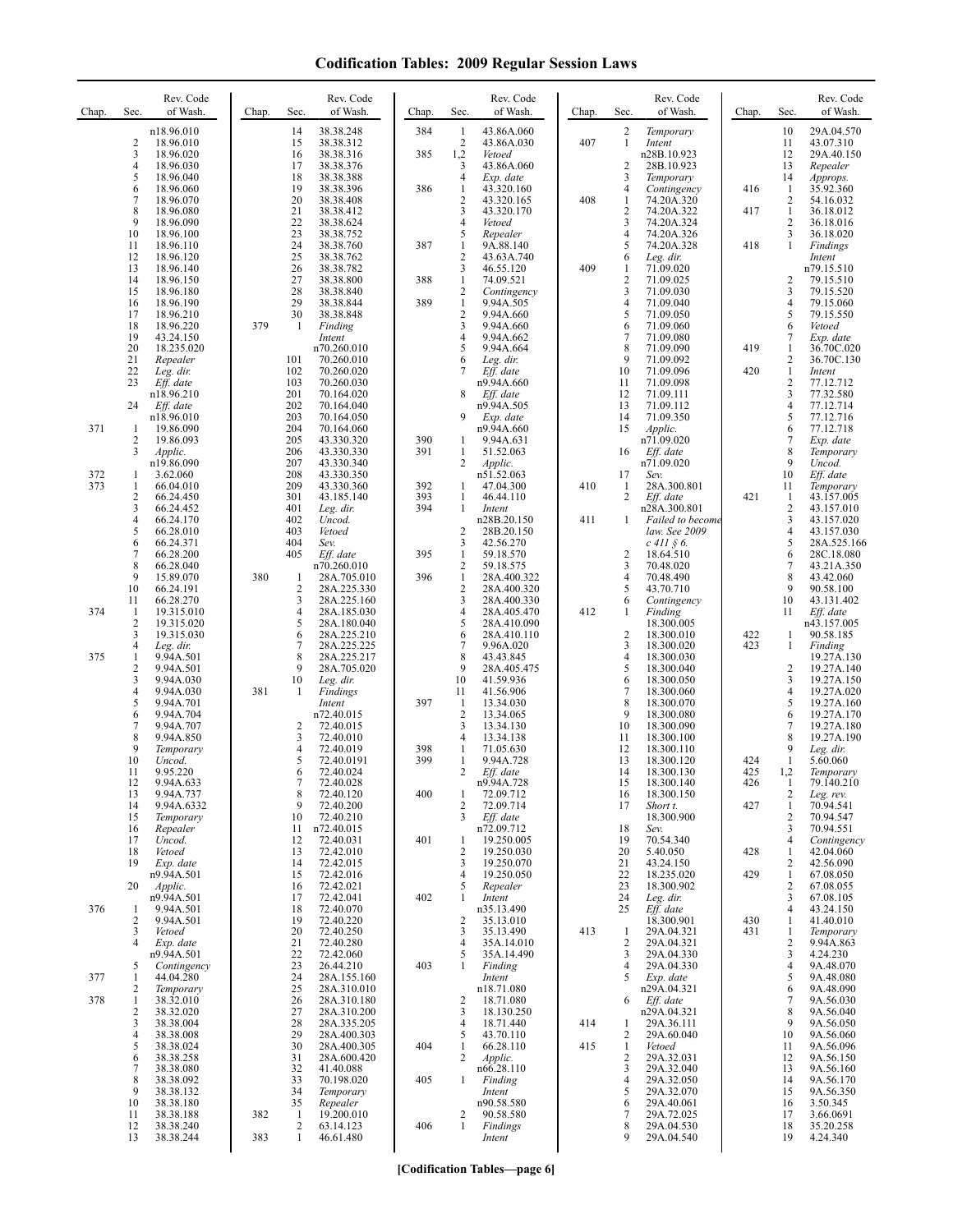| Chap.      | Sec.                           | Rev. Code<br>of Wash.                | Chap. | Sec.                           | Rev. Code<br>of Wash.               | Chap.      | Sec.                           | Rev. Code<br>of Wash.               | Chap. | Sec.                             | Rev. Code<br>of Wash.                  | Chap.      | Sec.                         | Rev. Code<br>of Wash.               |
|------------|--------------------------------|--------------------------------------|-------|--------------------------------|-------------------------------------|------------|--------------------------------|-------------------------------------|-------|----------------------------------|----------------------------------------|------------|------------------------------|-------------------------------------|
|            | $\overline{c}$                 | n18.96.010<br>18.96.010              |       | 14<br>15                       | 38.38.248<br>38.38.312              | 384        | $\mathbf{1}$<br>$\overline{2}$ | 43.86A.060<br>43.86A.030            | 407   | $\overline{c}$<br>$\mathbf{1}$   | Temporary<br>Intent                    |            | 10<br>11                     | 29A.04.570<br>43.07.310             |
|            | 3<br>$\overline{4}$            | 18.96.020<br>18.96.030               |       | 16<br>17                       | 38.38.316<br>38.38.376              | 385        | 1,2<br>3                       | Vetoed<br>43.86A.060                |       | $\overline{c}$                   | n28B.10.923<br>28B.10.923              |            | 12<br>13                     | 29A.40.150<br>Repealer              |
|            | 5<br>6                         | 18.96.040<br>18.96.060               |       | 18<br>19                       | 38.38.388<br>38.38.396              | 386        | $\overline{4}$<br>1            | Exp. date<br>43.320.160             |       | 3<br>4                           | Temporary<br>Contingency               | 416        | 14<br>-1                     | Approps.<br>35.92.360               |
|            | $\overline{7}$<br>8            | 18.96.070<br>18.96.080               |       | 20<br>21                       | 38.38.408<br>38.38.412              |            | $\overline{2}$<br>3            | 43.320.165<br>43.320.170            | 408   | $\mathbf{1}$<br>$\overline{2}$   | 74.20A.320<br>74.20A.322               | 417        | 2<br>$\mathbf{1}$            | 54.16.032<br>36.18.012              |
|            | 9<br>10                        | 18.96.090<br>18.96.100               |       | 22<br>23                       | 38.38.624<br>38.38.752              |            | $\overline{4}$<br>5            | Vetoed<br>Repealer                  |       | $\overline{3}$<br>$\overline{4}$ | 74.20A.324<br>74.20A.326               |            | 2<br>3                       | 36.18.016<br>36.18.020              |
|            | 11<br>12                       | 18.96.110<br>18.96.120               |       | 24<br>25                       | 38.38.760<br>38.38.762              | 387        | $\mathbf{1}$<br>$\overline{2}$ | 9A.88.140<br>43.63A.740             |       | 5<br>6                           | 74.20A.328<br>Leg. dir.                | 418        | $\mathbf{1}$                 | Findings<br>Intent                  |
|            | 13<br>14                       | 18.96.140<br>18.96.150               |       | 26<br>27                       | 38.38.782<br>38.38.800              | 388        | 3<br>$\mathbf{1}$              | 46.55.120<br>74.09.521              | 409   | $\mathbf{1}$<br>$\overline{2}$   | 71.09.020<br>71.09.025                 |            | 2                            | n79.15.510<br>79.15.510             |
|            | 15<br>16                       | 18.96.180<br>18.96.190               |       | 28<br>29                       | 38.38.840<br>38.38.844              | 389        | 2<br>$\mathbf{1}$              | Contingency<br>9.94A.505            |       | 3<br>$\overline{4}$              | 71.09.030<br>71.09.040                 |            | 3<br>4                       | 79.15.520<br>79.15.060              |
|            | 17<br>18                       | 18.96.210<br>18.96.220               | 379   | 30<br>-1                       | 38.38.848<br>Finding                |            | $\overline{2}$<br>3            | 9.94A.660<br>9.94A.660              |       | 5<br>6                           | 71.09.050<br>71.09.060                 |            | 5<br>6                       | 79.15.550<br>Vetoed                 |
|            | 19<br>20                       | 43.24.150<br>18.235.020              |       |                                | Intent<br>n70.260.010               |            | 4<br>5                         | 9.94A.662<br>9.94A.664              |       | 7<br>8                           | 71.09.080<br>71.09.090                 | 419        | 7<br>1                       | Exp. date<br>36.70C.020             |
|            | 21<br>22                       | Repealer<br>Leg. dir.                |       | 101<br>102                     | 70.260.010<br>70.260.020            |            | 6<br>7                         | Leg. dir.<br>Eff. date              |       | 9<br>10                          | 71.09.092<br>71.09.096                 | 420        | 2<br>$\mathbf{1}$            | 36.70C.130<br>Intent                |
|            | 23                             | Eff. date<br>n18.96.210              |       | 103<br>201                     | 70.260.030<br>70.164.020            |            | 8                              | n9.94A.660<br>Eff. date             |       | 11<br>12                         | 71.09.098<br>71.09.111                 |            | $\overline{\mathbf{c}}$<br>3 | 77.12.712<br>77.32.580              |
|            | 24                             | Eff. date<br>n18.96.010              |       | 202<br>203                     | 70.164.040<br>70.164.050            |            | 9                              | n9.94A.505<br>Exp. date             |       | 13<br>14                         | 71.09.112<br>71.09.350                 |            | 4<br>5                       | 77.12.714<br>77.12.716              |
| 371        | -1<br>$\overline{c}$           | 19.86.090<br>19.86.093               |       | 204<br>205                     | 70.164.060<br>43.330.320            | 390        | $\mathbf{1}$                   | n9.94A.660<br>9.94A.631             |       | 15                               | Applic.<br>n71.09.020                  |            | 6<br>7                       | 77.12.718<br>Exp. date              |
|            | 3                              | Applic.<br>n19.86.090                |       | 206<br>207                     | 43.330.330<br>43.330.340            | 391        | $\mathbf{1}$<br>2              | 51.52.063<br>Applic.                |       | 16                               | Eff. date<br>n71.09.020                |            | 8<br>9                       | Temporary<br>Uncod.                 |
| 372<br>373 | -1<br>1                        | 3.62.060<br>66.04.010                |       | 208<br>209                     | 43.330.350<br>43.330.360            | 392        | 1                              | n51.52.063<br>47.04.300             | 410   | 17<br>$\mathbf{1}$               | Sev.<br>28A.300.801                    |            | 10<br>11                     | Eff. date<br>Temporary              |
|            | $\overline{2}$<br>3            | 66.24.450<br>66.24.452               |       | 301<br>401                     | 43.185.140<br>Leg. dir.             | 393<br>394 | $\mathbf{1}$<br>1              | 46.44.110<br>Intent                 |       | 2                                | Eff. date<br>n28A.300.801              | 421        | 1<br>$\mathbf{2}$            | 43.157.005<br>43.157.010            |
|            | $\overline{4}$<br>5            | 66.24.170<br>66.28.010               |       | 402<br>403                     | Uncod.<br>Vetoed                    |            | $\overline{2}$                 | n28B.20.150<br>28B.20.150           | 411   | -1                               | Failed to become<br>law. See 2009      |            | 3<br>$\overline{4}$          | 43.157.020<br>43.157.030            |
|            | 6<br>7                         | 66.24.371<br>66.28.200               |       | 404<br>405                     | Sev.<br>Eff. date                   | 395        | 3<br>$\mathbf{1}$              | 42.56.270<br>59.18.570              |       | $\overline{2}$                   | $c$ 411 $\hat{\S}$ 6.<br>18.64.510     |            | 5<br>6                       | 28A.525.166<br>28C.18.080           |
|            | 8<br>9                         | 66.28.040<br>15.89.070               | 380   | -1                             | n70.260.010<br>28A.705.010          | 396        | 2<br>$\mathbf{1}$              | 59.18.575<br>28A.400.322            |       | 3<br>$\overline{4}$              | 70.48.020<br>70.48.490                 |            | 7<br>8                       | 43.21A.350<br>43.42.060             |
|            | 10<br>11                       | 66.24.191<br>66.28.270               |       | $\overline{\mathbf{c}}$<br>3   | 28A.225.330<br>28A.225.160          |            | $\overline{c}$<br>3            | 28A.400.320<br>28A.400.330          |       | 5<br>6                           | 43.70.710<br>Contingency               |            | 9<br>10                      | 90.58.100<br>43.131.402             |
| 374        | 1<br>2                         | 19.315.010<br>19.315.020             |       | 4<br>5                         | 28A.185.030<br>28A.180.040          |            | 4<br>5                         | 28A.405.470<br>28A.410.090          | 412   | -1                               | Finding<br>18.300.005                  |            | 11                           | Eff. date<br>n43.157.005            |
|            | 3<br>4                         | 19.315.030<br>Leg. dir.              |       | 6<br>7                         | 28A.225.210<br>28A.225.225          |            | 6<br>7                         | 28A.410.110<br>9.96A.020            |       | $\overline{2}$<br>3              | 18.300.010<br>18.300.020               | 422<br>423 | 1<br>$\mathbf{1}$            | 90.58.185<br>Finding                |
| 375        | $\mathbf{1}$<br>$\overline{2}$ | 9.94A.501<br>9.94A.501               |       | 8<br>9                         | 28A.225.217<br>28A.705.020          |            | 8<br>9                         | 43.43.845<br>28A.405.475            |       | $\overline{4}$<br>5              | 18.300.030<br>18.300.040               |            | 2                            | 19.27A.130<br>19.27A.140            |
|            | 3<br>4                         | 9.94A.030<br>9.94A.030               | 381   | 10<br>-1                       | Leg. dir.<br>Findings               |            | 10<br>11                       | 41.59.936<br>41.56.906              |       | 6<br>7                           | 18.300.050<br>18.300.060               |            | 3<br>4                       | 19.27A.150<br>19.27A.020            |
|            | 5<br>6                         | 9.94A.701<br>9.94A.704               |       |                                | Intent<br>n72.40.015                | 397        | $\mathbf{1}$<br>2              | 13.34.030<br>13.34.065              |       | 8<br>9                           | 18.300.070<br>18.300.080               |            | 5<br>6                       | 19.27A.160<br>19.27A.170            |
|            | $\tau$<br>8                    | 9.94A.707<br>9.94A.850               |       | 2<br>3                         | 72.40.015<br>72.40.010              |            | 3<br>4                         | 13.34.130<br>13.34.138              |       | 10<br>11                         | 18.300.090<br>18.300.100               |            | 7<br>8                       | 19.27A.180<br>19.27A.190            |
|            | 9<br>10                        | Temporary<br>Uncod.                  |       | 4<br>5                         | 72.40.019<br>72.40.0191             | 398<br>399 | 1<br>$\mathbf{1}$              | 71.05.630<br>9.94A.728              |       | 12<br>13                         | 18.300.110<br>18.300.120               | 424        | 9<br>1                       | Leg. dir.<br>5.60.060               |
|            | 11<br>12                       | 9.95.220<br>9.94A.633                |       | 6<br>8                         | 72.40.024<br>72.40.028              | 400        | 2                              | Eff. date<br>n9.94A.728             |       | 14<br>15                         | 18.300.130<br>18.300.140<br>18.300.150 | 425<br>426 | 1,2<br>$\perp$               | Temporary<br>79.140.210             |
|            | 13<br>14<br>15                 | 9.94A.737<br>9.94A.6332<br>Temporary |       | 9<br>10                        | 72.40.120<br>72.40.200<br>72.40.210 |            | 1<br>2<br>3                    | 72.09.712<br>72.09.714<br>Eff. date |       | 16<br>17                         | Short t.<br>18.300.900                 | 427        | 2<br>$\mathbf{1}$<br>2       | Leg. rev.<br>70.94.541<br>70.94.547 |
|            | 16<br>17                       | Repealer<br>Uncod.                   |       | 11<br>12                       | n72.40.015<br>72.40.031             | 401        | 1                              | n72.09.712<br>19.250.005            |       | 18<br>19                         | Sev.<br>70.54.340                      |            | 3<br>4                       | 70.94.551<br>Contingency            |
|            | 18<br>19                       | Vetoed<br>Exp. date                  |       | 13<br>14                       | 72.42.010<br>72.42.015              |            | $\overline{c}$<br>3            | 19.250.030<br>19.250.070            |       | 20<br>21                         | 5.40.050<br>43.24.150                  | 428        | 1<br>2                       | 42.04.060<br>42.56.090              |
|            | 20                             | n9.94A.501<br>Applic.                |       | 15<br>16                       | 72.42.016<br>72.42.021              |            | 4<br>5                         | 19.250.050<br>Repealer              |       | 22<br>23                         | 18.235.020<br>18.300.902               | 429        | $\mathbf{1}$<br>2            | 67.08.050<br>67.08.055              |
| 376        | 1                              | n9.94A.501<br>9.94A.501              |       | 17<br>18                       | 72.42.041<br>72.40.070              | 402        | 1                              | Intent<br>n35.13.490                |       | 24<br>25                         | Leg. dir.<br>Eff. date                 |            | 3<br>4                       | 67.08.105<br>43.24.150              |
|            | $\overline{2}$<br>3            | 9.94A.501<br>Vetoed                  |       | 19<br>20                       | 72.40.220<br>72.40.250              |            | $\overline{2}$<br>3            | 35.13.010<br>35.13.490              | 413   | $\mathbf{1}$                     | 18.300.901<br>29A.04.321               | 430<br>431 | 1<br>1                       | 41.40.010<br>Temporary              |
|            | $\overline{4}$                 | Exp. date<br>n9.94A.501              |       | 21<br>22                       | 72.40.280<br>72.42.060              |            | 4<br>5                         | 35A.14.010<br>35A.14.490            |       | $\overline{2}$<br>3              | 29A.04.321<br>29A.04.330               |            | 2<br>3                       | 9.94A.863<br>4.24.230               |
| 377        | 5<br>1                         | Contingency<br>44.04.280             |       | 23<br>24                       | 26.44.210<br>28A.155.160            | 403        | 1                              | Finding<br>Intent                   |       | 4<br>5                           | 29A.04.330<br>Exp. date                |            | 4<br>5                       | 9A.48.070<br>9A.48.080              |
| 378        | $\overline{2}$<br>1            | Temporary<br>38.32.010               |       | 25<br>26                       | 28A.310.010<br>28A.310.180          |            | 2                              | n18.71.080<br>18.71.080             |       | 6                                | n29A.04.321<br>Eff. date               |            | 6<br>7                       | 9A.48.090<br>9A.56.030              |
|            | 2<br>3                         | 38.32.020<br>38.38.004               |       | 27<br>28                       | 28A.310.200<br>28A.335.205          |            | 3<br>4                         | 18.130.250<br>18.71.440             | 414   | 1                                | n29A.04.321<br>29A.36.111              |            | 8<br>9                       | 9A.56.040<br>9A.56.050              |
|            | $\overline{4}$<br>5            | 38.38.008<br>38.38.024               |       | 29<br>30                       | 28A.400.303<br>28A.400.305          | 404        | 5<br>1                         | 43.70.110<br>66.28.110              | 415   | $\overline{2}$<br>$\mathbf{1}$   | 29A.60.040<br>Vetoed                   |            | 10<br>11                     | 9A.56.060<br>9A.56.096              |
|            | 6<br>7                         | 38.38.258<br>38.38.080               |       | 31<br>32                       | 28A.600.420<br>41.40.088            |            | 2                              | Applic.<br>n66.28.110               |       | $\overline{2}$<br>3              | 29A.32.031<br>29A.32.040               |            | 12<br>13                     | 9A.56.150<br>9A.56.160              |
|            | 8<br>9                         | 38.38.092<br>38.38.132               |       | 33<br>34                       | 70.198.020<br>Temporary             | 405        | $\mathbf{1}$                   | Finding<br>Intent                   |       | 4<br>5                           | 29A.32.050<br>29A.32.070               |            | 14<br>15                     | 9A.56.170<br>9A.56.350              |
|            | 10<br>11                       | 38.38.180<br>38.38.188               | 382   | 35<br>-1                       | Repealer<br>19.200.010              |            | 2                              | n90.58.580<br>90.58.580             |       | 6<br>$7\phantom{.0}$             | 29A.40.061<br>29A.72.025               |            | 16<br>17                     | 3.50.345<br>3.66.0691               |
|            | 12<br>13                       | 38.38.240<br>38.38.244               | 383   | $\overline{2}$<br>$\mathbf{1}$ | 63.14.123<br>46.61.480              | 406        | 1                              | Findings<br>Intent                  |       | 8<br>9                           | 29A.04.530<br>29A.04.540               |            | 18<br>19                     | 35.20.258<br>4.24.340               |

**[Codification Tables—page 6]**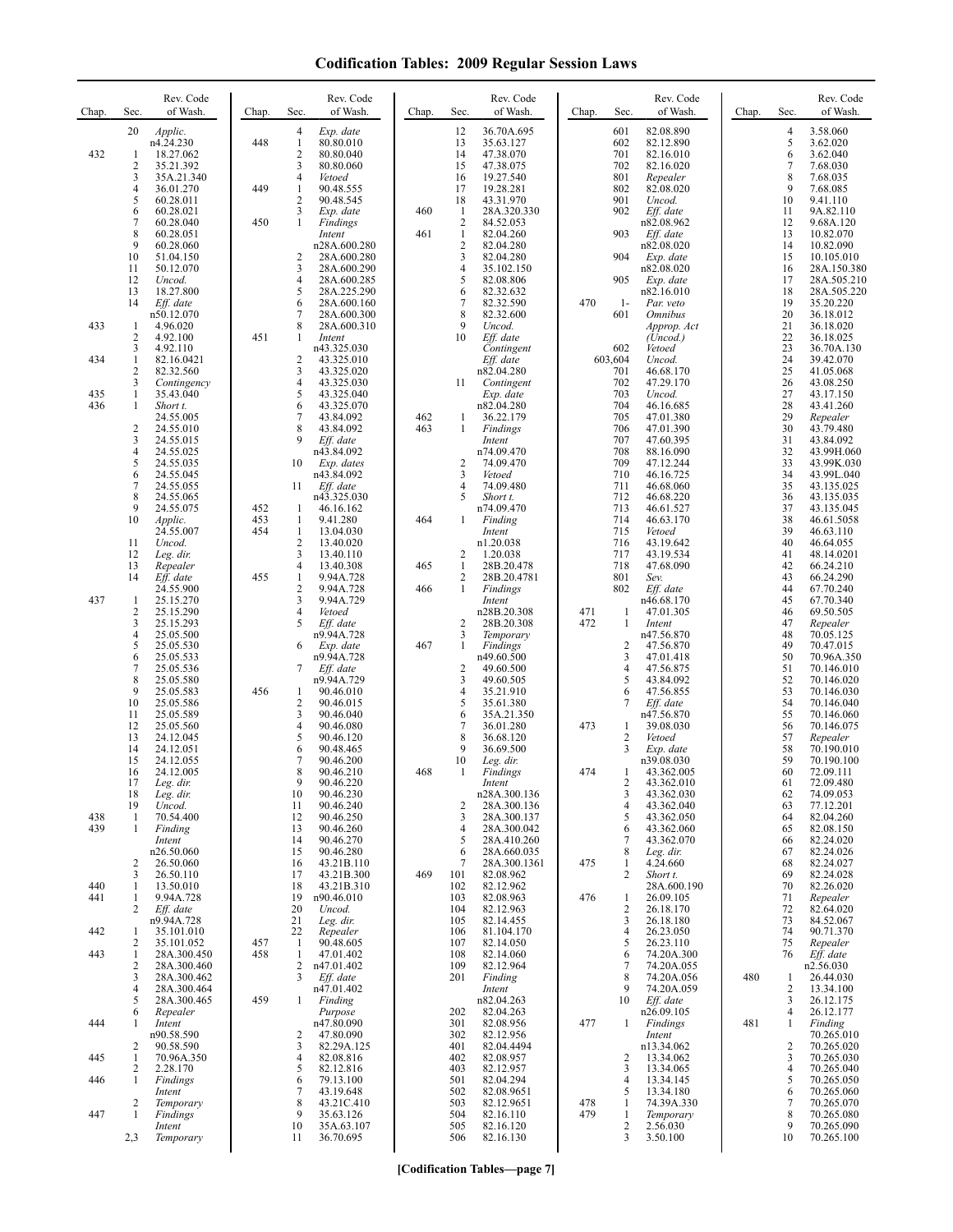| 3.58.060<br>$\overline{4}$<br>5<br>3.62.020<br>6<br>3.62.040<br>7<br>7.68.030<br>8<br>7.68.035<br>9<br>7.68.085<br>10<br>9.41.110<br>11<br>9A.82.110<br>12<br>9.68A.120<br>13<br>10.82.070<br>14<br>10.82.090<br>15<br>10.105.010<br>16<br>28A.150.380<br>17<br>28A.505.210<br>18<br>28A.505.220<br>19<br>35.20.220<br>20<br>36.18.012<br>21<br>36.18.020                        |
|----------------------------------------------------------------------------------------------------------------------------------------------------------------------------------------------------------------------------------------------------------------------------------------------------------------------------------------------------------------------------------|
|                                                                                                                                                                                                                                                                                                                                                                                  |
|                                                                                                                                                                                                                                                                                                                                                                                  |
|                                                                                                                                                                                                                                                                                                                                                                                  |
|                                                                                                                                                                                                                                                                                                                                                                                  |
| 22<br>36.18.025<br>23<br>36.70A.130                                                                                                                                                                                                                                                                                                                                              |
| 24<br>39.42.070<br>25<br>41.05.068<br>26<br>43.08.250<br>27<br>43.17.150                                                                                                                                                                                                                                                                                                         |
| 43.41.260<br>Repealer<br>43.79.480<br>43.84.092                                                                                                                                                                                                                                                                                                                                  |
| 43.99H.060<br>43.99K.030<br>43.99L.040<br>43.135.025                                                                                                                                                                                                                                                                                                                             |
| 43.135.035<br>43.135.045<br>46.61.5058                                                                                                                                                                                                                                                                                                                                           |
| 46.63.110<br>46.64.055<br>48.14.0201<br>66.24.210                                                                                                                                                                                                                                                                                                                                |
| 66.24.290<br>67.70.240<br>67.70.340                                                                                                                                                                                                                                                                                                                                              |
| 69.50.505<br>Repealer<br>70.05.125<br>70.47.015                                                                                                                                                                                                                                                                                                                                  |
| 70.96A.350<br>70.146.010<br>70.146.020                                                                                                                                                                                                                                                                                                                                           |
| 70.146.030<br>70.146.040<br>70.146.060<br>70.146.075                                                                                                                                                                                                                                                                                                                             |
| Repealer<br>70.190.010<br>70.190.100                                                                                                                                                                                                                                                                                                                                             |
| 72.09.111<br>72.09.480<br>74.09.053<br>77.12.201                                                                                                                                                                                                                                                                                                                                 |
| 82.04.260<br>82.08.150<br>82.24.020<br>82.24.026                                                                                                                                                                                                                                                                                                                                 |
| 82.24.027<br>82.24.028<br>82.26.020                                                                                                                                                                                                                                                                                                                                              |
| Repealer<br>82.64.020<br>84.52.067                                                                                                                                                                                                                                                                                                                                               |
| 90.71.370<br>Repealer<br>Eff. date                                                                                                                                                                                                                                                                                                                                               |
| n2.56.030<br>26.44.030<br>13.34.100                                                                                                                                                                                                                                                                                                                                              |
| 26.12.175<br>26.12.177<br>Finding<br>70.265.010                                                                                                                                                                                                                                                                                                                                  |
| 70.265.020<br>70.265.030<br>70.265.040                                                                                                                                                                                                                                                                                                                                           |
| 70.265.050<br>70.265.060<br>70.265.070                                                                                                                                                                                                                                                                                                                                           |
| 70.265.080<br>70.265.090                                                                                                                                                                                                                                                                                                                                                         |
| 28<br>29<br>30<br>31<br>32<br>33<br>34<br>35<br>36<br>37<br>38<br>39<br>40<br>41<br>42<br>43<br>44<br>45<br>46<br>47<br>48<br>49<br>50<br>51<br>52<br>53<br>54<br>55<br>56<br>57<br>58<br>59<br>60<br>61<br>62<br>63<br>64<br>65<br>66<br>67<br>68<br>69<br>70<br>71<br>72<br>73<br>74<br>75<br>76<br>1<br>2<br>3<br>4<br>1<br>$\overline{2}$<br>3<br>4<br>5<br>6<br>7<br>8<br>9 |

**[Codification Tables—page 7]**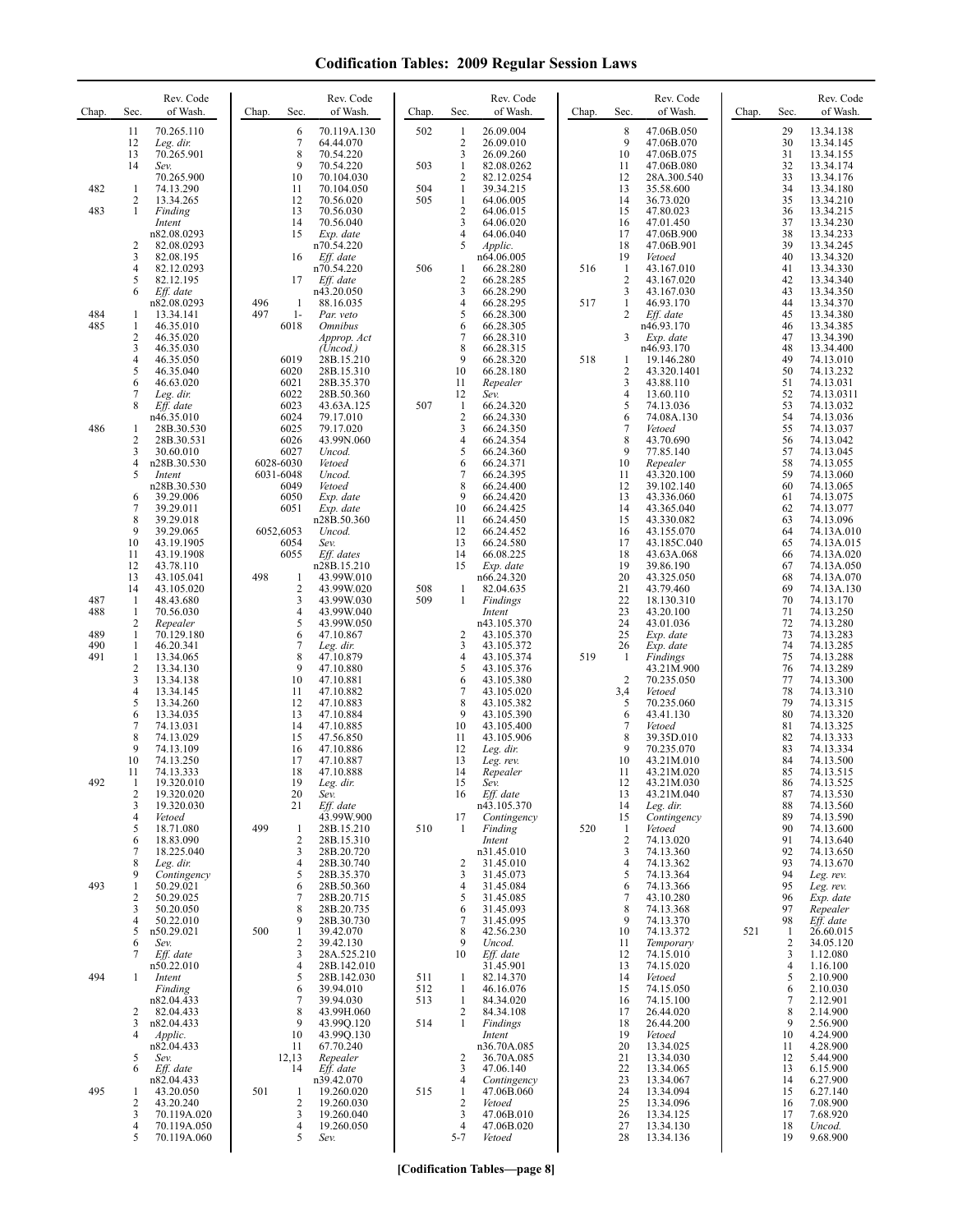| Chap.      | Sec.                         | Rev. Code<br>of Wash.                 | Chap.      | Sec.                           | Rev. Code<br>of Wash.                 | Chap.      | Sec.                                | Rev. Code<br>of Wash.               | Chap. | Sec.                           | Rev. Code<br>of Wash.                  | Chap. | Sec.                | Rev. Code<br>of Wash.               |
|------------|------------------------------|---------------------------------------|------------|--------------------------------|---------------------------------------|------------|-------------------------------------|-------------------------------------|-------|--------------------------------|----------------------------------------|-------|---------------------|-------------------------------------|
|            | 11<br>12<br>13               | 70.265.110<br>Leg. dir.<br>70.265.901 |            | 6<br>7<br>8                    | 70.119A.130<br>64.44.070<br>70.54.220 | 502        | $\mathbf{1}$<br>$\overline{2}$<br>3 | 26.09.004<br>26.09.010<br>26.09.260 |       | 8<br>9<br>10                   | 47.06B.050<br>47.06B.070<br>47.06B.075 |       | 29<br>30<br>31      | 13.34.138<br>13.34.145<br>13.34.155 |
|            | 14                           | Sev.<br>70.265.900                    |            | 9<br>10                        | 70.54.220<br>70.104.030               | 503        | 1<br>$\overline{2}$                 | 82.08.0262<br>82.12.0254            |       | 11<br>12                       | 47.06B.080<br>28A.300.540              |       | 32<br>33            | 13.34.174<br>13.34.176              |
| 482        | 1<br>2                       | 74.13.290<br>13.34.265                |            | 11<br>12                       | 70.104.050<br>70.56.020               | 504<br>505 | $\mathbf{1}$<br>$\mathbf{1}$        | 39.34.215<br>64.06.005              |       | 13<br>14                       | 35.58.600<br>36.73.020                 |       | 34<br>35            | 13.34.180<br>13.34.210              |
| 483        | 1                            | Finding                               |            | 13                             | 70.56.030                             |            | $\sqrt{2}$                          | 64.06.015                           |       | 15                             | 47.80.023                              |       | 36                  | 13.34.215                           |
|            |                              | Intent<br>n82.08.0293                 |            | 14<br>15                       | 70.56.040<br>Exp. date                |            | $\mathfrak{Z}$<br>4                 | 64.06.020<br>64.06.040              |       | 16<br>17                       | 47.01.450<br>47.06B.900                |       | 37<br>38            | 13.34.230<br>13.34.233              |
|            | $\overline{\mathbf{c}}$<br>3 | 82.08.0293<br>82.08.195               |            | 16                             | n70.54.220<br>Eff. date               |            | 5                                   | Applic.<br>n64.06.005               |       | 18<br>19                       | 47.06B.901<br>Vetoed                   |       | 39<br>40            | 13.34.245<br>13.34.320              |
|            | 4                            | 82.12.0293                            |            |                                | n70.54.220                            | 506        | 1                                   | 66.28.280                           | 516   | 1                              | 43.167.010                             |       | 41                  | 13.34.330                           |
|            | 5<br>6                       | 82.12.195<br>Eff. date                |            | 17                             | Eff. date<br>n43.20.050               |            | $\overline{c}$<br>3                 | 66.28.285<br>66.28.290              |       | $\overline{c}$<br>3            | 43.167.020<br>43.167.030               |       | 42<br>43            | 13.34.340<br>13.34.350              |
| 484        | 1                            | n82.08.0293<br>13.34.141              | 496<br>497 | -1<br>$1-$                     | 88.16.035<br>Par. veto                |            | $\overline{4}$<br>5                 | 66.28.295<br>66.28.300              | 517   | $\mathbf{1}$<br>$\overline{2}$ | 46.93.170<br>Eff. date                 |       | 44<br>45            | 13.34.370<br>13.34.380              |
| 485        | 1                            | 46.35.010                             |            | 6018                           | <i><b>Omnibus</b></i>                 |            | 6                                   | 66.28.305                           |       |                                | n46.93.170                             |       | 46                  | 13.34.385                           |
|            | 2<br>3                       | 46.35.020<br>46.35.030                |            |                                | Approp. Act<br>(Uncod.)               |            | 7<br>8                              | 66.28.310<br>66.28.315              |       | 3                              | Exp. date<br>n46.93.170                |       | 47<br>48            | 13.34.390<br>13.34.400              |
|            | 4<br>5                       | 46.35.050<br>46.35.040                |            | 6019<br>6020                   | 28B.15.210<br>28B.15.310              |            | 9<br>10                             | 66.28.320<br>66.28.180              | 518   | 1<br>$\overline{\mathbf{c}}$   | 19.146.280<br>43.320.1401              |       | 49<br>50            | 74.13.010<br>74.13.232              |
|            | 6<br>7                       | 46.63.020                             |            | 6021<br>6022                   | 28B.35.370                            |            | 11                                  | Repealer<br>Sev.                    |       | 3<br>4                         | 43.88.110                              |       | 51<br>52            | 74.13.031                           |
|            | 8                            | Leg. dir.<br>Eff. date                |            | 6023                           | 28B.50.360<br>43.63A.125              | 507        | 12<br>$\mathbf{1}$                  | 66.24.320                           |       | 5                              | 13.60.110<br>74.13.036                 |       | 53                  | 74.13.0311<br>74.13.032             |
| 486        | 1                            | n46.35.010<br>28B.30.530              |            | 6024<br>6025                   | 79.17.010<br>79.17.020                |            | $\sqrt{2}$<br>3                     | 66.24.330<br>66.24.350              |       | 6<br>$\overline{7}$            | 74.08A.130<br>Vetoed                   |       | 54<br>55            | 74.13.036<br>74.13.037              |
|            | $\overline{c}$<br>3          | 28B.30.531<br>30.60.010               |            | 6026<br>6027                   | 43.99N.060<br>Uncod.                  |            | 4<br>5                              | 66.24.354<br>66.24.360              |       | 8<br>9                         | 43.70.690<br>77.85.140                 |       | 56<br>57            | 74.13.042<br>74.13.045              |
|            | 4                            | n28B.30.530                           |            | 6028-6030                      | Vetoed                                |            | 6                                   | 66.24.371                           |       | 10                             | Repealer                               |       | 58                  | 74.13.055                           |
|            | 5                            | Intent<br>n28B.30.530                 |            | 6031-6048<br>6049              | Uncod.<br>Vetoed                      |            | $\overline{7}$<br>8                 | 66.24.395<br>66.24.400              |       | 11<br>12                       | 43.320.100<br>39.102.140               |       | 59<br>60            | 74.13.060<br>74.13.065              |
|            | 6<br>7                       | 39.29.006<br>39.29.011                |            | 6050<br>6051                   | Exp. date<br>Exp. date                |            | 9<br>10                             | 66.24.420<br>66.24.425              |       | 13<br>14                       | 43.336.060<br>43.365.040               |       | 61<br>62            | 74.13.075<br>74.13.077              |
|            | 8<br>9                       | 39.29.018<br>39.29.065                |            | 6052,6053                      | n28B.50.360<br>Uncod.                 |            | 11<br>12                            | 66.24.450<br>66.24.452              |       | 15<br>16                       | 43.330.082<br>43.155.070               |       | 63<br>64            | 74.13.096<br>74.13A.010             |
|            | 10                           | 43.19.1905                            |            | 6054                           | Sev.                                  |            | 13                                  | 66.24.580                           |       | 17                             | 43.185C.040                            |       | 65                  | 74.13A.015                          |
|            | 11<br>12                     | 43.19.1908<br>43.78.110               |            | 6055                           | Eff. dates<br>n28B.15.210             |            | 14<br>15                            | 66.08.225<br>Exp. date              |       | 18<br>19                       | 43.63A.068<br>39.86.190                |       | 66<br>67            | 74.13A.020<br>74.13A.050            |
|            | 13<br>14                     | 43.105.041<br>43.105.020              | 498        | -1<br>$\overline{c}$           | 43.99W.010<br>43.99W.020              | 508        | $\mathbf{1}$                        | n66.24.320<br>82.04.635             |       | 20<br>21                       | 43.325.050<br>43.79.460                |       | 68<br>69            | 74.13A.070<br>74.13A.130            |
| 487<br>488 | -1                           | 48.43.680                             |            | 3<br>$\overline{4}$            | 43.99W.030                            | 509        | $\mathbf{1}$                        | Findings                            |       | 22<br>23                       | 18.130.310                             |       | 70<br>71            | 74.13.170                           |
|            | 1<br>2                       | 70.56.030<br>Repealer                 |            | 5                              | 43.99W.040<br>43.99W.050              |            |                                     | Intent<br>n43.105.370               |       | 24                             | 43.20.100<br>43.01.036                 |       | 72                  | 74.13.250<br>74.13.280              |
| 489<br>490 | 1<br>1                       | 70.129.180<br>46.20.341               |            | 6<br>7                         | 47.10.867<br>Leg. dir.                |            | 2<br>3                              | 43.105.370<br>43.105.372            |       | 25<br>26                       | Exp. date<br>Exp. date                 |       | 73<br>74            | 74.13.283<br>74.13.285              |
| 491        | 1<br>$\overline{\mathbf{c}}$ | 13.34.065<br>13.34.130                |            | 8<br>9                         | 47.10.879<br>47.10.880                |            | 4<br>5                              | 43.105.374<br>43.105.376            | 519   | -1                             | Findings<br>43.21M.900                 |       | 75<br>76            | 74.13.288<br>74.13.289              |
|            | 3                            | 13.34.138                             |            | 10                             | 47.10.881                             |            | 6                                   | 43.105.380                          |       | $\overline{2}$                 | 70.235.050                             |       | 77                  | 74.13.300                           |
|            | 4<br>5                       | 13.34.145<br>13.34.260                |            | 11<br>12                       | 47.10.882<br>47.10.883                |            | 7<br>8                              | 43.105.020<br>43.105.382            |       | 3,4<br>5                       | Vetoed<br>70.235.060                   |       | 78<br>79            | 74.13.310<br>74.13.315              |
|            | 6<br>7                       | 13.34.035<br>74.13.031                |            | 13<br>14                       | 47.10.884<br>47.10.885                |            | 9<br>10                             | 43.105.390<br>43.105.400            |       | 6<br>$\overline{7}$            | 43.41.130<br>Vetoed                    |       | 80<br>81            | 74.13.320<br>74.13.325              |
|            | 8<br>9                       | 74.13.029<br>74.13.109                |            | 15<br>16                       | 47.56.850<br>47.10.886                |            | 11<br>12                            | 43.105.906<br>Leg. dir.             |       | 8<br>9                         | 39.35D.010<br>70.235.070               |       | 82<br>83            | 74.13.333<br>74.13.334              |
|            | 10                           | 74.13.250                             |            | 17                             | 47.10.887                             |            | 13                                  | Leg. rev.                           |       | 10                             | 43.21M.010                             |       | 84                  | 74.13.500                           |
| 492        | 11<br>1                      | 74.13.333<br>19.320.010               |            | 18<br>19                       | 47.10.888<br>Leg. dir.                |            | 14<br>15                            | Repealer<br>Sev.                    |       | 11<br>12                       | 43.21M.020<br>43.21M.030               |       | 85<br>86            | 74.13.515<br>74.13.525              |
|            | 2<br>3                       | 19.320.020<br>19.320.030              |            | 20<br>21                       | Sev.<br>Eff. date                     |            | 16                                  | Eff. date<br>n43.105.370            |       | 13<br>14                       | 43.21M.040<br>Leg. dir.                |       | 87<br>88            | 74.13.530<br>74.13.560              |
|            | 4<br>5                       | Vetoed<br>18.71.080                   | 499        | 1                              | 43.99W.900<br>28B.15.210              | 510        | 17<br>-1                            | Contingency<br>Finding              | 520   | 15<br>1                        | Contingency<br>Vetoed                  |       | 89<br>90            | 74.13.590<br>74.13.600              |
|            | 6                            | 18.83.090                             |            | $\overline{2}$                 | 28B.15.310                            |            |                                     | Intent                              |       | $\overline{2}$                 | 74.13.020                              |       | 91                  | 74.13.640                           |
|            | 7<br>8                       | 18.225.040<br>Leg. dir.               |            | 3<br>$\overline{4}$            | 28B.20.720<br>28B.30.740              |            | $\overline{2}$                      | n31.45.010<br>31.45.010             |       | 3<br>$\overline{4}$            | 74.13.360<br>74.13.362                 |       | 92<br>93            | 74.13.650<br>74.13.670              |
| 493        | 9<br>1                       | Contingency<br>50.29.021              |            | 5<br>6                         | 28B.35.370<br>28B.50.360              |            | 3<br>4                              | 31.45.073<br>31.45.084              |       | 5<br>6                         | 74.13.364<br>74.13.366                 |       | 94<br>95            | Leg. rev.<br>Leg. rev.              |
|            | 2<br>3                       | 50.29.025<br>50.20.050                |            | 7<br>8                         | 28B.20.715<br>28B.20.735              |            | 5<br>6                              | 31.45.085<br>31.45.093              |       | 7<br>8                         | 43.10.280<br>74.13.368                 |       | 96<br>97            | Exp. date<br>Repealer               |
|            | 4                            | 50.22.010                             |            | 9                              | 28B.30.730                            |            | 7                                   | 31.45.095                           |       | 9                              | 74.13.370                              |       | 98                  | Eff. date                           |
|            | 5<br>6                       | n50.29.021<br>Sev.                    | 500        | $\mathbf{1}$<br>$\overline{2}$ | 39.42.070<br>39.42.130                |            | 8<br>9                              | 42.56.230<br>Uncod.                 |       | 10<br>11                       | 74.13.372<br>Temporary                 | 521   | 1<br>$\overline{c}$ | 26.60.015<br>34.05.120              |
|            | 7                            | Eff. date<br>n50.22.010               |            | 3<br>$\overline{4}$            | 28A.525.210<br>28B.142.010            |            | 10                                  | Eff. date<br>31.45.901              |       | 12<br>13                       | 74.15.010<br>74.15.020                 |       | 3<br>4              | 1.12.080<br>1.16.100                |
| 494        | 1                            | Intent                                |            | 5                              | 28B.142.030                           | 511        | $\mathbf{1}$                        | 82.14.370                           |       | 14                             | Vetoed                                 |       | 5                   | 2.10.900                            |
|            |                              | Finding<br>n82.04.433                 |            | 6<br>7                         | 39.94.010<br>39.94.030                | 512<br>513 | $\mathbf{1}$<br>$\mathbf{1}$        | 46.16.076<br>84.34.020              |       | 15<br>16                       | 74.15.050<br>74.15.100                 |       | 6<br>7              | 2.10.030<br>2.12.901                |
|            | 2<br>3                       | 82.04.433<br>n82.04.433               |            | 8<br>9                         | 43.99H.060<br>43.99Q.120              | 514        | 2<br>1                              | 84.34.108<br>Findings               |       | 17<br>18                       | 26.44.020<br>26.44.200                 |       | 8<br>9              | 2.14.900<br>2.56.900                |
|            | 4                            | Applic.<br>n82.04.433                 |            | 10<br>11                       | 43.99Q.130<br>67.70.240               |            |                                     | Intent<br>n36.70A.085               |       | 19<br>20                       | Vetoed<br>13.34.025                    |       | 10<br>11            | 4.24.900<br>4.28.900                |
|            | 5                            | Sev.                                  |            | 12,13                          | Repealer                              |            | $\overline{2}$                      | 36.70A.085                          |       | 21                             | 13.34.030                              |       | 12                  | 5.44.900                            |
|            | 6                            | Eff. date<br>n82.04.433               |            | 14                             | Eff. date<br>n39.42.070               |            | 3<br>4                              | 47.06.140<br>Contingency            |       | 22<br>23                       | 13.34.065<br>13.34.067                 |       | 13<br>14            | 6.15.900<br>6.27.900                |
| 495        | 1<br>$\overline{c}$          | 43.20.050<br>43.20.240                | 501        | -1<br>$\overline{2}$           | 19.260.020<br>19.260.030              | 515        | $\mathbf{1}$<br>$\overline{2}$      | 47.06B.060<br>Vetoed                |       | 24<br>25                       | 13.34.094<br>13.34.096                 |       | 15<br>16            | 6.27.140<br>7.08.900                |
|            | 3                            | 70.119A.020                           |            | 3                              | 19.260.040                            |            | 3                                   | 47.06B.010                          |       | 26                             | 13.34.125                              |       | 17                  | 7.68.920                            |
|            | 4<br>5                       | 70.119A.050<br>70.119A.060            |            | $\overline{4}$<br>5            | 19.260.050<br>Sev.                    |            | 4<br>$5 - 7$                        | 47.06B.020<br>Vetoed                |       | 27<br>28                       | 13.34.130<br>13.34.136                 |       | 18<br>19            | Uncod.<br>9.68.900                  |
|            |                              |                                       |            |                                |                                       |            |                                     |                                     |       |                                |                                        |       |                     |                                     |

**[Codification Tables—page 8]**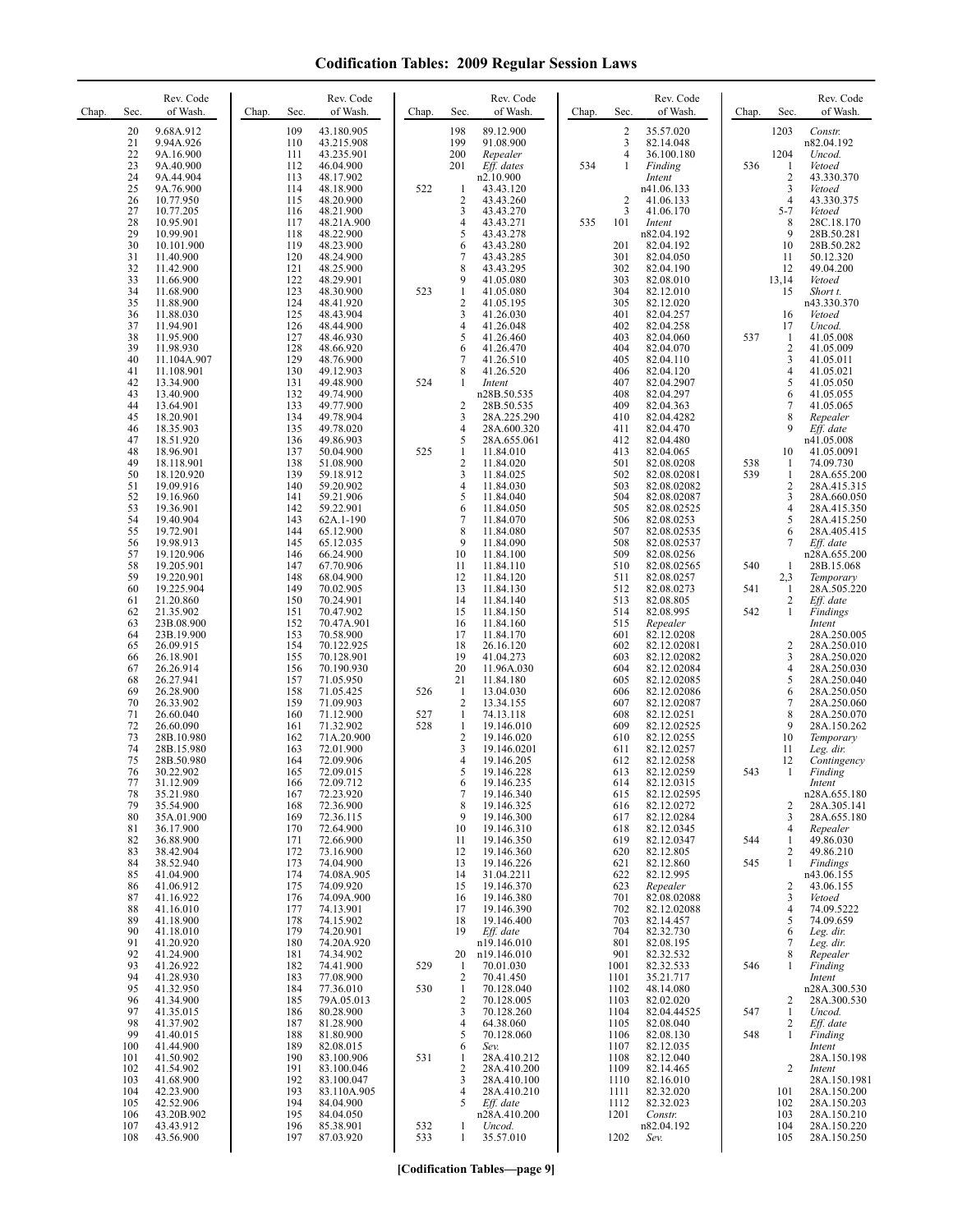| Chap. | Sec.                                   | Rev. Code<br>of Wash.                                                         | Chap. | Sec.                                   | Rev. Code<br>of Wash.                                                           | Chap.      | Sec.                                                            | Rev. Code<br>of Wash.                                                               | Chap. | Sec.                                                             | Rev. Code<br>of Wash.                                                                 | Chap.      | Sec.                                            | Rev. Code<br>of Wash.                                                                  |
|-------|----------------------------------------|-------------------------------------------------------------------------------|-------|----------------------------------------|---------------------------------------------------------------------------------|------------|-----------------------------------------------------------------|-------------------------------------------------------------------------------------|-------|------------------------------------------------------------------|---------------------------------------------------------------------------------------|------------|-------------------------------------------------|----------------------------------------------------------------------------------------|
|       | 20<br>21<br>22<br>23<br>24<br>25       | 9.68A.912<br>9.94A.926<br>9A.16.900<br>9A.40.900<br>9A.44.904<br>9A.76.900    |       | 109<br>110<br>111<br>112<br>113<br>114 | 43.180.905<br>43.215.908<br>43.235.901<br>46.04.900<br>48.17.902<br>48.18.900   | 522        | 198<br>199<br>200<br>201<br>1                                   | 89.12.900<br>91.08.900<br>Repealer<br>Eff. dates<br>n2.10.900<br>43.43.120          | 534   | $\overline{\mathbf{c}}$<br>$\mathfrak{Z}$<br>$\overline{4}$<br>1 | 35.57.020<br>82.14.048<br>36.100.180<br>Finding<br>Intent<br>n41.06.133               | 536        | 1203<br>1204<br>1<br>$\overline{c}$<br>3        | Constr.<br>n82.04.192<br>Uncod.<br>Vetoed<br>43.330.370<br>Vetoed                      |
|       | 26<br>27<br>28<br>29<br>30<br>31       | 10.77.950<br>10.77.205<br>10.95.901<br>10.99.901<br>10.101.900                |       | 115<br>116<br>117<br>118<br>119<br>120 | 48.20.900<br>48.21.900<br>48.21A.900<br>48.22.900<br>48.23.900<br>48.24.900     |            | $\overline{2}$<br>3<br>4<br>5<br>6<br>7                         | 43.43.260<br>43.43.270<br>43.43.271<br>43.43.278<br>43.43.280                       | 535   | $\overline{2}$<br>3<br>101<br>201<br>301                         | 41.06.133<br>41.06.170<br>Intent<br>n82.04.192<br>82.04.192                           |            | $\overline{4}$<br>$5 - 7$<br>8<br>9<br>10<br>11 | 43.330.375<br>Vetoed<br>28C.18.170<br>28B.50.281<br>28B.50.282<br>50.12.320            |
|       | 32<br>33<br>34<br>35<br>36             | 11.40.900<br>11.42.900<br>11.66.900<br>11.68.900<br>11.88.900<br>11.88.030    |       | 121<br>122<br>123<br>124<br>125        | 48.25.900<br>48.29.901<br>48.30.900<br>48.41.920<br>48.43.904                   | 523        | 8<br>9<br>$\mathbf{1}$<br>$\overline{\mathbf{c}}$<br>3          | 43.43.285<br>43.43.295<br>41.05.080<br>41.05.080<br>41.05.195<br>41.26.030          |       | 302<br>303<br>304<br>305<br>401                                  | 82.04.050<br>82.04.190<br>82.08.010<br>82.12.010<br>82.12.020<br>82.04.257            |            | 12<br>13,14<br>15<br>16                         | 49.04.200<br>Vetoed<br>Short t.<br>n43.330.370<br>Vetoed                               |
|       | 37<br>38<br>39<br>40<br>41<br>42       | 11.94.901<br>11.95.900<br>11.98.930<br>11.104A.907<br>11.108.901<br>13.34.900 |       | 126<br>127<br>128<br>129<br>130<br>131 | 48.44.900<br>48.46.930<br>48.66.920<br>48.76.900<br>49.12.903<br>49.48.900      | 524        | 4<br>5<br>6<br>7<br>8<br>1                                      | 41.26.048<br>41.26.460<br>41.26.470<br>41.26.510<br>41.26.520<br>Intent             |       | 402<br>403<br>404<br>405<br>406<br>407                           | 82.04.258<br>82.04.060<br>82.04.070<br>82.04.110<br>82.04.120<br>82.04.2907           | 537        | 17<br>-1<br>$\sqrt{2}$<br>3<br>4<br>5           | Uncod.<br>41.05.008<br>41.05.009<br>41.05.011<br>41.05.021<br>41.05.050                |
|       | 43<br>44<br>45<br>46<br>47<br>48       | 13.40.900<br>13.64.901<br>18.20.901<br>18.35.903<br>18.51.920<br>18.96.901    |       | 132<br>133<br>134<br>135<br>136<br>137 | 49.74.900<br>49.77.900<br>49.78.904<br>49.78.020<br>49.86.903<br>50.04.900      | 525        | $\overline{2}$<br>3<br>$\overline{4}$<br>5<br>1                 | n28B.50.535<br>28B.50.535<br>28A.225.290<br>28A.600.320<br>28A.655.061<br>11.84.010 |       | 408<br>409<br>410<br>411<br>412<br>413                           | 82.04.297<br>82.04.363<br>82.04.4282<br>82.04.470<br>82.04.480<br>82.04.065           |            | 6<br>7<br>8<br>9<br>10                          | 41.05.055<br>41.05.065<br>Repealer<br>Eff. date<br>n41.05.008<br>41.05.0091            |
|       | 49<br>50<br>51<br>52<br>53<br>54       | 18.118.901<br>18.120.920<br>19.09.916<br>19.16.960<br>19.36.901               |       | 138<br>139<br>140<br>141<br>142<br>143 | 51.08.900<br>59.18.912<br>59.20.902<br>59.21.906<br>59.22.901                   |            | $\overline{\mathbf{c}}$<br>3<br>4<br>5<br>6<br>7                | 11.84.020<br>11.84.025<br>11.84.030<br>11.84.040<br>11.84.050                       |       | 501<br>502<br>503<br>504<br>505<br>506                           | 82.08.0208<br>82.08.02081<br>82.08.02082<br>82.08.02087<br>82.08.02525                | 538<br>539 | 1<br>1<br>2<br>3<br>4<br>5                      | 74.09.730<br>28A.655.200<br>28A.415.315<br>28A.660.050<br>28A.415.350                  |
|       | 55<br>56<br>57<br>58<br>59             | 19.40.904<br>19.72.901<br>19.98.913<br>19.120.906<br>19.205.901<br>19.220.901 |       | 144<br>145<br>146<br>147<br>148        | 62A.1-190<br>65.12.900<br>65.12.035<br>66.24.900<br>67.70.906<br>68.04.900      |            | 8<br>9<br>10<br>11<br>12                                        | 11.84.070<br>11.84.080<br>11.84.090<br>11.84.100<br>11.84.110<br>11.84.120          |       | 507<br>508<br>509<br>510<br>511                                  | 82.08.0253<br>82.08.02535<br>82.08.02537<br>82.08.0256<br>82.08.02565<br>82.08.0257   | 540        | 6<br>7<br>$\mathbf{1}$<br>2,3                   | 28A.415.250<br>28A.405.415<br>Eff. date<br>n28A.655.200<br>28B.15.068<br>Temporary     |
|       | 60<br>61<br>62<br>63<br>64<br>65       | 19.225.904<br>21.20.860<br>21.35.902<br>23B.08.900<br>23B.19.900<br>26.09.915 |       | 149<br>150<br>151<br>152<br>153<br>154 | 70.02.905<br>70.24.901<br>70.47.902<br>70.47A.901<br>70.58.900<br>70.122.925    |            | 13<br>14<br>15<br>16<br>17<br>18                                | 11.84.130<br>11.84.140<br>11.84.150<br>11.84.160<br>11.84.170<br>26.16.120          |       | 512<br>513<br>514<br>515<br>601<br>602                           | 82.08.0273<br>82.08.805<br>82.08.995<br>Repealer<br>82.12.0208<br>82.12.02081         | 541<br>542 | 1<br>$\overline{c}$<br>$\mathbf{1}$<br>2        | 28A.505.220<br>Eff. date<br>Findings<br>Intent<br>28A.250.005<br>28A.250.010           |
|       | 66<br>67<br>68<br>69<br>70<br>71       | 26.18.901<br>26.26.914<br>26.27.941<br>26.28.900<br>26.33.902<br>26.60.040    |       | 155<br>156<br>157<br>158<br>159<br>160 | 70.128.901<br>70.190.930<br>71.05.950<br>71.05.425<br>71.09.903<br>71.12.900    | 526<br>527 | 19<br>20<br>21<br>-1<br>$\sqrt{2}$<br>$\mathbf{1}$              | 41.04.273<br>11.96A.030<br>11.84.180<br>13.04.030<br>13.34.155<br>74.13.118         |       | 603<br>604<br>605<br>606<br>607<br>608                           | 82.12.02082<br>82.12.02084<br>82.12.02085<br>82.12.02086<br>82.12.02087<br>82.12.0251 |            | 3<br>$\overline{4}$<br>5<br>6<br>7<br>8         | 28A.250.020<br>28A.250.030<br>28A.250.040<br>28A.250.050<br>28A.250.060<br>28A.250.070 |
|       | 72<br>73<br>74<br>75<br>76             | 26.60.090<br>28B.10.980<br>28B.15.980<br>28B.50.980<br>30.22.902              |       | 161<br>162<br>163<br>164<br>165        | 71.32.902<br>71A.20.900<br>72.01.900<br>72.09.906<br>72.09.015                  | 528        | $\mathbf{1}$<br>$\sqrt{2}$<br>3<br>4<br>5                       | 19.146.010<br>19.146.020<br>19.146.0201<br>19.146.205<br>19.146.228                 |       | 609<br>610<br>611<br>612<br>613                                  | 82.12.02525<br>82.12.0255<br>82.12.0257<br>82.12.0258<br>82.12.0259                   | 543        | 9<br>10<br>11<br>12<br>-1                       | 28A.150.262<br>Temporary<br>Leg. dir.<br>Contingency<br>Finding                        |
|       | ŦΤ<br>78<br>79<br>80<br>81<br>82       | 31.12.909<br>35.21.980<br>35.54.900<br>35A.01.900<br>36.17.900<br>36.88.900   |       | 166<br>167<br>168<br>169<br>170<br>171 | 72.09.712<br>72.23.920<br>72.36.900<br>72.36.115<br>72.64.900<br>72.66.900      |            | 6<br>7<br>8<br>9<br>10<br>11                                    | 19.146.235<br>19.146.340<br>19.146.325<br>19.146.300<br>19.146.310<br>19.146.350    |       | 614<br>615<br>616<br>617<br>618<br>619                           | 82.12.0315<br>82.12.02595<br>82.12.0272<br>82.12.0284<br>82.12.0345<br>82.12.0347     | 544        | 2<br>3<br>$\overline{4}$<br>1                   | Intent<br>n28A.655.180<br>28A.305.141<br>28A.655.180<br>Repealer<br>49.86.030          |
|       | 83<br>84<br>85<br>86<br>87<br>88       | 38.42.904<br>38.52.940<br>41.04.900<br>41.06.912<br>41.16.922<br>41.16.010    |       | 172<br>173<br>174<br>175<br>176<br>177 | 73.16.900<br>74.04.900<br>74.08A.905<br>74.09.920<br>74.09A.900<br>74.13.901    |            | 12<br>13<br>14<br>15<br>16<br>17                                | 19.146.360<br>19.146.226<br>31.04.2211<br>19.146.370<br>19.146.380<br>19.146.390    |       | 620<br>621<br>622<br>623<br>701<br>702                           | 82.12.805<br>82.12.860<br>82.12.995<br>Repealer<br>82.08.02088<br>82.12.02088         | 545        | 2<br>$\mathbf{1}$<br>2<br>3<br>4                | 49.86.210<br><b>Findings</b><br>n43.06.155<br>43.06.155<br>Vetoed<br>74.09.5222        |
|       | 89<br>90<br>91<br>92<br>93             | 41.18.900<br>41.18.010<br>41.20.920<br>41.24.900<br>41.26.922                 |       | 178<br>179<br>180<br>181<br>182        | 74.15.902<br>74.20.901<br>74.20A.920<br>74.34.902<br>74.41.900                  | 529        | 18<br>19<br>20<br>-1                                            | 19.146.400<br>Eff. date<br>n19.146.010<br>n19.146.010<br>70.01.030                  |       | 703<br>704<br>801<br>901<br>1001                                 | 82.14.457<br>82.32.730<br>82.08.195<br>82.32.532<br>82.32.533                         | 546        | 5<br>6<br>7<br>8<br>1                           | 74.09.659<br>Leg. dir.<br>Leg. dir.<br>Repealer<br>Finding                             |
|       | 94<br>95<br>96<br>97<br>98<br>99       | 41.28.930<br>41.32.950<br>41.34.900<br>41.35.015<br>41.37.902<br>41.40.015    |       | 183<br>184<br>185<br>186<br>187<br>188 | 77.08.900<br>77.36.010<br>79A.05.013<br>80.28.900<br>81.28.900<br>81.80.900     | 530        | $\overline{2}$<br>$\mathbf{1}$<br>$\overline{c}$<br>3<br>4<br>5 | 70.41.450<br>70.128.040<br>70.128.005<br>70.128.260<br>64.38.060<br>70.128.060      |       | 1101<br>1102<br>1103<br>1104<br>1105<br>1106                     | 35.21.717<br>48.14.080<br>82.02.020<br>82.04.44525<br>82.08.040<br>82.08.130          | 547<br>548 | 2<br>$\mathbf{1}$<br>2<br>$\mathbf{1}$          | Intent<br>n28A.300.530<br>28A.300.530<br>Uncod.<br>Eff. date<br>Finding                |
|       | 100<br>101<br>102<br>103<br>104<br>105 | 41.44.900<br>41.50.902<br>41.54.902<br>41.68.900<br>42.23.900<br>42.52.906    |       | 189<br>190<br>191<br>192<br>193<br>194 | 82.08.015<br>83.100.906<br>83.100.046<br>83.100.047<br>83.110A.905<br>84.04.900 | 531        | 6<br>1<br>$\overline{2}$<br>3<br>4<br>5                         | Sev.<br>28A.410.212<br>28A.410.200<br>28A.410.100<br>28A.410.210<br>Eff. date       |       | 1107<br>1108<br>1109<br>1110<br>1111<br>1112                     | 82.12.035<br>82.12.040<br>82.14.465<br>82.16.010<br>82.32.020<br>82.32.023            |            | 2<br>101<br>102                                 | Intent<br>28A.150.198<br>Intent<br>28A.150.1981<br>28A.150.200<br>28A.150.203          |
|       | 106<br>107<br>108                      | 43.20B.902<br>43.43.912<br>43.56.900                                          |       | 195<br>196<br>197                      | 84.04.050<br>85.38.901<br>87.03.920                                             | 532<br>533 | 1<br>$\mathbf{1}$                                               | n28A.410.200<br>Uncod.<br>35.57.010                                                 |       | 1201<br>1202                                                     | Constr.<br>n82.04.192<br>Sev.                                                         |            | 103<br>104<br>105                               | 28A.150.210<br>28A.150.220<br>28A.150.250                                              |

**[Codification Tables—page 9]**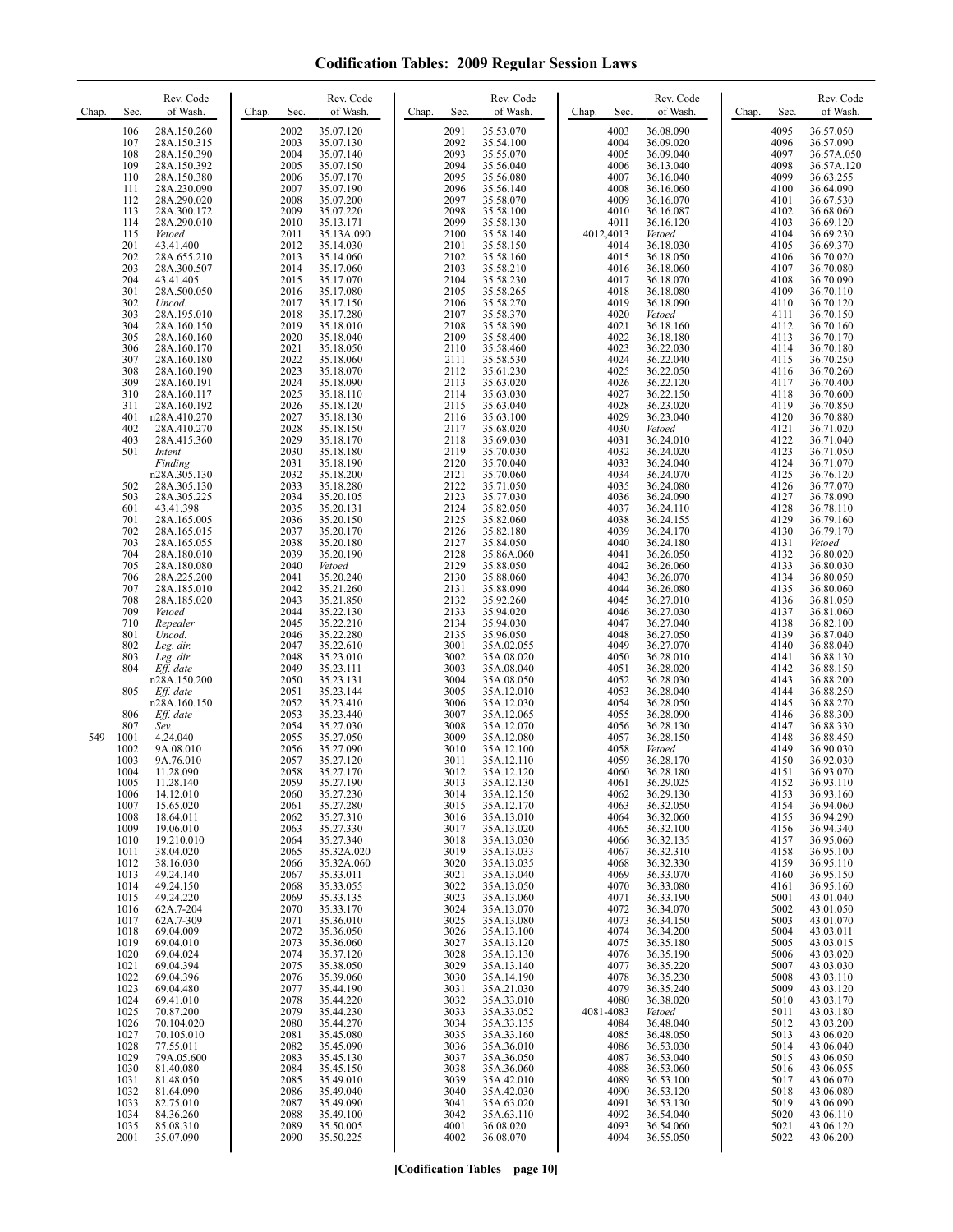| Chap. | Rev. Code<br>of Wash.<br>Sec.                                                                                                                                                                                                                                                                                                                                                                                                                                                                                                                                                                                                                                                                                                                                                                                                                                                                                                                                                                                                                                                                                                                                                                                                                                                 | Chap. | Sec.                                                                                                                                                                                                                                                                                                                                                                                                                                                                                         | Rev. Code<br>of Wash.                                                                                                                                                                                                                                                                                                                                                                                                                                                                                                                                                                                                                                                                                                                                                                                  | Chap. | Sec.                                                                                                                                                                                                                                                                                                                                                                                                                                                                                         | Rev. Code<br>of Wash.                                                                                                                                                                                                                                                                                                                                                                                                                                                                                                                                                                                                                                                                                                                                                                                                    | Chap.<br>Sec.                                                                                                                                                                                                                                                                                                                                                                                                                                                                                     | Rev. Code<br>of Wash.                                                                                                                                                                                                                                                                                                                                                                                                                                                                                                                                                                                                                                                                                                                                                                        | Chap. | Sec.                                                                                                                                                                                                                                                                                                                                                                                                                                                                                         | Rev. Code<br>of Wash.                                                                                                                                                                                                                                                                                                                                                                                                                                                                                                                                                                                                                                                                                                                                                                                   |
|-------|-------------------------------------------------------------------------------------------------------------------------------------------------------------------------------------------------------------------------------------------------------------------------------------------------------------------------------------------------------------------------------------------------------------------------------------------------------------------------------------------------------------------------------------------------------------------------------------------------------------------------------------------------------------------------------------------------------------------------------------------------------------------------------------------------------------------------------------------------------------------------------------------------------------------------------------------------------------------------------------------------------------------------------------------------------------------------------------------------------------------------------------------------------------------------------------------------------------------------------------------------------------------------------|-------|----------------------------------------------------------------------------------------------------------------------------------------------------------------------------------------------------------------------------------------------------------------------------------------------------------------------------------------------------------------------------------------------------------------------------------------------------------------------------------------------|--------------------------------------------------------------------------------------------------------------------------------------------------------------------------------------------------------------------------------------------------------------------------------------------------------------------------------------------------------------------------------------------------------------------------------------------------------------------------------------------------------------------------------------------------------------------------------------------------------------------------------------------------------------------------------------------------------------------------------------------------------------------------------------------------------|-------|----------------------------------------------------------------------------------------------------------------------------------------------------------------------------------------------------------------------------------------------------------------------------------------------------------------------------------------------------------------------------------------------------------------------------------------------------------------------------------------------|--------------------------------------------------------------------------------------------------------------------------------------------------------------------------------------------------------------------------------------------------------------------------------------------------------------------------------------------------------------------------------------------------------------------------------------------------------------------------------------------------------------------------------------------------------------------------------------------------------------------------------------------------------------------------------------------------------------------------------------------------------------------------------------------------------------------------|---------------------------------------------------------------------------------------------------------------------------------------------------------------------------------------------------------------------------------------------------------------------------------------------------------------------------------------------------------------------------------------------------------------------------------------------------------------------------------------------------|----------------------------------------------------------------------------------------------------------------------------------------------------------------------------------------------------------------------------------------------------------------------------------------------------------------------------------------------------------------------------------------------------------------------------------------------------------------------------------------------------------------------------------------------------------------------------------------------------------------------------------------------------------------------------------------------------------------------------------------------------------------------------------------------|-------|----------------------------------------------------------------------------------------------------------------------------------------------------------------------------------------------------------------------------------------------------------------------------------------------------------------------------------------------------------------------------------------------------------------------------------------------------------------------------------------------|---------------------------------------------------------------------------------------------------------------------------------------------------------------------------------------------------------------------------------------------------------------------------------------------------------------------------------------------------------------------------------------------------------------------------------------------------------------------------------------------------------------------------------------------------------------------------------------------------------------------------------------------------------------------------------------------------------------------------------------------------------------------------------------------------------|
| 549   | 106<br>28A.150.260<br>107<br>28A.150.315<br>108<br>28A.150.390<br>109<br>28A.150.392<br>28A.150.380<br>110<br>111<br>28A.230.090<br>28A.290.020<br>112<br>113<br>28A.300.172<br>114<br>28A.290.010<br>115<br>Vetoed<br>201<br>43.41.400<br>202<br>28A.655.210<br>203<br>28A.300.507<br>204<br>43.41.405<br>301<br>28A.500.050<br>302<br>Uncod.<br>303<br>28A.195.010<br>304<br>28A.160.150<br>305<br>28A.160.160<br>306<br>28A.160.170<br>307<br>28A.160.180<br>308<br>28A.160.190<br>309<br>28A.160.191<br>310<br>28A.160.117<br>311<br>28A.160.192<br>401<br>n28A.410.270<br>402<br>28A.410.270<br>403<br>28A.415.360<br>501<br>Intent<br>Finding<br>n28A.305.130<br>502<br>28A.305.130<br>503<br>28A.305.225<br>43.41.398<br>601<br>701<br>28A.165.005<br>702<br>28A.165.015<br>703<br>28A.165.055<br>704<br>28A.180.010<br>705<br>28A.180.080<br>706<br>28A.225.200<br>707<br>28A.185.010<br>708<br>28A.185.020<br>709<br>Vetoed<br>710<br>Repealer<br>801<br>Uncod.<br>802<br>Leg. dir.<br>803<br>Leg. dir.<br>Eff. date<br>804<br>n28A.150.200<br>805<br>Eff. date<br>n28A.160.150<br>806<br>Eff. date<br>807<br>Sev.<br>1001<br>4.24.040<br>1002<br>9A.08.010<br>9A.76.010<br>1003<br>1004<br>11.28.090<br>1005<br>11.28.140<br>1006<br>14.12.010<br>15.65.020<br>1007 |       | 2002<br>2003<br>2004<br>2005<br>2006<br>2007<br>2008<br>2009<br>2010<br>2011<br>2012<br>2013<br>2014<br>2015<br>2016<br>2017<br>2018<br>2019<br>2020<br>2021<br>2022<br>2023<br>2024<br>2025<br>2026<br>2027<br>2028<br>2029<br>2030<br>2031<br>2032<br>2033<br>2034<br>2035<br>2036<br>2037<br>2038<br>2039<br>2040<br>2041<br>2042<br>2043<br>2044<br>2045<br>2046<br>2047<br>2048<br>2049<br>2050<br>2051<br>2052<br>2053<br>2054<br>2055<br>2056<br>2057<br>2058<br>2059<br>2060<br>2061 | 35.07.120<br>35.07.130<br>35.07.140<br>35.07.150<br>35.07.170<br>35.07.190<br>35.07.200<br>35.07.220<br>35.13.171<br>35.13A.090<br>35.14.030<br>35.14.060<br>35.17.060<br>35.17.070<br>35.17.080<br>35.17.150<br>35.17.280<br>35.18.010<br>35.18.040<br>35.18.050<br>35.18.060<br>35.18.070<br>35.18.090<br>35.18.110<br>35.18.120<br>35.18.130<br>35.18.150<br>35.18.170<br>35.18.180<br>35.18.190<br>35.18.200<br>35.18.280<br>35.20.105<br>35.20.131<br>35.20.150<br>35.20.170<br>35.20.180<br>35.20.190<br>Vetoed<br>35.20.240<br>35.21.260<br>35.21.850<br>35.22.130<br>35.22.210<br>35.22.280<br>35.22.610<br>35.23.010<br>35.23.111<br>35.23.131<br>35.23.144<br>35.23.410<br>35.23.440<br>35.27.030<br>35.27.050<br>35.27.090<br>35.27.120<br>35.27.170<br>35.27.190<br>35.27.230<br>35.27.280 |       | 2091<br>2092<br>2093<br>2094<br>2095<br>2096<br>2097<br>2098<br>2099<br>2100<br>2101<br>2102<br>2103<br>2104<br>2105<br>2106<br>2107<br>2108<br>2109<br>2110<br>2111<br>2112<br>2113<br>2114<br>2115<br>2116<br>2117<br>2118<br>2119<br>2120<br>2121<br>2122<br>2123<br>2124<br>2125<br>2126<br>2127<br>2128<br>2129<br>2130<br>2131<br>2132<br>2133<br>2134<br>2135<br>3001<br>3002<br>3003<br>3004<br>3005<br>3006<br>3007<br>3008<br>3009<br>3010<br>3011<br>3012<br>3013<br>3014<br>3015 | 35.53.070<br>35.54.100<br>35.55.070<br>35.56.040<br>35.56.080<br>35.56.140<br>35.58.070<br>35.58.100<br>35.58.130<br>35.58.140<br>35.58.150<br>35.58.160<br>35.58.210<br>35.58.230<br>35.58.265<br>35.58.270<br>35.58.370<br>35.58.390<br>35.58.400<br>35.58.460<br>35.58.530<br>35.61.230<br>35.63.020<br>35.63.030<br>35.63.040<br>35.63.100<br>35.68.020<br>35.69.030<br>35.70.030<br>35.70.040<br>35.70.060<br>35.71.050<br>35.77.030<br>35.82.050<br>35.82.060<br>35.82.180<br>35.84.050<br>35.86A.060<br>35.88.050<br>35.88.060<br>35.88.090<br>35.92.260<br>35.94.020<br>35.94.030<br>35.96.050<br>35A.02.055<br>35A.08.020<br>35A.08.040<br>35A.08.050<br>35A.12.010<br>35A.12.030<br>35A.12.065<br>35A.12.070<br>35A.12.080<br>35A.12.100<br>35A.12.110<br>35A.12.120<br>35A.12.130<br>35A.12.150<br>35A.12.170 | 4003<br>4004<br>4005<br>4006<br>4007<br>4008<br>4009<br>4010<br>4011<br>4012,4013<br>4014<br>4015<br>4016<br>4017<br>4018<br>4019<br>4020<br>4021<br>4022<br>4023<br>4024<br>4025<br>4026<br>4027<br>4028<br>4029<br>4030<br>4031<br>4032<br>4033<br>4034<br>4035<br>4036<br>4037<br>4038<br>4039<br>4040<br>4041<br>4042<br>4043<br>4044<br>4045<br>4046<br>4047<br>4048<br>4049<br>4050<br>4051<br>4052<br>4053<br>4054<br>4055<br>4056<br>4057<br>4058<br>4059<br>4060<br>4061<br>4062<br>4063 | 36.08.090<br>36.09.020<br>36.09.040<br>36.13.040<br>36.16.040<br>36.16.060<br>36.16.070<br>36.16.087<br>36.16.120<br>Vetoed<br>36.18.030<br>36.18.050<br>36.18.060<br>36.18.070<br>36.18.080<br>36.18.090<br>Vetoed<br>36.18.160<br>36.18.180<br>36.22.030<br>36.22.040<br>36.22.050<br>36.22.120<br>36.22.150<br>36.23.020<br>36.23.040<br>Vetoed<br>36.24.010<br>36.24.020<br>36.24.040<br>36.24.070<br>36.24.080<br>36.24.090<br>36.24.110<br>36.24.155<br>36.24.170<br>36.24.180<br>36.26.050<br>36.26.060<br>36.26.070<br>36.26.080<br>36.27.010<br>36.27.030<br>36.27.040<br>36.27.050<br>36.27.070<br>36.28.010<br>36.28.020<br>36.28.030<br>36.28.040<br>36.28.050<br>36.28.090<br>36.28.130<br>36.28.150<br>Vetoed<br>36.28.170<br>36.28.180<br>36.29.025<br>36.29.130<br>36.32.050 |       | 4095<br>4096<br>4097<br>4098<br>4099<br>4100<br>4101<br>4102<br>4103<br>4104<br>4105<br>4106<br>4107<br>4108<br>4109<br>4110<br>4111<br>4112<br>4113<br>4114<br>4115<br>4116<br>4117<br>4118<br>4119<br>4120<br>4121<br>4122<br>4123<br>4124<br>4125<br>4126<br>4127<br>4128<br>4129<br>4130<br>4131<br>4132<br>4133<br>4134<br>4135<br>4136<br>4137<br>4138<br>4139<br>4140<br>4141<br>4142<br>4143<br>4144<br>4145<br>4146<br>4147<br>4148<br>4149<br>4150<br>4151<br>4152<br>4153<br>4154 | 36.57.050<br>36.57.090<br>36.57A.050<br>36.57A.120<br>36.63.255<br>36.64.090<br>36.67.530<br>36.68.060<br>36.69.120<br>36.69.230<br>36.69.370<br>36.70.020<br>36.70.080<br>36.70.090<br>36.70.110<br>36.70.120<br>36.70.150<br>36.70.160<br>36.70.170<br>36.70.180<br>36.70.250<br>36.70.260<br>36.70.400<br>36.70.600<br>36.70.850<br>36.70.880<br>36.71.020<br>36.71.040<br>36.71.050<br>36.71.070<br>36.76.120<br>36.77.070<br>36.78.090<br>36.78.110<br>36.79.160<br>36.79.170<br>Vetoed<br>36.80.020<br>36.80.030<br>36.80.050<br>36.80.060<br>36.81.050<br>36.81.060<br>36.82.100<br>36.87.040<br>36.88.040<br>36.88.130<br>36.88.150<br>36.88.200<br>36.88.250<br>36.88.270<br>36.88.300<br>36.88.330<br>36.88.450<br>36.90.030<br>36.92.030<br>36.93.070<br>36.93.110<br>36.93.160<br>36.94.060 |
|       | 1008<br>18.64.011<br>1009<br>19.06.010<br>19.210.010<br>1010<br>1011<br>38.04.020<br>38.16.030<br>1012<br>1013<br>49.24.140<br>1014<br>49.24.150<br>1015<br>49.24.220<br>62A.7-204<br>1016<br>62A.7-309<br>1017<br>1018<br>69.04.009<br>1019<br>69.04.010<br>1020<br>69.04.024<br>1021<br>69.04.394<br>1022<br>69.04.396<br>1023<br>69.04.480<br>1024<br>69.41.010<br>1025<br>70.87.200<br>1026<br>70.104.020<br>1027<br>70.105.010<br>1028<br>77.55.011<br>1029<br>79A.05.600<br>1030<br>81.40.080<br>1031<br>81.48.050<br>1032<br>81.64.090<br>1033<br>82.75.010<br>1034<br>84.36.260<br>1035<br>85.08.310<br>2001<br>35.07.090                                                                                                                                                                                                                                                                                                                                                                                                                                                                                                                                                                                                                                             |       | 2062<br>2063<br>2064<br>2065<br>2066<br>2067<br>2068<br>2069<br>2070<br>2071<br>2072<br>2073<br>2074<br>2075<br>2076<br>2077<br>2078<br>2079<br>2080<br>2081<br>2082<br>2083<br>2084<br>2085<br>2086<br>2087<br>2088<br>2089<br>2090                                                                                                                                                                                                                                                         | 35.27.310<br>35.27.330<br>35.27.340<br>35.32A.020<br>35.32A.060<br>35.33.011<br>35.33.055<br>35.33.135<br>35.33.170<br>35.36.010<br>35.36.050<br>35.36.060<br>35.37.120<br>35.38.050<br>35.39.060<br>35.44.190<br>35.44.220<br>35.44.230<br>35.44.270<br>35.45.080<br>35.45.090<br>35.45.130<br>35.45.150<br>35.49.010<br>35.49.040<br>35.49.090<br>35.49.100<br>35.50.005<br>35.50.225                                                                                                                                                                                                                                                                                                                                                                                                                |       | 3016<br>3017<br>3018<br>3019<br>3020<br>3021<br>3022<br>3023<br>3024<br>3025<br>3026<br>3027<br>3028<br>3029<br>3030<br>3031<br>3032<br>3033<br>3034<br>3035<br>3036<br>3037<br>3038<br>3039<br>3040<br>3041<br>3042<br>4001<br>4002                                                                                                                                                                                                                                                         | 35A.13.010<br>35A.13.020<br>35A.13.030<br>35A.13.033<br>35A.13.035<br>35A.13.040<br>35A.13.050<br>35A.13.060<br>35A.13.070<br>35A.13.080<br>35A.13.100<br>35A.13.120<br>35A.13.130<br>35A.13.140<br>35A.14.190<br>35A.21.030<br>35A.33.010<br>35A.33.052<br>35A.33.135<br>35A.33.160<br>35A.36.010<br>35A.36.050<br>35A.36.060<br>35A.42.010<br>35A.42.030<br>35A.63.020<br>35A.63.110<br>36.08.020<br>36.08.070                                                                                                                                                                                                                                                                                                                                                                                                         | 4064<br>4065<br>4066<br>4067<br>4068<br>4069<br>4070<br>4071<br>4072<br>4073<br>4074<br>4075<br>4076<br>4077<br>4078<br>4079<br>4080<br>4081-4083<br>4084<br>4085<br>4086<br>4087<br>4088<br>4089<br>4090<br>4091<br>4092<br>4093<br>4094                                                                                                                                                                                                                                                         | 36.32.060<br>36.32.100<br>36.32.135<br>36.32.310<br>36.32.330<br>36.33.070<br>36.33.080<br>36.33.190<br>36.34.070<br>36.34.150<br>36.34.200<br>36.35.180<br>36.35.190<br>36.35.220<br>36.35.230<br>36.35.240<br>36.38.020<br>Vetoed<br>36.48.040<br>36.48.050<br>36.53.030<br>36.53.040<br>36.53.060<br>36.53.100<br>36.53.120<br>36.53.130<br>36.54.040<br>36.54.060<br>36.55.050                                                                                                                                                                                                                                                                                                                                                                                                           |       | 4155<br>4156<br>4157<br>4158<br>4159<br>4160<br>4161<br>5001<br>5002<br>5003<br>5004<br>5005<br>5006<br>5007<br>5008<br>5009<br>5010<br>5011<br>5012<br>5013<br>5014<br>5015<br>5016<br>5017<br>5018<br>5019<br>5020<br>5021<br>5022                                                                                                                                                                                                                                                         | 36.94.290<br>36.94.340<br>36.95.060<br>36.95.100<br>36.95.110<br>36.95.150<br>36.95.160<br>43.01.040<br>43.01.050<br>43.01.070<br>43.03.011<br>43.03.015<br>43.03.020<br>43.03.030<br>43.03.110<br>43.03.120<br>43.03.170<br>43.03.180<br>43.03.200<br>43.06.020<br>43.06.040<br>43.06.050<br>43.06.055<br>43.06.070<br>43.06.080<br>43.06.090<br>43.06.110<br>43.06.120<br>43.06.200                                                                                                                                                                                                                                                                                                                                                                                                                   |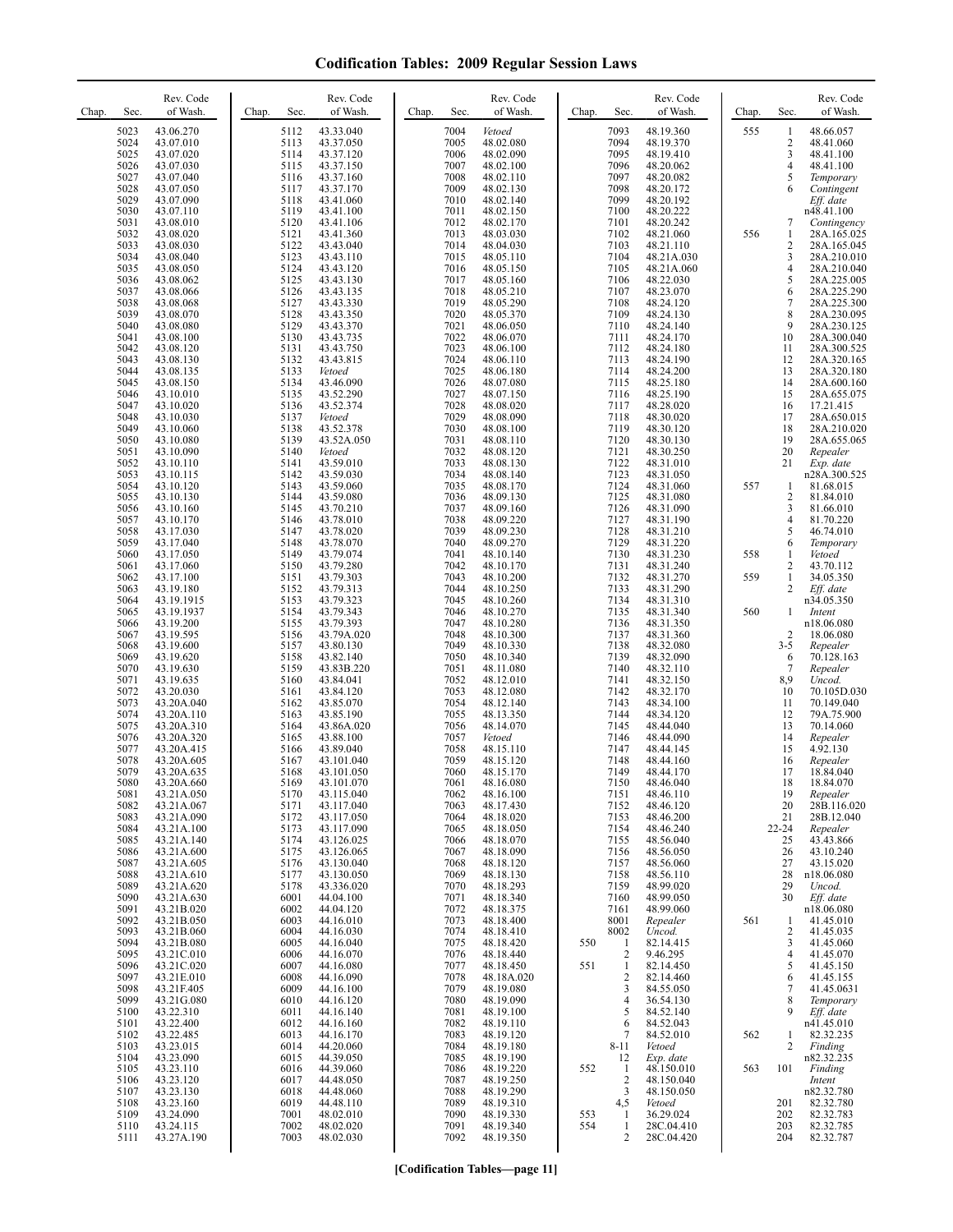| Chap. | Sec.                                                                                                                                                 | Rev. Code<br>of Wash.                                                                                                                                                                                                                                                  | Chap. | Sec.                                                                                                                                                 | Rev. Code<br>of Wash.                                                                                                                                                                                                                                           | Chap. | Sec.                                                                                                                                                 | Rev. Code<br>of Wash.                                                                                                                                                                                                                               | Chap.             | Sec.                                                                                                                                                   | Rev. Code<br>of Wash.                                                                                                                                                                                                                               | Chap.             | Sec.                                                                                                                                        | Rev. Code<br>of Wash.                                                                                                                                                                                                                                                   |
|-------|------------------------------------------------------------------------------------------------------------------------------------------------------|------------------------------------------------------------------------------------------------------------------------------------------------------------------------------------------------------------------------------------------------------------------------|-------|------------------------------------------------------------------------------------------------------------------------------------------------------|-----------------------------------------------------------------------------------------------------------------------------------------------------------------------------------------------------------------------------------------------------------------|-------|------------------------------------------------------------------------------------------------------------------------------------------------------|-----------------------------------------------------------------------------------------------------------------------------------------------------------------------------------------------------------------------------------------------------|-------------------|--------------------------------------------------------------------------------------------------------------------------------------------------------|-----------------------------------------------------------------------------------------------------------------------------------------------------------------------------------------------------------------------------------------------------|-------------------|---------------------------------------------------------------------------------------------------------------------------------------------|-------------------------------------------------------------------------------------------------------------------------------------------------------------------------------------------------------------------------------------------------------------------------|
|       | 5023<br>5024<br>5025<br>5026<br>5027<br>5028<br>5029<br>5030<br>5031<br>5032<br>5033<br>5034<br>5035<br>5036<br>5037<br>5038<br>5039<br>5040         | 43.06.270<br>43.07.010<br>43.07.020<br>43.07.030<br>43.07.040<br>43.07.050<br>43.07.090<br>43.07.110<br>43.08.010<br>43.08.020<br>43.08.030<br>43.08.040<br>43.08.050<br>43.08.062<br>43.08.066<br>43.08.068<br>43.08.070<br>43.08.080                                 |       | 5112<br>5113<br>5114<br>5115<br>5116<br>5117<br>5118<br>5119<br>5120<br>5121<br>5122<br>5123<br>5124<br>5125<br>5126<br>5127<br>5128<br>5129         | 43.33.040<br>43.37.050<br>43.37.120<br>43.37.150<br>43.37.160<br>43.37.170<br>43.41.060<br>43.41.100<br>43.41.106<br>43.41.360<br>43.43.040<br>43.43.110<br>43.43.120<br>43.43.130<br>43.43.135<br>43.43.330<br>43.43.350<br>43.43.370                          |       | 7004<br>7005<br>7006<br>7007<br>7008<br>7009<br>7010<br>7011<br>7012<br>7013<br>7014<br>7015<br>7016<br>7017<br>7018<br>7019<br>7020<br>7021         | Vetoed<br>48.02.080<br>48.02.090<br>48.02.100<br>48.02.110<br>48.02.130<br>48.02.140<br>48.02.150<br>48.02.170<br>48.03.030<br>48.04.030<br>48.05.110<br>48.05.150<br>48.05.160<br>48.05.210<br>48.05.290<br>48.05.370<br>48.06.050                 |                   | 7093<br>7094<br>7095<br>7096<br>7097<br>7098<br>7099<br>7100<br>7101<br>7102<br>7103<br>7104<br>7105<br>7106<br>7107<br>7108<br>7109<br>7110           | 48.19.360<br>48.19.370<br>48.19.410<br>48.20.062<br>48.20.082<br>48.20.172<br>48.20.192<br>48.20.222<br>48.20.242<br>48.21.060<br>48.21.110<br>48.21A.030<br>48.21A.060<br>48.22.030<br>48.23.070<br>48.24.120<br>48.24.130<br>48.24.140            | 555<br>556        | 1<br>$\boldsymbol{2}$<br>3<br>$\overline{4}$<br>5<br>6<br>7<br>1<br>$\sqrt{2}$<br>3<br>$\overline{4}$<br>5<br>6<br>$\overline{7}$<br>8<br>9 | 48.66.057<br>48.41.060<br>48.41.100<br>48.41.100<br>Temporary<br>Contingent<br>Eff. date<br>n48.41.100<br>Contingency<br>28A.165.025<br>28A.165.045<br>28A.210.010<br>28A.210.040<br>28A.225.005<br>28A.225.290<br>28A.225.300<br>28A.230.095<br>28A.230.125            |
|       | 5041<br>5042<br>5043<br>5044<br>5045<br>5046<br>5047<br>5048<br>5049<br>5050<br>5051<br>5052<br>5053<br>5054<br>5055<br>5056<br>5057<br>5058<br>5059 | 43.08.100<br>43.08.120<br>43.08.130<br>43.08.135<br>43.08.150<br>43.10.010<br>43.10.020<br>43.10.030<br>43.10.060<br>43.10.080<br>43.10.090<br>43.10.110<br>43.10.115<br>43.10.120<br>43.10.130<br>43.10.160<br>43.10.170<br>43.17.030<br>43.17.040                    |       | 5130<br>5131<br>5132<br>5133<br>5134<br>5135<br>5136<br>5137<br>5138<br>5139<br>5140<br>5141<br>5142<br>5143<br>5144<br>5145<br>5146<br>5147<br>5148 | 43.43.735<br>43.43.750<br>43.43.815<br>Vetoed<br>43.46.090<br>43.52.290<br>43.52.374<br>Vetoed<br>43.52.378<br>43.52A.050<br>Vetoed<br>43.59.010<br>43.59.030<br>43.59.060<br>43.59.080<br>43.70.210<br>43.78.010<br>43.78.020<br>43.78.070                     |       | 7022<br>7023<br>7024<br>7025<br>7026<br>7027<br>7028<br>7029<br>7030<br>7031<br>7032<br>7033<br>7034<br>7035<br>7036<br>7037<br>7038<br>7039<br>7040 | 48.06.070<br>48.06.100<br>48.06.110<br>48.06.180<br>48.07.080<br>48.07.150<br>48.08.020<br>48.08.090<br>48.08.100<br>48.08.110<br>48.08.120<br>48.08.130<br>48.08.140<br>48.08.170<br>48.09.130<br>48.09.160<br>48.09.220<br>48.09.230<br>48.09.270 |                   | 7111<br>7112<br>7113<br>7114<br>7115<br>7116<br>7117<br>7118<br>7119<br>7120<br>7121<br>7122<br>7123<br>7124<br>7125<br>7126<br>7127<br>7128<br>7129   | 48.24.170<br>48.24.180<br>48.24.190<br>48.24.200<br>48.25.180<br>48.25.190<br>48.28.020<br>48.30.020<br>48.30.120<br>48.30.130<br>48.30.250<br>48.31.010<br>48.31.050<br>48.31.060<br>48.31.080<br>48.31.090<br>48.31.190<br>48.31.210<br>48.31.220 | 557               | 10<br>11<br>12<br>13<br>14<br>15<br>16<br>17<br>18<br>19<br>20<br>21<br>1<br>$\sqrt{2}$<br>3<br>$\overline{4}$<br>5<br>6                    | 28A.300.040<br>28A.300.525<br>28A.320.165<br>28A.320.180<br>28A.600.160<br>28A.655.075<br>17.21.415<br>28A.650.015<br>28A.210.020<br>28A.655.065<br>Repealer<br>Exp. date<br>n28A.300.525<br>81.68.015<br>81.84.010<br>81.66.010<br>81.70.220<br>46.74.010<br>Temporary |
|       | 5060<br>5061<br>5062<br>5063<br>5064<br>5065<br>5066<br>5067<br>5068<br>5069<br>5070<br>5071<br>5072<br>5073<br>5074<br>5075<br>5076<br>5077         | 43.17.050<br>43.17.060<br>43.17.100<br>43.19.180<br>43.19.1915<br>43.19.1937<br>43.19.200<br>43.19.595<br>43.19.600<br>43.19.620<br>43.19.630<br>43.19.635<br>43.20.030<br>43.20A.040<br>43.20A.110<br>43.20A.310<br>43.20A.320<br>43.20A.415                          |       | 5149<br>5150<br>5151<br>5152<br>5153<br>5154<br>5155<br>5156<br>5157<br>5158<br>5159<br>5160<br>5161<br>5162<br>5163<br>5164<br>5165<br>5166         | 43.79.074<br>43.79.280<br>43.79.303<br>43.79.313<br>43.79.323<br>43.79.343<br>43.79.393<br>43.79A.020<br>43.80.130<br>43.82.140<br>43.83B.220<br>43.84.041<br>43.84.120<br>43.85.070<br>43.85.190<br>43.86A.020<br>43.88.100<br>43.89.040                       |       | 7041<br>7042<br>7043<br>7044<br>7045<br>7046<br>7047<br>7048<br>7049<br>7050<br>7051<br>7052<br>7053<br>7054<br>7055<br>7056<br>7057<br>7058         | 48.10.140<br>48.10.170<br>48.10.200<br>48.10.250<br>48.10.260<br>48.10.270<br>48.10.280<br>48.10.300<br>48.10.330<br>48.10.340<br>48.11.080<br>48.12.010<br>48.12.080<br>48.12.140<br>48.13.350<br>48.14.070<br>Vetoed<br>48.15.110                 |                   | 7130<br>7131<br>7132<br>7133<br>7134<br>7135<br>7136<br>7137<br>7138<br>7139<br>7140<br>7141<br>7142<br>7143<br>7144<br>7145<br>7146<br>7147           | 48.31.230<br>48.31.240<br>48.31.270<br>48.31.290<br>48.31.310<br>48.31.340<br>48.31.350<br>48.31.360<br>48.32.080<br>48.32.090<br>48.32.110<br>48.32.150<br>48.32.170<br>48.34.100<br>48.34.120<br>48.44.040<br>48.44.090<br>48.44.145              | 558<br>559<br>560 | 1<br>2<br>1<br>$\overline{2}$<br>1<br>$\overline{2}$<br>$3 - 5$<br>6<br>7<br>8,9<br>10<br>11<br>12<br>13<br>14<br>15                        | Vetoed<br>43.70.112<br>34.05.350<br>Eff. date<br>n34.05.350<br>Intent<br>n18.06.080<br>18.06.080<br>Repealer<br>70.128.163<br>Repealer<br>Uncod.<br>70.105D.030<br>70.149.040<br>79A.75.900<br>70.14.060<br>Repealer<br>4.92.130                                        |
|       | 5078<br>5079<br>5080<br>5081<br>5082<br>5083<br>5084<br>5085<br>5086<br>5087<br>5088<br>5089<br>5090<br>5091<br>5092<br>5093<br>5094<br>5095<br>5096 | 43.20A.605<br>43.20A.635<br>43.20A.660<br>43.21A.050<br>43.21A.067<br>43.21A.090<br>43.21A.100<br>43.21A.140<br>43.21A.600<br>43.21A.605<br>43.21A.610<br>43.21A.620<br>43.21A.630<br>43.21B.020<br>43.21B.050<br>43.21B.060<br>43.21B.080<br>43.21C.010<br>43.21C.020 |       | 5167<br>5168<br>5169<br>5170<br>5171<br>5172<br>5173<br>5174<br>5175<br>5176<br>5177<br>5178<br>6001<br>6002<br>6003<br>6004<br>6005<br>6006<br>6007 | 43.101.040<br>43.101.050<br>43.101.070<br>43.115.040<br>43.117.040<br>43.117.050<br>43.117.090<br>43.126.025<br>43.126.065<br>43.130.040<br>43.130.050<br>43.336.020<br>44.04.100<br>44.04.120<br>44.16.010<br>44.16.030<br>44.16.040<br>44.16.070<br>44.16.080 |       | 7059<br>7060<br>7061<br>7062<br>7063<br>7064<br>7065<br>7066<br>7067<br>7068<br>7069<br>7070<br>7071<br>7072<br>7073<br>7074<br>7075<br>7076<br>7077 | 48.15.120<br>48.15.170<br>48.16.080<br>48.16.100<br>48.17.430<br>48.18.020<br>48.18.050<br>48.18.070<br>48.18.090<br>48.18.120<br>48.18.130<br>48.18.293<br>48.18.340<br>48.18.375<br>48.18.400<br>48.18.410<br>48.18.420<br>48.18.440<br>48.18.450 | 550<br>551        | 7148<br>7149<br>7150<br>7151<br>7152<br>7153<br>7154<br>7155<br>7156<br>7157<br>7158<br>7159<br>7160<br>7161<br>8001<br>8002<br>1<br>2<br>$\mathbf{1}$ | 48.44.160<br>48.44.170<br>48.46.040<br>48.46.110<br>48.46.120<br>48.46.200<br>48.46.240<br>48.56.040<br>48.56.050<br>48.56.060<br>48.56.110<br>48.99.020<br>48.99.050<br>48.99.060<br>Repealer<br>Uncod.<br>82.14.415<br>9.46.295<br>82.14.450      | 561               | 16<br>17<br>18<br>19<br>20<br>21<br>22-24<br>25<br>26<br>27<br>28<br>29<br>30<br>1<br>$\overline{c}$<br>3<br>4<br>5                         | Repealer<br>18.84.040<br>18.84.070<br>Repealer<br>28B.116.020<br>28B.12.040<br>Repealer<br>43.43.866<br>43.10.240<br>43.15.020<br>n18.06.080<br>Uncod.<br>Eff. date<br>n18.06.080<br>41.45.010<br>41.45.035<br>41.45.060<br>41.45.070<br>41.45.150                      |
|       | 5097<br>5098<br>5099<br>5100<br>5101<br>5102<br>5103<br>5104<br>5105<br>5106<br>5107<br>5108<br>5109<br>5110<br>5111                                 | 43.21E.010<br>43.21F.405<br>43.21G.080<br>43.22.310<br>43.22.400<br>43.22.485<br>43.23.015<br>43.23.090<br>43.23.110<br>43.23.120<br>43.23.130<br>43.23.160<br>43.24.090<br>43.24.115<br>43.27A.190                                                                    |       | 6008<br>6009<br>6010<br>6011<br>6012<br>6013<br>6014<br>6015<br>6016<br>6017<br>6018<br>6019<br>7001<br>7002<br>7003                                 | 44.16.090<br>44.16.100<br>44.16.120<br>44.16.140<br>44.16.160<br>44.16.170<br>44.20.060<br>44.39.050<br>44.39.060<br>44.48.050<br>44.48.060<br>44.48.110<br>48.02.010<br>48.02.020<br>48.02.030                                                                 |       | 7078<br>7079<br>7080<br>7081<br>7082<br>7083<br>7084<br>7085<br>7086<br>7087<br>7088<br>7089<br>7090<br>7091<br>7092                                 | 48.18A.020<br>48.19.080<br>48.19.090<br>48.19.100<br>48.19.110<br>48.19.120<br>48.19.180<br>48.19.190<br>48.19.220<br>48.19.250<br>48.19.290<br>48.19.310<br>48.19.330<br>48.19.340<br>48.19.350                                                    | 552<br>553<br>554 | $\overline{2}$<br>3<br>4<br>5<br>6<br>$\overline{7}$<br>$8 - 11$<br>12<br>-1<br>$\overline{2}$<br>3<br>4,5<br>1<br>$\mathbf{1}$<br>2                   | 82.14.460<br>84.55.050<br>36.54.130<br>84.52.140<br>84.52.043<br>84.52.010<br>Vetoed<br>Exp. date<br>48.150.010<br>48.150.040<br>48.150.050<br>Vetoed<br>36.29.024<br>28C.04.410<br>28C.04.420                                                      | 562<br>563        | 6<br>7<br>8<br>$\mathbf Q$<br>1<br>$\overline{2}$<br>101<br>201<br>202<br>203<br>204                                                        | 41.45.155<br>41.45.0631<br>Temporary<br>Eff. date<br>n41.45.010<br>82.32.235<br>Finding<br>n82.32.235<br>Finding<br>Intent<br>n82.32.780<br>82.32.780<br>82.32.783<br>82.32.785<br>82.32.787                                                                            |